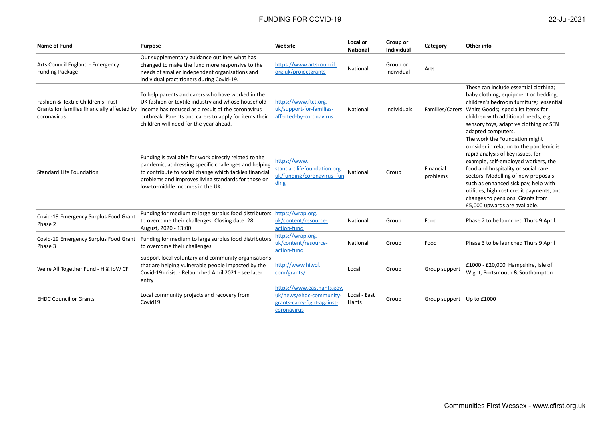| Name of Fund                                                                                     | <b>Purpose</b>                                                                                                                                                                                                                                                     | Website                                                                                             | Local or<br><b>National</b> | Group or<br><b>Individual</b> | Category                  | Other info                                                                                                                                                                                                                                                                                                                                                                                   |
|--------------------------------------------------------------------------------------------------|--------------------------------------------------------------------------------------------------------------------------------------------------------------------------------------------------------------------------------------------------------------------|-----------------------------------------------------------------------------------------------------|-----------------------------|-------------------------------|---------------------------|----------------------------------------------------------------------------------------------------------------------------------------------------------------------------------------------------------------------------------------------------------------------------------------------------------------------------------------------------------------------------------------------|
| Arts Council England - Emergency<br><b>Funding Package</b>                                       | Our supplementary guidance outlines what has<br>changed to make the fund more responsive to the<br>needs of smaller independent organisations and<br>individual practitioners during Covid-19.                                                                     | https://www.artscouncil.<br>org.uk/projectgrants                                                    | National                    | Group or<br>Individual        | Arts                      |                                                                                                                                                                                                                                                                                                                                                                                              |
| Fashion & Textile Children's Trust<br>Grants for families financially affected by<br>coronavirus | To help parents and carers who have worked in the<br>UK fashion or textile industry and whose household<br>income has reduced as a result of the coronavirus<br>outbreak. Parents and carers to apply for items their<br>children will need for the year ahead.    | https://www.ftct.org.<br>uk/support-for-families-<br>affected-by-coronavirus                        | National                    | Individuals                   |                           | These can include essential clothing;<br>baby clothing, equipment or bedding;<br>children's bedroom furniture; essential<br>Families/Carers White Goods; specialist items for<br>children with additional needs, e.g.<br>sensory toys, adaptive clothing or SEN<br>adapted computers.                                                                                                        |
| <b>Standard Life Foundation</b>                                                                  | Funding is available for work directly related to the<br>pandemic, addressing specific challenges and helping<br>to contribute to social change which tackles financial<br>problems and improves living standards for those on<br>low-to-middle incomes in the UK. | https://www.<br>standardlifefoundation.org.<br>uk/funding/coronavirus fun<br>ding                   | National                    | Group                         | Financial<br>problems     | The work the Foundation might<br>consider in relation to the pandemic is<br>rapid analysis of key issues, for<br>example, self-employed workers, the<br>food and hospitality or social care<br>sectors. Modelling of new proposals<br>such as enhanced sick pay, help with<br>utilities, high cost credit payments, and<br>changes to pensions. Grants from<br>£5,000 upwards are available. |
| Covid-19 Emergency Surplus Food Grant<br>Phase 2                                                 | Funding for medium to large surplus food distributors<br>to overcome their challenges. Closing date: 28<br>August, 2020 - 13:00                                                                                                                                    | https://wrap.org.<br>uk/content/resource-<br>action-fund                                            | National                    | Group                         | Food                      | Phase 2 to be launched Thurs 9 April.                                                                                                                                                                                                                                                                                                                                                        |
| Covid-19 Emergency Surplus Food Grant<br>Phase 3                                                 | Funding for medium to large surplus food distributors<br>to overcome their challenges                                                                                                                                                                              | https://wrap.org.<br>uk/content/resource-<br>action-fund                                            | National                    | Group                         | Food                      | Phase 3 to be launched Thurs 9 April                                                                                                                                                                                                                                                                                                                                                         |
| We're All Together Fund - H & IoW CF                                                             | Support local voluntary and community organisations<br>that are helping vulnerable people impacted by the<br>Covid-19 crisis. - Relaunched April 2021 - see later<br>entry                                                                                         | http://www.hiwcf.<br>com/grants/                                                                    | Local                       | Group                         | Group support             | £1000 - £20,000 Hampshire, Isle of<br>Wight, Portsmouth & Southampton                                                                                                                                                                                                                                                                                                                        |
| <b>EHDC Councillor Grants</b>                                                                    | Local community projects and recovery from<br>Covid19.                                                                                                                                                                                                             | https://www.easthants.gov.<br>uk/news/ehdc-community-<br>grants-carry-fight-against-<br>coronavirus | Local - East<br>Hants       | Group                         | Group support Up to £1000 |                                                                                                                                                                                                                                                                                                                                                                                              |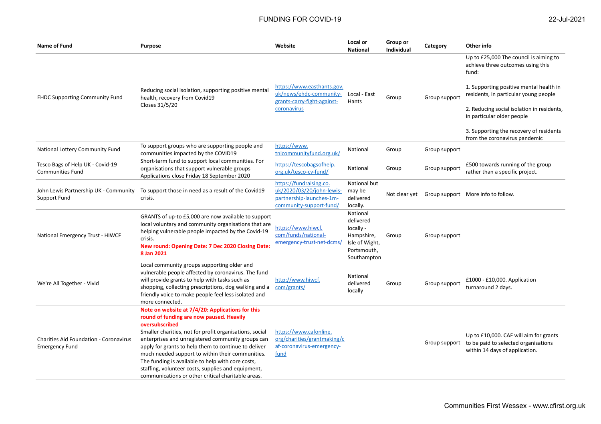| Name of Fund                                                           | <b>Purpose</b>                                                                                                                                                                                                                                                                                                                                                                                                                                                                                              | Website                                                                                                     | Local or<br><b>National</b>                                                                      | Group or<br><b>Individual</b> | Category      | Other info                                                                                                                                                                                                                                                                                                                       |
|------------------------------------------------------------------------|-------------------------------------------------------------------------------------------------------------------------------------------------------------------------------------------------------------------------------------------------------------------------------------------------------------------------------------------------------------------------------------------------------------------------------------------------------------------------------------------------------------|-------------------------------------------------------------------------------------------------------------|--------------------------------------------------------------------------------------------------|-------------------------------|---------------|----------------------------------------------------------------------------------------------------------------------------------------------------------------------------------------------------------------------------------------------------------------------------------------------------------------------------------|
| <b>EHDC Supporting Community Fund</b>                                  | Reducing social isolation, supporting positive mental<br>health, recovery from Covid19<br>Closes 31/5/20                                                                                                                                                                                                                                                                                                                                                                                                    | https://www.easthants.gov.<br>uk/news/ehdc-community-<br>grants-carry-fight-against-<br>coronavirus         | Local - East<br>Hants                                                                            | Group                         | Group support | Up to £25,000 The council is aiming to<br>achieve three outcomes using this<br>fund:<br>1. Supporting positive mental health in<br>residents, in particular young people<br>2. Reducing social isolation in residents,<br>in particular older people<br>3. Supporting the recovery of residents<br>from the coronavirus pandemic |
| National Lottery Community Fund                                        | To support groups who are supporting people and<br>communities impacted by the COVID19                                                                                                                                                                                                                                                                                                                                                                                                                      | https://www.<br>tnlcommunityfund.org.uk/                                                                    | National                                                                                         | Group                         | Group support |                                                                                                                                                                                                                                                                                                                                  |
| Tesco Bags of Help UK - Covid-19<br><b>Communities Fund</b>            | Short-term fund to support local communities. For<br>organisations that support vulnerable groups<br>Applications close Friday 18 September 2020                                                                                                                                                                                                                                                                                                                                                            | https://tescobagsofhelp.<br>org.uk/tesco-cv-fund/                                                           | National                                                                                         | Group                         | Group support | £500 towards running of the group<br>rather than a specific project.                                                                                                                                                                                                                                                             |
| John Lewis Partnership UK - Community<br>Support Fund                  | To support those in need as a result of the Covid19<br>crisis.                                                                                                                                                                                                                                                                                                                                                                                                                                              | https://fundraising.co.<br>uk/2020/03/20/john-lewis-<br>partnership-launches-1m-<br>community-support-fund/ | National but<br>may be<br>delivered<br>locally.                                                  |                               |               | Not clear yet Group support More info to follow.                                                                                                                                                                                                                                                                                 |
| National Emergency Trust - HIWCF                                       | GRANTS of up-to £5,000 are now available to support<br>local voluntary and community organisations that are<br>helping vulnerable people impacted by the Covid-19<br>crisis.<br>New round: Opening Date: 7 Dec 2020 Closing Date:<br>8 Jan 2021                                                                                                                                                                                                                                                             | https://www.hiwcf.<br>com/funds/national-<br>emergency-trust-net-dcms/                                      | National<br>delivered<br>locally -<br>Hampshire,<br>Isle of Wight,<br>Portsmouth,<br>Southampton | Group                         | Group support |                                                                                                                                                                                                                                                                                                                                  |
| We're All Together - Vivid                                             | Local community groups supporting older and<br>vulnerable people affected by coronavirus. The fund<br>will provide grants to help with tasks such as<br>shopping, collecting prescriptions, dog walking and a<br>friendly voice to make people feel less isolated and<br>more connected.                                                                                                                                                                                                                    | http://www.hiwcf.<br>com/grants/                                                                            | National<br>delivered<br>locally                                                                 | Group                         | Group support | £1000 - £10,000. Application<br>turnaround 2 days.                                                                                                                                                                                                                                                                               |
| <b>Charities Aid Foundation - Coronavirus</b><br><b>Emergency Fund</b> | Note on website at 7/4/20: Applications for this<br>round of funding are now paused. Heavily<br>oversubscribed<br>Smaller charities, not for profit organisations, social<br>enterprises and unregistered community groups can<br>apply for grants to help them to continue to deliver<br>much needed support to within their communities.<br>The funding is available to help with core costs,<br>staffing, volunteer costs, supplies and equipment,<br>communications or other critical charitable areas. | https://www.cafonline.<br>org/charities/grantmaking/c<br>af-coronavirus-emergency-<br>fund                  |                                                                                                  |                               |               | Up to £10,000. CAF will aim for grants<br>Group support to be paid to selected organisations<br>within 14 days of application.                                                                                                                                                                                                   |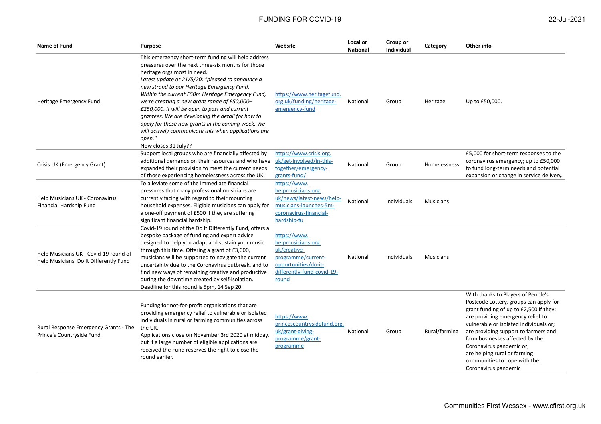| 22-Jul-2 |  |
|----------|--|
|          |  |

| Name of Fund                                                                    | Purpose                                                                                                                                                                                                                                                                                                                                                                                                                                                                                                                                                                                             | Website                                                                                                                                 | Local or<br><b>National</b> | Group or<br><b>Individual</b> | Category         | Other info                                                                                                                                                                                                                                                                                                                                                                                           |
|---------------------------------------------------------------------------------|-----------------------------------------------------------------------------------------------------------------------------------------------------------------------------------------------------------------------------------------------------------------------------------------------------------------------------------------------------------------------------------------------------------------------------------------------------------------------------------------------------------------------------------------------------------------------------------------------------|-----------------------------------------------------------------------------------------------------------------------------------------|-----------------------------|-------------------------------|------------------|------------------------------------------------------------------------------------------------------------------------------------------------------------------------------------------------------------------------------------------------------------------------------------------------------------------------------------------------------------------------------------------------------|
| Heritage Emergency Fund                                                         | This emergency short-term funding will help address<br>pressures over the next three-six months for those<br>heritage orgs most in need.<br>Latest update at 21/5/20: "pleased to announce a<br>new strand to our Heritage Emergency Fund.<br>Within the current £50m Heritage Emergency Fund,<br>we're creating a new grant range of £50,000-<br>£250,000. It will be open to past and current<br>grantees. We are developing the detail for how to<br>apply for these new grants in the coming week. We<br>will actively communicate this when applications are<br>open."<br>Now closes 31 July?? | https://www.heritagefund.<br>org.uk/funding/heritage-<br>emergency-fund                                                                 | National                    | Group                         | Heritage         | Up to £50,000.                                                                                                                                                                                                                                                                                                                                                                                       |
| Crisis UK (Emergency Grant)                                                     | Support local groups who are financially affected by<br>additional demands on their resources and who have<br>expanded their provision to meet the current needs<br>of those experiencing homelessness across the UK.                                                                                                                                                                                                                                                                                                                                                                               | https://www.crisis.org.<br>uk/get-involved/in-this-<br>together/emergency-<br>grants-fund/                                              | National                    | Group                         | Homelessness     | £5,000 for short-term responses to the<br>coronavirus emergency; up to £50,000<br>to fund long-term needs and potential<br>expansion or change in service delivery.                                                                                                                                                                                                                                  |
| Help Musicians UK - Coronavirus<br>Financial Hardship Fund                      | To alleviate some of the immediate financial<br>pressures that many professional musicians are<br>currently facing with regard to their mounting<br>household expenses. Eligible musicians can apply for<br>a one-off payment of £500 if they are suffering<br>significant financial hardship.                                                                                                                                                                                                                                                                                                      | https://www.<br>helpmusicians.org.<br>uk/news/latest-news/help-<br>musicians-launches-5m-<br>coronavirus-financial-<br>hardship-fu      | National                    | Individuals                   | <b>Musicians</b> |                                                                                                                                                                                                                                                                                                                                                                                                      |
| Help Musicians UK - Covid-19 round of<br>Help Musicians' Do It Differently Fund | Covid-19 round of the Do It Differently Fund, offers a<br>bespoke package of funding and expert advice<br>designed to help you adapt and sustain your music<br>through this time. Offering a grant of £3,000,<br>musicians will be supported to navigate the current<br>uncertainty due to the Coronavirus outbreak, and to<br>find new ways of remaining creative and productive<br>during the downtime created by self-isolation.<br>Deadline for this round is 5pm, 14 Sep 20                                                                                                                    | https://www.<br>helpmusicians.org.<br>uk/creative-<br>programme/current-<br>opportunities/do-it-<br>differently-fund-covid-19-<br>round | National                    | Individuals                   | <b>Musicians</b> |                                                                                                                                                                                                                                                                                                                                                                                                      |
| Rural Response Emergency Grants - The<br>Prince's Countryside Fund              | Funding for not-for-profit organisations that are<br>providing emergency relief to vulnerable or isolated<br>individuals in rural or farming communities across<br>the UK.<br>Applications close on November 3rd 2020 at midday,<br>but if a large number of eligible applications are<br>received the Fund reserves the right to close the<br>round earlier.                                                                                                                                                                                                                                       | https://www.<br>princescountrysidefund.org.<br>uk/grant-giving-<br>programme/grant-<br>programme                                        | National                    | Group                         | Rural/farming    | With thanks to Players of People's<br>Postcode Lottery, groups can apply for<br>grant funding of up to £2,500 if they:<br>are providing emergency relief to<br>vulnerable or isolated individuals or;<br>are providing support to farmers and<br>farm businesses affected by the<br>Coronavirus pandemic or;<br>are helping rural or farming<br>communities to cope with the<br>Coronavirus pandemic |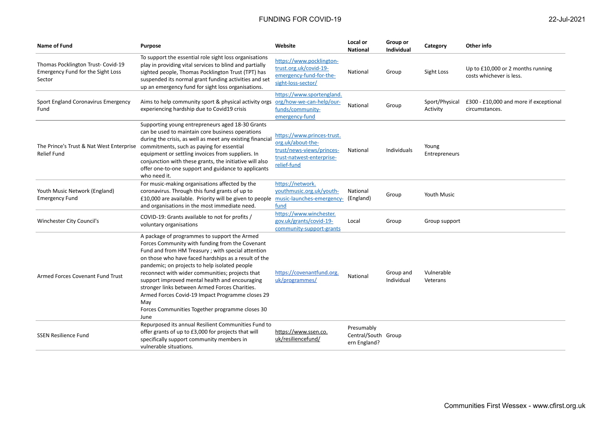| <b>Name of Fund</b>                                                               | <b>Purpose</b>                                                                                                                                                                                                                                                                                                                                                                                                                                                                                                                              | Website                                                                                                                  | Local or<br><b>National</b>                       | Group or<br><b>Individual</b> | Category                   | Other info                                                    |
|-----------------------------------------------------------------------------------|---------------------------------------------------------------------------------------------------------------------------------------------------------------------------------------------------------------------------------------------------------------------------------------------------------------------------------------------------------------------------------------------------------------------------------------------------------------------------------------------------------------------------------------------|--------------------------------------------------------------------------------------------------------------------------|---------------------------------------------------|-------------------------------|----------------------------|---------------------------------------------------------------|
| Thomas Pocklington Trust- Covid-19<br>Emergency Fund for the Sight Loss<br>Sector | To support the essential role sight loss organisations<br>play in providing vital services to blind and partially<br>sighted people, Thomas Pocklington Trust (TPT) has<br>suspended its normal grant funding activities and set<br>up an emergency fund for sight loss organisations.                                                                                                                                                                                                                                                      | https://www.pocklington-<br>trust.org.uk/covid-19-<br>emergency-fund-for-the-<br>sight-loss-sector/                      | National                                          | Group                         | Sight Loss                 | Up to £10,000 or 2 months running<br>costs whichever is less. |
| Sport England Coronavirus Emergency<br>Fund                                       | Aims to help community sport & physical activity orgs<br>experiencing hardship due to Covid19 crisis                                                                                                                                                                                                                                                                                                                                                                                                                                        | https://www.sportengland.<br>org/how-we-can-help/our-<br>funds/community-<br>emergency-fund                              | National                                          | Group                         | Sport/Physical<br>Activity | £300 - £10,000 and more if exceptional<br>circumstances.      |
| The Prince's Trust & Nat West Enterprise<br><b>Relief Fund</b>                    | Supporting young entrepreneurs aged 18-30 Grants<br>can be used to maintain core business operations<br>during the crisis, as well as meet any existing financial<br>commitments, such as paying for essential<br>equipment or settling invoices from suppliers. In<br>conjunction with these grants, the initiative will also<br>offer one-to-one support and guidance to applicants<br>who need it.                                                                                                                                       | https://www.princes-trust.<br>org.uk/about-the-<br>trust/news-views/princes-<br>trust-natwest-enterprise-<br>relief-fund | National                                          | Individuals                   | Young<br>Entrepreneurs     |                                                               |
| Youth Music Network (England)<br><b>Emergency Fund</b>                            | For music-making organisations affected by the<br>coronavirus. Through this fund grants of up to<br>£10,000 are available. Priority will be given to people<br>and organisations in the most immediate need.                                                                                                                                                                                                                                                                                                                                | https://network.<br>youthmusic.org.uk/youth-<br>music-launches-emergency-<br>fund                                        | National<br>(England)                             | Group                         | <b>Youth Music</b>         |                                                               |
| Winchester City Council's                                                         | COVID-19: Grants available to not for profits /<br>voluntary organisations                                                                                                                                                                                                                                                                                                                                                                                                                                                                  | https://www.winchester.<br>gov.uk/grants/covid-19-<br>community-support-grants                                           | Local                                             | Group                         | Group support              |                                                               |
| Armed Forces Covenant Fund Trust                                                  | A package of programmes to support the Armed<br>Forces Community with funding from the Covenant<br>Fund and from HM Treasury ; with special attention<br>on those who have faced hardships as a result of the<br>pandemic; on projects to help isolated people<br>reconnect with wider communities; projects that<br>support improved mental health and encouraging<br>stronger links between Armed Forces Charities.<br>Armed Forces Covid-19 Impact Programme closes 29<br>May<br>Forces Communities Together programme closes 30<br>June | https://covenantfund.org.<br>uk/programmes/                                                                              | National                                          | Group and<br>Individual       | Vulnerable<br>Veterans     |                                                               |
| <b>SSEN Resilience Fund</b>                                                       | Repurposed its annual Resilient Communities Fund to<br>offer grants of up to £3,000 for projects that will<br>specifically support community members in<br>vulnerable situations.                                                                                                                                                                                                                                                                                                                                                           | https://www.ssen.co.<br>uk/resiliencefund/                                                                               | Presumably<br>Central/South Group<br>ern England? |                               |                            |                                                               |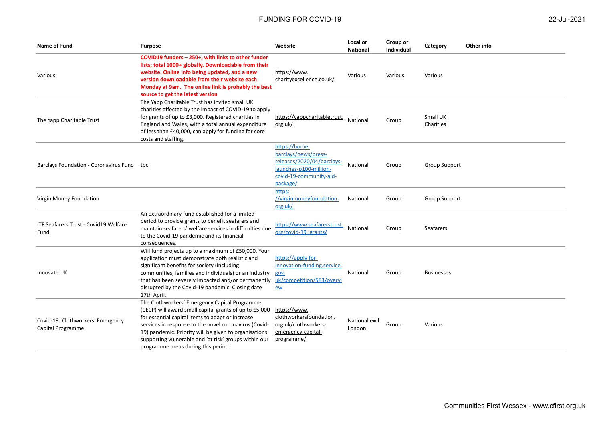| <b>Name of Fund</b>                                    | <b>Purpose</b>                                                                                                                                                                                                                                                                                                                                                                | Website                                                                                                                              | Local or<br><b>National</b> | Group or<br><b>Individual</b> | Category              | Other info |
|--------------------------------------------------------|-------------------------------------------------------------------------------------------------------------------------------------------------------------------------------------------------------------------------------------------------------------------------------------------------------------------------------------------------------------------------------|--------------------------------------------------------------------------------------------------------------------------------------|-----------------------------|-------------------------------|-----------------------|------------|
| Various                                                | COVID19 funders - 250+, with links to other funder<br>lists; total 1000+ globally. Downloadable from their<br>website. Online info being updated, and a new<br>version downloadable from their website each<br>Monday at 9am. The online link is probably the best<br>source to get the latest version                                                                        | https://www.<br>charityexcellence.co.uk/                                                                                             | Various                     | Various                       | Various               |            |
| The Yapp Charitable Trust                              | The Yapp Charitable Trust has invited small UK<br>charities affected by the impact of COVID-19 to apply<br>for grants of up to £3,000. Registered charities in<br>England and Wales, with a total annual expenditure<br>of less than £40,000, can apply for funding for core<br>costs and staffing.                                                                           | https://yappcharitabletrust.<br>org.uk/                                                                                              | National                    | Group                         | Small UK<br>Charities |            |
| Barclays Foundation - Coronavirus Fund tbc             |                                                                                                                                                                                                                                                                                                                                                                               | https://home.<br>barclays/news/press-<br>releases/2020/04/barclays-<br>launches-p100-million-<br>covid-19-community-aid-<br>package/ | National                    | Group                         | <b>Group Support</b>  |            |
| Virgin Money Foundation                                |                                                                                                                                                                                                                                                                                                                                                                               | https:<br>//virginmoneyfoundation.<br>org.uk/                                                                                        | National                    | Group                         | <b>Group Support</b>  |            |
| ITF Seafarers Trust - Covid19 Welfare<br>Fund          | An extraordinary fund established for a limited<br>period to provide grants to benefit seafarers and<br>maintain seafarers' welfare services in difficulties due<br>to the Covid-19 pandemic and its financial<br>consequences.                                                                                                                                               | https://www.seafarerstrust.<br>org/covid-19 grants/                                                                                  | National                    | Group                         | Seafarers             |            |
| Innovate UK                                            | Will fund projects up to a maximum of £50,000. Your<br>application must demonstrate both realistic and<br>significant benefits for society (including<br>communities, families and individuals) or an industry<br>that has been severely impacted and/or permanently<br>disrupted by the Covid-19 pandemic. Closing date<br>17th April.                                       | https://apply-for-<br>innovation-funding.service.<br>gov.<br>uk/competition/583/overvi<br>ew                                         | National                    | Group                         | <b>Businesses</b>     |            |
| Covid-19: Clothworkers' Emergency<br>Capital Programme | The Clothworkers' Emergency Capital Programme<br>(CECP) will award small capital grants of up to £5,000<br>for essential capital items to adapt or increase<br>services in response to the novel coronavirus (Covid-<br>19) pandemic. Priority will be given to organisations<br>supporting vulnerable and 'at risk' groups within our<br>programme areas during this period. | https://www.<br>clothworkersfoundation.<br>org.uk/clothworkers-<br>emergency-capital-<br>programme/                                  | National excl<br>London     | Group                         | Various               |            |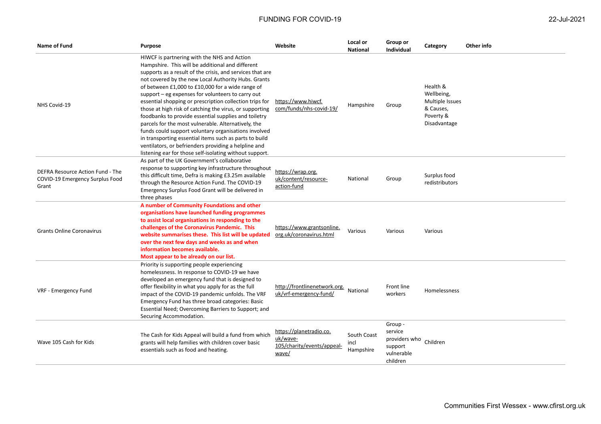| <b>Name of Fund</b>                                                          | <b>Purpose</b>                                                                                                                                                                                                                                                                                                                                                                                                                                                                                                                                                                                                                                                                                                                                                                                         | Website                                                                    | Local or<br>National             | Group or<br>Individual                                       | Category                                                                            | Other info |
|------------------------------------------------------------------------------|--------------------------------------------------------------------------------------------------------------------------------------------------------------------------------------------------------------------------------------------------------------------------------------------------------------------------------------------------------------------------------------------------------------------------------------------------------------------------------------------------------------------------------------------------------------------------------------------------------------------------------------------------------------------------------------------------------------------------------------------------------------------------------------------------------|----------------------------------------------------------------------------|----------------------------------|--------------------------------------------------------------|-------------------------------------------------------------------------------------|------------|
| NHS Covid-19                                                                 | HIWCF is partnering with the NHS and Action<br>Hampshire. This will be additional and different<br>supports as a result of the crisis, and services that are<br>not covered by the new Local Authority Hubs. Grants<br>of between £1,000 to £10,000 for a wide range of<br>support - eg expenses for volunteers to carry out<br>essential shopping or prescription collection trips for<br>those at high risk of catching the virus, or supporting<br>foodbanks to provide essential supplies and toiletry<br>parcels for the most vulnerable. Alternatively, the<br>funds could support voluntary organisations involved<br>in transporting essential items such as parts to build<br>ventilators, or befrienders providing a helpline and<br>listening ear for those self-isolating without support. | https://www.hiwcf.<br>com/funds/nhs-covid-19/                              | Hampshire                        | Group                                                        | Health &<br>Wellbeing,<br>Multiple Issues<br>& Causes,<br>Poverty &<br>Disadvantage |            |
| DEFRA Resource Action Fund - The<br>COVID-19 Emergency Surplus Food<br>Grant | As part of the UK Government's collaborative<br>response to supporting key infrastructure throughout<br>this difficult time, Defra is making £3.25m available<br>through the Resource Action Fund. The COVID-19<br>Emergency Surplus Food Grant will be delivered in<br>three phases                                                                                                                                                                                                                                                                                                                                                                                                                                                                                                                   | https://wrap.org.<br>uk/content/resource-<br>action-fund                   | National                         | Group                                                        | Surplus food<br>redistributors                                                      |            |
| <b>Grants Online Coronavirus</b>                                             | A number of Community Foundations and other<br>organisations have launched funding programmes<br>to assist local organisations in responding to the<br>challenges of the Coronavirus Pandemic. This<br>website summarises these. This list will be updated<br>over the next few days and weeks as and when<br>information becomes available.<br>Most appear to be already on our list.                                                                                                                                                                                                                                                                                                                                                                                                                 | https://www.grantsonline.<br>org.uk/coronavirus.html                       | Various                          | Various                                                      | Various                                                                             |            |
| VRF - Emergency Fund                                                         | Priority is supporting people experiencing<br>homelessness. In response to COVID-19 we have<br>developed an emergency fund that is designed to<br>offer flexibility in what you apply for as the full<br>impact of the COVID-19 pandemic unfolds. The VRF<br>Emergency Fund has three broad categories: Basic<br>Essential Need; Overcoming Barriers to Support; and<br>Securing Accommodation.                                                                                                                                                                                                                                                                                                                                                                                                        | http://frontlinenetwork.org. National<br>uk/vrf-emergency-fund/            |                                  | Front line<br>workers                                        | <b>Homelessness</b>                                                                 |            |
| Wave 105 Cash for Kids                                                       | The Cash for Kids Appeal will build a fund from which<br>grants will help families with children cover basic<br>essentials such as food and heating.                                                                                                                                                                                                                                                                                                                                                                                                                                                                                                                                                                                                                                                   | https://planetradio.co.<br>uk/wave-<br>105/charity/events/appeal-<br>wave/ | South Coast<br>incl<br>Hampshire | Group -<br>service<br>providers who<br>support<br>vulnerable | Children                                                                            |            |

children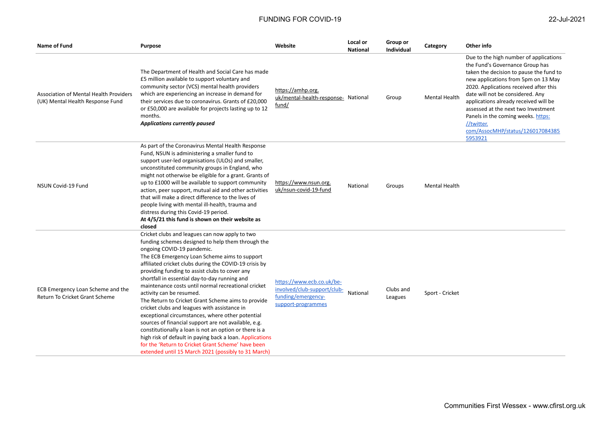| <b>Name of Fund</b>                                                        | <b>Purpose</b>                                                                                                                                                                                                                                                                                                                                                                                                                                                                                                                                                                                                                                                                                                                                                                                                                                                                          | Website                                                                                              | Local or<br><b>National</b> | Group or<br><b>Individual</b> | Category             | Other info                                                                                                                                                                                                                                                                                                                                                                                                                   |
|----------------------------------------------------------------------------|-----------------------------------------------------------------------------------------------------------------------------------------------------------------------------------------------------------------------------------------------------------------------------------------------------------------------------------------------------------------------------------------------------------------------------------------------------------------------------------------------------------------------------------------------------------------------------------------------------------------------------------------------------------------------------------------------------------------------------------------------------------------------------------------------------------------------------------------------------------------------------------------|------------------------------------------------------------------------------------------------------|-----------------------------|-------------------------------|----------------------|------------------------------------------------------------------------------------------------------------------------------------------------------------------------------------------------------------------------------------------------------------------------------------------------------------------------------------------------------------------------------------------------------------------------------|
| Association of Mental Health Providers<br>(UK) Mental Health Response Fund | The Department of Health and Social Care has made<br>£5 million available to support voluntary and<br>community sector (VCS) mental health providers<br>which are experiencing an increase in demand for<br>their services due to coronavirus. Grants of £20,000<br>or £50,000 are available for projects lasting up to 12<br>months.<br><b>Applications currently paused</b>                                                                                                                                                                                                                                                                                                                                                                                                                                                                                                           | https://amhp.org.<br>uk/mental-health-response- National<br>fund/                                    |                             | Group                         | <b>Mental Health</b> | Due to the high number of applications<br>the Fund's Governance Group has<br>taken the decision to pause the fund to<br>new applications from 5pm on 13 May<br>2020. Applications received after this<br>date will not be considered. Any<br>applications already received will be<br>assessed at the next two Investment<br>Panels in the coming weeks. https:<br>//twitter.<br>com/AssocMHP/status/126017084385<br>5953921 |
| NSUN Covid-19 Fund                                                         | As part of the Coronavirus Mental Health Response<br>Fund, NSUN is administering a smaller fund to<br>support user-led organisations (ULOs) and smaller,<br>unconstituted community groups in England, who<br>might not otherwise be eligible for a grant. Grants of<br>up to £1000 will be available to support community<br>action, peer support, mutual aid and other activities<br>that will make a direct difference to the lives of<br>people living with mental ill-health, trauma and<br>distress during this Covid-19 period.<br>At 4/5/21 this fund is shown on their website as<br>closed                                                                                                                                                                                                                                                                                    | https://www.nsun.org.<br>uk/nsun-covid-19-fund                                                       | National                    | Groups                        | <b>Mental Health</b> |                                                                                                                                                                                                                                                                                                                                                                                                                              |
| ECB Emergency Loan Scheme and the<br>Return To Cricket Grant Scheme        | Cricket clubs and leagues can now apply to two<br>funding schemes designed to help them through the<br>ongoing COVID-19 pandemic.<br>The ECB Emergency Loan Scheme aims to support<br>affiliated cricket clubs during the COVID-19 crisis by<br>providing funding to assist clubs to cover any<br>shortfall in essential day-to-day running and<br>maintenance costs until normal recreational cricket<br>activity can be resumed.<br>The Return to Cricket Grant Scheme aims to provide<br>cricket clubs and leagues with assistance in<br>exceptional circumstances, where other potential<br>sources of financial support are not available, e.g.<br>constitutionally a loan is not an option or there is a<br>high risk of default in paying back a loan. Applications<br>for the 'Return to Cricket Grant Scheme' have been<br>extended until 15 March 2021 (possibly to 31 March) | https://www.ecb.co.uk/be-<br>involved/club-support/club-<br>funding/emergency-<br>support-programmes | National                    | Clubs and<br>Leagues          | Sport - Cricket      |                                                                                                                                                                                                                                                                                                                                                                                                                              |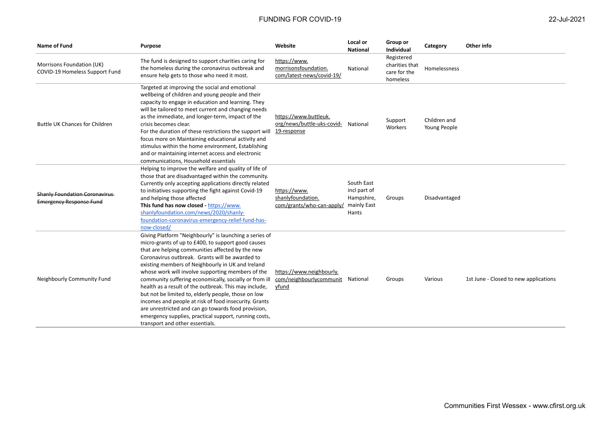| Name of Fund                                                           | Purpose                                                                                                                                                                                                                                                                                                                                                                                                                                                                                                                                                                                                                                                                                                             | Website                                                                     | Local or<br><b>National</b>                       | Group or<br><b>Individual</b>                            | Category                     | Other info                            |
|------------------------------------------------------------------------|---------------------------------------------------------------------------------------------------------------------------------------------------------------------------------------------------------------------------------------------------------------------------------------------------------------------------------------------------------------------------------------------------------------------------------------------------------------------------------------------------------------------------------------------------------------------------------------------------------------------------------------------------------------------------------------------------------------------|-----------------------------------------------------------------------------|---------------------------------------------------|----------------------------------------------------------|------------------------------|---------------------------------------|
| Morrisons Foundation (UK)<br>COVID-19 Homeless Support Fund            | The fund is designed to support charities caring for<br>the homeless during the coronavirus outbreak and<br>ensure help gets to those who need it most.                                                                                                                                                                                                                                                                                                                                                                                                                                                                                                                                                             | https://www.<br>morrisonsfoundation.<br>com/latest-news/covid-19/           | National                                          | Registered<br>charities that<br>care for the<br>homeless | Homelessness                 |                                       |
| <b>Buttle UK Chances for Children</b>                                  | Targeted at improving the social and emotional<br>wellbeing of children and young people and their<br>capacity to engage in education and learning. They<br>will be tailored to meet current and changing needs<br>as the immediate, and longer-term, impact of the<br>crisis becomes clear.<br>For the duration of these restrictions the support will<br>focus more on Maintaining educational activity and<br>stimulus within the home environment, Establishing<br>and or maintaining internet access and electronic<br>communications, Household essentials                                                                                                                                                    | https://www.buttleuk.<br>org/news/buttle-uks-covid- National<br>19-response |                                                   | Support<br>Workers                                       | Children and<br>Young People |                                       |
| <b>Shanly Foundation Coronavirus</b><br><b>Emergency Response Fund</b> | Helping to improve the welfare and quality of life of<br>those that are disadvantaged within the community.<br>Currently only accepting applications directly related<br>to initiatives supporting the fight against Covid-19<br>and helping those affected<br>This fund has now closed - https://www.<br>shanlyfoundation.com/news/2020/shanly-<br>foundation-coronavirus-emergency-relief-fund-has-<br>now-closed/                                                                                                                                                                                                                                                                                                | https://www.<br>shanlyfoundation.<br>com/grants/who-can-apply/ mainly East  | South East<br>incl part of<br>Hampshire,<br>Hants | Groups                                                   | Disadvantaged                |                                       |
| Neighbourly Community Fund                                             | Giving Platform "Neighbourly" is launching a series of<br>micro-grants of up to £400, to support good causes<br>that are helping communities affected by the new<br>Coronavirus outbreak. Grants will be awarded to<br>existing members of Neighbourly in UK and Ireland<br>whose work will involve supporting members of the<br>community suffering economically, socially or from ill<br>health as a result of the outbreak. This may include,<br>but not be limited to, elderly people, those on low<br>incomes and people at risk of food insecurity. Grants<br>are unrestricted and can go towards food provision,<br>emergency supplies, practical support, running costs,<br>transport and other essentials. | https://www.neighbourly.<br>com/neighbourlycommunit<br>yfund                | National                                          | Groups                                                   | Various                      | 1st June - Closed to new applications |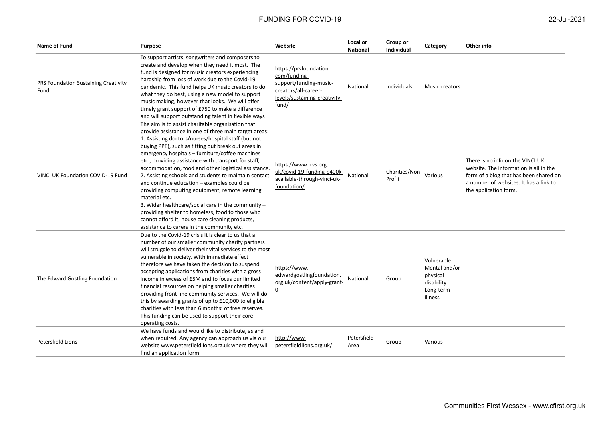| <b>Name of Fund</b>                          | <b>Purpose</b>                                                                                                                                                                                                                                                                                                                                                                                                                                                                                                                                                                                                                                                                                                                                                                     | Website                                                                                                                            | Local or<br><b>National</b> | Group or<br><b>Individual</b> | Category                                                                      | Other info                                                                                                                                                                              |
|----------------------------------------------|------------------------------------------------------------------------------------------------------------------------------------------------------------------------------------------------------------------------------------------------------------------------------------------------------------------------------------------------------------------------------------------------------------------------------------------------------------------------------------------------------------------------------------------------------------------------------------------------------------------------------------------------------------------------------------------------------------------------------------------------------------------------------------|------------------------------------------------------------------------------------------------------------------------------------|-----------------------------|-------------------------------|-------------------------------------------------------------------------------|-----------------------------------------------------------------------------------------------------------------------------------------------------------------------------------------|
| PRS Foundation Sustaining Creativity<br>Fund | To support artists, songwriters and composers to<br>create and develop when they need it most. The<br>fund is designed for music creators experiencing<br>hardship from loss of work due to the Covid-19<br>pandemic. This fund helps UK music creators to do<br>what they do best, using a new model to support<br>music making, however that looks. We will offer<br>timely grant support of £750 to make a difference<br>and will support outstanding talent in flexible ways                                                                                                                                                                                                                                                                                                   | https://prsfoundation.<br>com/funding-<br>support/funding-music-<br>creators/all-career-<br>levels/sustaining-creativity-<br>fund/ | National                    | Individuals                   | Music creators                                                                |                                                                                                                                                                                         |
| VINCLUK Foundation COVID-19 Fund             | The aim is to assist charitable organisation that<br>provide assistance in one of three main target areas:<br>1. Assisting doctors/nurses/hospital staff (but not<br>buying PPE), such as fitting out break out areas in<br>emergency hospitals - furniture/coffee machines<br>etc., providing assistance with transport for staff,<br>accommodation, food and other logistical assistance.<br>2. Assisting schools and students to maintain contact<br>and continue education - examples could be<br>providing computing equipment, remote learning<br>material etc.<br>3. Wider healthcare/social care in the community $-$<br>providing shelter to homeless, food to those who<br>cannot afford it, house care cleaning products,<br>assistance to carers in the community etc. | https://www.lcvs.org.<br>uk/covid-19-funding-e400k-<br>available-through-vinci-uk-<br>foundation/                                  | National                    | Charities/Non<br>Profit       | Various                                                                       | There is no info on the VINCI UK<br>website. The information is all in the<br>form of a blog that has been shared on<br>a number of websites. It has a link to<br>the application form. |
| The Edward Gostling Foundation               | Due to the Covid-19 crisis it is clear to us that a<br>number of our smaller community charity partners<br>will struggle to deliver their vital services to the most<br>vulnerable in society. With immediate effect<br>therefore we have taken the decision to suspend<br>accepting applications from charities with a gross<br>income in excess of £5M and to focus our limited<br>financial resources on helping smaller charities<br>providing front line community services. We will do<br>this by awarding grants of up to £10,000 to eligible<br>charities with less than 6 months' of free reserves.<br>This funding can be used to support their core<br>operating costs.                                                                                                 | https://www.<br>edwardgostlingfoundation.<br>org.uk/content/apply-grant-<br><u>0</u>                                               | National                    | Group                         | Vulnerable<br>Mental and/or<br>physical<br>disability<br>Long-term<br>illness |                                                                                                                                                                                         |
| Petersfield Lions                            | We have funds and would like to distribute, as and<br>when required. Any agency can approach us via our<br>website www.petersfieldlions.org.uk where they will<br>find an application form.                                                                                                                                                                                                                                                                                                                                                                                                                                                                                                                                                                                        | http://www.<br>petersfieldlions.org.uk/                                                                                            | Petersfield<br>Area         | Group                         | Various                                                                       |                                                                                                                                                                                         |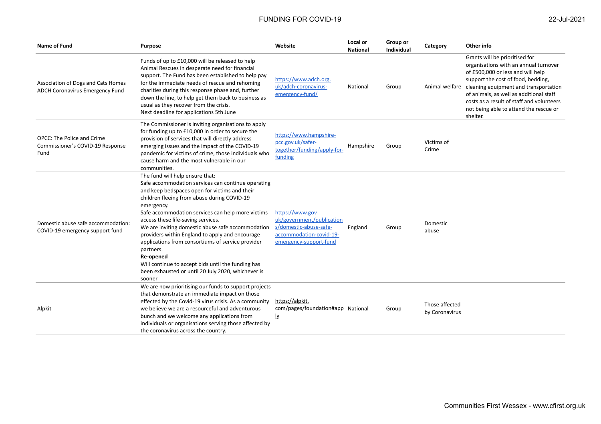| Name of Fund                                                                  | <b>Purpose</b>                                                                                                                                                                                                                                                                                                                                                                                                                                                                                                                                                                                              | Website                                                                                                                      | Local or<br><b>National</b> | Group or<br><b>Individual</b> | Category                         | Other info                                                                                                                                                                                                                                                                                                                                               |
|-------------------------------------------------------------------------------|-------------------------------------------------------------------------------------------------------------------------------------------------------------------------------------------------------------------------------------------------------------------------------------------------------------------------------------------------------------------------------------------------------------------------------------------------------------------------------------------------------------------------------------------------------------------------------------------------------------|------------------------------------------------------------------------------------------------------------------------------|-----------------------------|-------------------------------|----------------------------------|----------------------------------------------------------------------------------------------------------------------------------------------------------------------------------------------------------------------------------------------------------------------------------------------------------------------------------------------------------|
| Association of Dogs and Cats Homes<br><b>ADCH Coronavirus Emergency Fund</b>  | Funds of up to £10,000 will be released to help<br>Animal Rescues in desperate need for financial<br>support. The Fund has been established to help pay<br>for the immediate needs of rescue and rehoming<br>charities during this response phase and, further<br>down the line, to help get them back to business as<br>usual as they recover from the crisis.<br>Next deadline for applications 5th June                                                                                                                                                                                                  | https://www.adch.org.<br>uk/adch-coronavirus-<br>emergency-fund/                                                             | National                    | Group                         |                                  | Grants will be prioritised for<br>organisations with an annual turnover<br>of £500,000 or less and will help<br>support the cost of food, bedding,<br>Animal welfare cleaning equipment and transportation<br>of animals, as well as additional staff<br>costs as a result of staff and volunteers<br>not being able to attend the rescue or<br>shelter. |
| <b>OPCC: The Police and Crime</b><br>Commissioner's COVID-19 Response<br>Fund | The Commissioner is inviting organisations to apply<br>for funding up to £10,000 in order to secure the<br>provision of services that will directly address<br>emerging issues and the impact of the COVID-19<br>pandemic for victims of crime, those individuals who<br>cause harm and the most vulnerable in our<br>communities.                                                                                                                                                                                                                                                                          | https://www.hampshire-<br>pcc.gov.uk/safer-<br>together/funding/apply-for-<br>funding                                        | Hampshire                   | Group                         | Victims of<br>Crime              |                                                                                                                                                                                                                                                                                                                                                          |
| Domestic abuse safe accommodation:<br>COVID-19 emergency support fund         | The fund will help ensure that:<br>Safe accommodation services can continue operating<br>and keep bedspaces open for victims and their<br>children fleeing from abuse during COVID-19<br>emergency.<br>Safe accommodation services can help more victims<br>access these life-saving services.<br>We are inviting domestic abuse safe accommodation<br>providers within England to apply and encourage<br>applications from consortiums of service provider<br>partners.<br>Re-opened<br>Will continue to accept bids until the funding has<br>been exhausted or until 20 July 2020, whichever is<br>sooner | https://www.gov.<br>uk/government/publication<br>s/domestic-abuse-safe-<br>accommodation-covid-19-<br>emergency-support-fund | England                     | Group                         | Domestic<br>abuse                |                                                                                                                                                                                                                                                                                                                                                          |
| Alpkit                                                                        | We are now prioritising our funds to support projects<br>that demonstrate an immediate impact on those<br>effected by the Covid-19 virus crisis. As a community<br>we believe we are a resourceful and adventurous<br>bunch and we welcome any applications from<br>individuals or organisations serving those affected by<br>the coronavirus across the country.                                                                                                                                                                                                                                           | https://alpkit.<br>com/pages/foundation#app National<br>lγ                                                                   |                             | Group                         | Those affected<br>by Coronavirus |                                                                                                                                                                                                                                                                                                                                                          |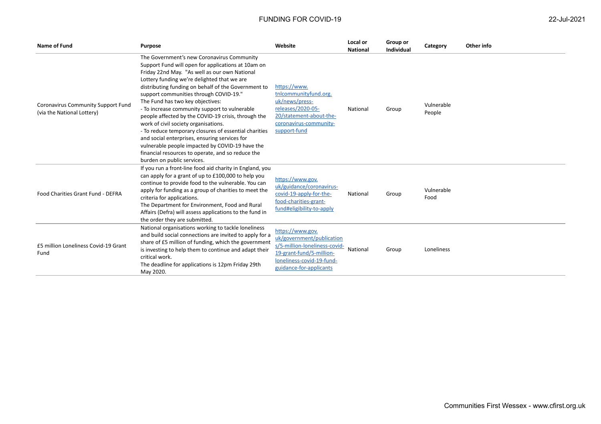| Name of Fund                                                     | <b>Purpose</b>                                                                                                                                                                                                                                                                                                                                                                                                                                                                                                                                                                                                                                                                                                                        | Website                                                                                                                                                            | Local or<br><b>National</b> | Group or<br><b>Individual</b> | Category             | Other info |
|------------------------------------------------------------------|---------------------------------------------------------------------------------------------------------------------------------------------------------------------------------------------------------------------------------------------------------------------------------------------------------------------------------------------------------------------------------------------------------------------------------------------------------------------------------------------------------------------------------------------------------------------------------------------------------------------------------------------------------------------------------------------------------------------------------------|--------------------------------------------------------------------------------------------------------------------------------------------------------------------|-----------------------------|-------------------------------|----------------------|------------|
| Coronavirus Community Support Fund<br>(via the National Lottery) | The Government's new Coronavirus Community<br>Support Fund will open for applications at 10am on<br>Friday 22nd May. "As well as our own National<br>Lottery funding we're delighted that we are<br>distributing funding on behalf of the Government to<br>support communities through COVID-19."<br>The Fund has two key objectives:<br>- To increase community support to vulnerable<br>people affected by the COVID-19 crisis, through the<br>work of civil society organisations.<br>- To reduce temporary closures of essential charities<br>and social enterprises, ensuring services for<br>vulnerable people impacted by COVID-19 have the<br>financial resources to operate, and so reduce the<br>burden on public services. | https://www.<br>tnlcommunityfund.org.<br>uk/news/press-<br>releases/2020-05-<br>20/statement-about-the-<br>coronavirus-community-<br>support-fund                  | National                    | Group                         | Vulnerable<br>People |            |
| Food Charities Grant Fund - DEFRA                                | If you run a front-line food aid charity in England, you<br>can apply for a grant of up to £100,000 to help you<br>continue to provide food to the vulnerable. You can<br>apply for funding as a group of charities to meet the<br>criteria for applications.<br>The Department for Environment, Food and Rural<br>Affairs (Defra) will assess applications to the fund in<br>the order they are submitted.                                                                                                                                                                                                                                                                                                                           | https://www.gov.<br>uk/guidance/coronavirus-<br>covid-19-apply-for-the-<br>food-charities-grant-<br>fund#eligibility-to-apply                                      | National                    | Group                         | Vulnerable<br>Food   |            |
| £5 million Loneliness Covid-19 Grant<br>Fund                     | National organisations working to tackle loneliness<br>and build social connections are invited to apply for a<br>share of £5 million of funding, which the government<br>is investing to help them to continue and adapt their<br>critical work.<br>The deadline for applications is 12pm Friday 29th<br>May 2020.                                                                                                                                                                                                                                                                                                                                                                                                                   | https://www.gov.<br>uk/government/publication<br>s/5-million-loneliness-covid-<br>19-grant-fund/5-million-<br>loneliness-covid-19-fund-<br>guidance-for-applicants | National                    | Group                         | Loneliness           |            |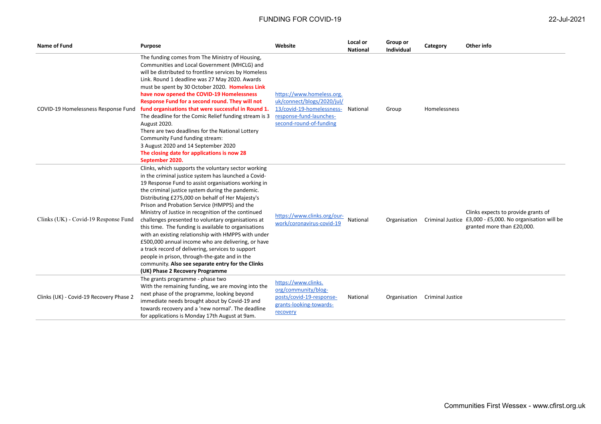| <b>Name of Fund</b>                     | Purpose                                                                                                                                                                                                                                                                                                                                                                                                                                                                                                                                                                                                                                                                                                                                                                                                    | Website                                                                                                                                             | Local or<br><b>National</b> | Group or<br>Individual | Category                | Other info                                                                                                                     |
|-----------------------------------------|------------------------------------------------------------------------------------------------------------------------------------------------------------------------------------------------------------------------------------------------------------------------------------------------------------------------------------------------------------------------------------------------------------------------------------------------------------------------------------------------------------------------------------------------------------------------------------------------------------------------------------------------------------------------------------------------------------------------------------------------------------------------------------------------------------|-----------------------------------------------------------------------------------------------------------------------------------------------------|-----------------------------|------------------------|-------------------------|--------------------------------------------------------------------------------------------------------------------------------|
| COVID-19 Homelessness Response Fund     | The funding comes from The Ministry of Housing,<br>Communities and Local Government (MHCLG) and<br>will be distributed to frontline services by Homeless<br>Link. Round 1 deadline was 27 May 2020. Awards<br>must be spent by 30 October 2020. Homeless Link<br>have now opened the COVID-19 Homelessness<br>Response Fund for a second round. They will not<br>fund organisations that were successful in Round 1.<br>The deadline for the Comic Relief funding stream is 3<br><b>August 2020.</b><br>There are two deadlines for the National Lottery<br>Community Fund funding stream:<br>3 August 2020 and 14 September 2020<br>The closing date for applications is now 28<br>September 2020.                                                                                                        | https://www.homeless.org.<br>uk/connect/blogs/2020/jul/<br>13/covid-19-homelessness- National<br>response-fund-launches-<br>second-round-of-funding |                             | Group                  | Homelessness            |                                                                                                                                |
| Clinks (UK) - Covid-19 Response Fund    | Clinks, which supports the voluntary sector working<br>in the criminal justice system has launched a Covid-<br>19 Response Fund to assist organisations working in<br>the criminal justice system during the pandemic.<br>Distributing £275,000 on behalf of Her Majesty's<br>Prison and Probation Service (HMPPS) and the<br>Ministry of Justice in recognition of the continued<br>challenges presented to voluntary organisations at<br>this time. The funding is available to organisations<br>with an existing relationship with HMPPS with under<br>£500,000 annual income who are delivering, or have<br>a track record of delivering, services to support<br>people in prison, through-the-gate and in the<br>community. Also see separate entry for the Clinks<br>(UK) Phase 2 Recovery Programme | https://www.clinks.org/our-<br>work/coronavirus-covid-19                                                                                            | National                    | Organisation           |                         | Clinks expects to provide grants of<br>Criminal Justice £3,000 - £5,000. No organisation will be<br>granted more than £20,000. |
| Clinks (UK) - Covid-19 Recovery Phase 2 | The grants programme - phase two<br>With the remaining funding, we are moving into the<br>next phase of the programme, looking beyond<br>immediate needs brought about by Covid-19 and<br>towards recovery and a 'new normal'. The deadline<br>for applications is Monday 17th August at 9am.                                                                                                                                                                                                                                                                                                                                                                                                                                                                                                              | https://www.clinks.<br>org/community/blog-<br>posts/covid-19-response-<br>grants-looking-towards-<br>recovery                                       | National                    | Organisation           | <b>Criminal Justice</b> |                                                                                                                                |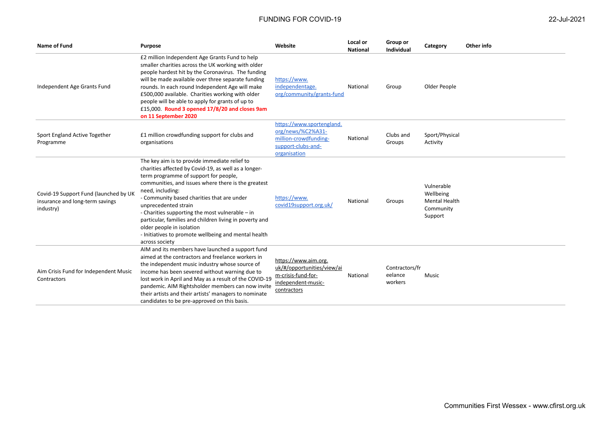| 22-Jul-2021 |
|-------------|
|-------------|

| Name of Fund                                                                          | <b>Purpose</b>                                                                                                                                                                                                                                                                                                                                                                                                                                                                                                       | Website                                                                                                       | Local or<br><b>National</b> | Group or<br>Individual               | Category                                                                | Other info |
|---------------------------------------------------------------------------------------|----------------------------------------------------------------------------------------------------------------------------------------------------------------------------------------------------------------------------------------------------------------------------------------------------------------------------------------------------------------------------------------------------------------------------------------------------------------------------------------------------------------------|---------------------------------------------------------------------------------------------------------------|-----------------------------|--------------------------------------|-------------------------------------------------------------------------|------------|
| Independent Age Grants Fund                                                           | £2 million Independent Age Grants Fund to help<br>smaller charities across the UK working with older<br>people hardest hit by the Coronavirus. The funding<br>will be made available over three separate funding<br>rounds. In each round Independent Age will make<br>£500,000 available. Charities working with older<br>people will be able to apply for grants of up to<br>£15,000. Round 3 opened 17/8/20 and closes 9am<br>on 11 September 2020                                                                | https://www.<br>independentage.<br>org/community/grants-fund                                                  | National                    | Group                                | Older People                                                            |            |
| Sport England Active Together<br>Programme                                            | £1 million crowdfunding support for clubs and<br>organisations                                                                                                                                                                                                                                                                                                                                                                                                                                                       | https://www.sportengland.<br>org/news/%C2%A31-<br>million-crowdfunding-<br>support-clubs-and-<br>organisation | National                    | Clubs and<br>Groups                  | Sport/Physical<br>Activity                                              |            |
| Covid-19 Support Fund (launched by UK<br>insurance and long-term savings<br>industry) | The key aim is to provide immediate relief to<br>charities affected by Covid-19, as well as a longer-<br>term programme of support for people,<br>communities, and issues where there is the greatest<br>need, including:<br>- Community based charities that are under<br>unprecedented strain<br>- Charities supporting the most vulnerable - in<br>particular, families and children living in poverty and<br>older people in isolation<br>- Initiatives to promote wellbeing and mental health<br>across society | https://www.<br>covid19support.org.uk/                                                                        | National                    | Groups                               | Vulnerable<br>Wellbeing<br><b>Mental Health</b><br>Community<br>Support |            |
| Aim Crisis Fund for Independent Music<br>Contractors                                  | AIM and its members have launched a support fund<br>aimed at the contractors and freelance workers in<br>the independent music industry whose source of<br>income has been severed without warning due to<br>lost work in April and May as a result of the COVID-19<br>pandemic. AIM Rightsholder members can now invite<br>their artists and their artists' managers to nominate<br>candidates to be pre-approved on this basis.                                                                                    | https://www.aim.org.<br>uk/#/opportunities/view/ai<br>m-crisis-fund-for-<br>independent-music-<br>contractors | National                    | Contractors/fr<br>eelance<br>workers | Music                                                                   |            |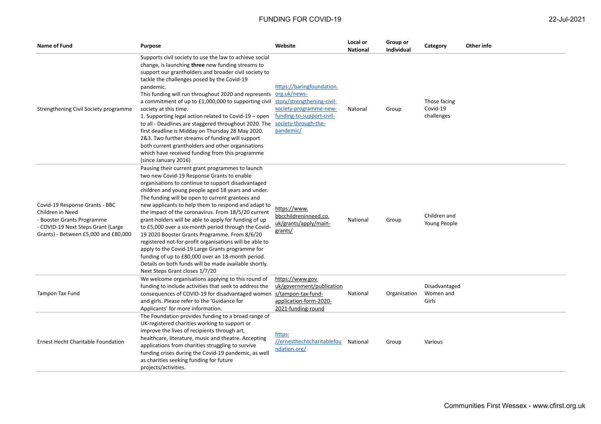| Name of Fund                                                                                                                                                   | Purpose                                                                                                                                                                                                                                                                                                                                                                                                                                                                                                                                                                                                                                                                                                                                                                                                       | Website                                                                                                                                                             | Local or<br><b>National</b> | Group or<br>Individual | Category                               | Other info |
|----------------------------------------------------------------------------------------------------------------------------------------------------------------|---------------------------------------------------------------------------------------------------------------------------------------------------------------------------------------------------------------------------------------------------------------------------------------------------------------------------------------------------------------------------------------------------------------------------------------------------------------------------------------------------------------------------------------------------------------------------------------------------------------------------------------------------------------------------------------------------------------------------------------------------------------------------------------------------------------|---------------------------------------------------------------------------------------------------------------------------------------------------------------------|-----------------------------|------------------------|----------------------------------------|------------|
| Strengthening Civil Society programme                                                                                                                          | Supports civil society to use the law to achieve social<br>change, is launching three new funding streams to<br>support our grantholders and broader civil society to<br>tackle the challenges posed by the Covid-19<br>pandemic.<br>This funding will run throughout 2020 and represents<br>a commitment of up to £1,000,000 to supporting civil<br>society at this time.<br>1. Supporting legal action related to Covid-19 – open<br>to all - Deadlines are staggered throughout 2020. The<br>first deadline is Midday on Thursday 28 May 2020.<br>2&3. Two further streams of funding will support<br>both current grantholders and other organisations<br>which have received funding from this programme<br>(since January 2016)                                                                         | https://baringfoundation.<br>org.uk/news-<br>story/strengthening-civil-<br>society-programme-new-<br>funding-to-support-civil-<br>society-through-the-<br>pandemic/ | Natonal                     | Group                  | Those facing<br>Covid-19<br>challenges |            |
| Covid-19 Response Grants - BBC<br>Children in Need<br>- Booster Grants Programme<br>- COVID-19 Next Steps Grant (Large<br>Grants) - Between £5,000 and £80,000 | Pausing their current grant programmes to launch<br>two new Covid-19 Response Grants to enable<br>organisations to continue to support disadvantaged<br>children and young people aged 18 years and under.<br>The funding will be open to current grantees and<br>new applicants to help them to respond and adapt to<br>the impact of the coronavirus. From 18/5/20 current<br>grant-holders will be able to apply for funding of up<br>to £5,000 over a six-month period through the Covid-<br>19 2020 Booster Grants Programme. From 8/6/20<br>registered not-for-profit organisations will be able to<br>apply to the Covid-19 Large Grants programme for<br>funding of up to £80,000 over an 18-month period.<br>Details on both funds will be made available shortly.<br>Next Steps Grant closes 1/7/20 | https://www.<br>bbcchildreninneed.co.<br>uk/grants/apply/main-<br>grants/                                                                                           | National                    | Group                  | Children and<br>Young People           |            |
| Tampon Tax Fund                                                                                                                                                | We welcome organisations applying to this round of<br>funding to include activities that seek to address the<br>consequences of COVID-19 for disadvantaged women<br>and girls. Please refer to the 'Guidance for<br>Applicants' for more information.                                                                                                                                                                                                                                                                                                                                                                                                                                                                                                                                                         | https://www.gov.<br>uk/government/publication<br>s/tampon-tax-fund-<br>application-form-2020-<br>2021-funding-round                                                 | National                    | Organisation           | Disadvantaged<br>Women and<br>Girls    |            |
| Ernest Hecht Charitable Foundation                                                                                                                             | The Foundation provides funding to a broad range of<br>UK-registered charities working to support or<br>improve the lives of recipients through art,<br>healthcare, literature, music and theatre. Accepting<br>applications from charities struggling to survive<br>funding crises during the Covid-19 pandemic, as well<br>as charities seeking funding for future<br>projects/activities.                                                                                                                                                                                                                                                                                                                                                                                                                  | https:<br>//ernesthechtcharitablefou<br>ndation.org/                                                                                                                | National                    | Group                  | Various                                |            |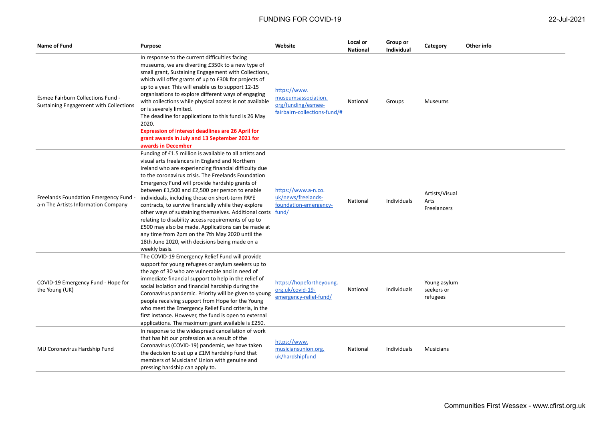| Name of Fund                                                                | Purpose                                                                                                                                                                                                                                                                                                                                                                                                                                                                                                                                                                                                                                                                                                                                     | Website                                                                                   | Local or<br><b>National</b> | Group or<br><b>Individual</b> | Category                               | Other info |
|-----------------------------------------------------------------------------|---------------------------------------------------------------------------------------------------------------------------------------------------------------------------------------------------------------------------------------------------------------------------------------------------------------------------------------------------------------------------------------------------------------------------------------------------------------------------------------------------------------------------------------------------------------------------------------------------------------------------------------------------------------------------------------------------------------------------------------------|-------------------------------------------------------------------------------------------|-----------------------------|-------------------------------|----------------------------------------|------------|
| Esmee Fairburn Collections Fund -<br>Sustaining Engagement with Collections | In response to the current difficulties facing<br>museums, we are diverting £350k to a new type of<br>small grant, Sustaining Engagement with Collections,<br>which will offer grants of up to £30k for projects of<br>up to a year. This will enable us to support 12-15<br>organisations to explore different ways of engaging<br>with collections while physical access is not available<br>or is severely limited.<br>The deadline for applications to this fund is 26 May<br>2020.<br><b>Expression of interest deadlines are 26 April for</b><br>grant awards in July and 13 September 2021 for<br>awards in December                                                                                                                 | https://www.<br>museumsassociation.<br>org/funding/esmee-<br>fairbairn-collections-fund/# | National                    | Groups                        | Museums                                |            |
| Freelands Foundation Emergency Fund<br>a-n The Artists Information Company  | Funding of £1.5 million is available to all artists and<br>visual arts freelancers in England and Northern<br>Ireland who are experiencing financial difficulty due<br>to the coronavirus crisis. The Freelands Foundation<br>Emergency Fund will provide hardship grants of<br>between £1,500 and £2,500 per person to enable<br>individuals, including those on short-term PAYE<br>contracts, to survive financially while they explore<br>other ways of sustaining themselves. Additional costs fund/<br>relating to disability access requirements of up to<br>£500 may also be made. Applications can be made at<br>any time from 2pm on the 7th May 2020 until the<br>18th June 2020, with decisions being made on a<br>weekly basis. | https://www.a-n.co.<br>uk/news/freelands-<br>foundation-emergency-                        | National                    | Individuals                   | Artists/Visual<br>Arts<br>Freelancers  |            |
| COVID-19 Emergency Fund - Hope for<br>the Young (UK)                        | The COVID-19 Emergency Relief Fund will provide<br>support for young refugees or asylum seekers up to<br>the age of 30 who are vulnerable and in need of<br>immediate financial support to help in the relief of<br>social isolation and financial hardship during the<br>Coronavirus pandemic. Priority will be given to young<br>people receiving support from Hope for the Young<br>who meet the Emergency Relief Fund criteria, in the<br>first instance. However, the fund is open to external<br>applications. The maximum grant available is £250.                                                                                                                                                                                   | https://hopefortheyoung.<br>org.uk/covid-19-<br>emergency-relief-fund/                    | National                    | Individuals                   | Young asylum<br>seekers or<br>refugees |            |
| MU Coronavirus Hardship Fund                                                | In response to the widespread cancellation of work<br>that has hit our profession as a result of the<br>Coronavirus (COVID-19) pandemic, we have taken<br>the decision to set up a £1M hardship fund that<br>members of Musicians' Union with genuine and<br>pressing hardship can apply to.                                                                                                                                                                                                                                                                                                                                                                                                                                                | https://www.<br>musiciansunion.org.<br>uk/hardshipfund                                    | National                    | Individuals                   | <b>Musicians</b>                       |            |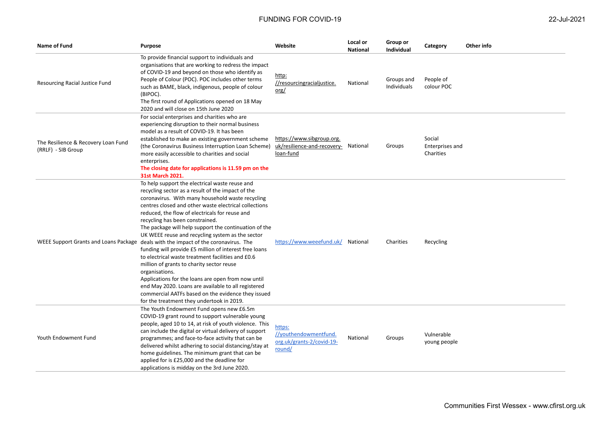| Name of Fund                                              | <b>Purpose</b>                                                                                                                                                                                                                                                                                                                                                                                                                                                                                                                                                                                                                                                                                                                                                                                                                                                                                          | Website                                                                        | Local or<br><b>National</b> | Group or<br><b>Individual</b> | Category                               | Other info |
|-----------------------------------------------------------|---------------------------------------------------------------------------------------------------------------------------------------------------------------------------------------------------------------------------------------------------------------------------------------------------------------------------------------------------------------------------------------------------------------------------------------------------------------------------------------------------------------------------------------------------------------------------------------------------------------------------------------------------------------------------------------------------------------------------------------------------------------------------------------------------------------------------------------------------------------------------------------------------------|--------------------------------------------------------------------------------|-----------------------------|-------------------------------|----------------------------------------|------------|
| Resourcing Racial Justice Fund                            | To provide financial support to individuals and<br>organisations that are working to redress the impact<br>of COVID-19 and beyond on those who identify as<br>People of Colour (POC). POC includes other terms<br>such as BAME, black, indigenous, people of colour<br>(BIPOC).<br>The first round of Applications opened on 18 May<br>2020 and will close on 15th June 2020                                                                                                                                                                                                                                                                                                                                                                                                                                                                                                                            | http:<br>//resourcingracialjustice.<br>$org/$                                  | National                    | Groups and<br>Individuals     | People of<br>colour POC                |            |
| The Resilience & Recovery Loan Fund<br>(RRLF) - SIB Group | For social enterprises and charities who are<br>experiencing disruption to their normal business<br>model as a result of COVID-19. It has been<br>established to make an existing government scheme<br>(the Coronavirus Business Interruption Loan Scheme)<br>more easily accessible to charities and social<br>enterprises.<br>The closing date for applications is 11.59 pm on the<br>31st March 2021.                                                                                                                                                                                                                                                                                                                                                                                                                                                                                                | https://www.sibgroup.org.<br>uk/resilience-and-recovery- National<br>loan-fund |                             | Groups                        | Social<br>Enterprises and<br>Charities |            |
|                                                           | To help support the electrical waste reuse and<br>recycling sector as a result of the impact of the<br>coronavirus. With many household waste recycling<br>centres closed and other waste electrical collections<br>reduced, the flow of electricals for reuse and<br>recycling has been constrained.<br>The package will help support the continuation of the<br>UK WEEE reuse and recycling system as the sector<br>WEEE Support Grants and Loans Package deals with the impact of the coronavirus. The<br>funding will provide £5 million of interest free loans<br>to electrical waste treatment facilities and £0.6<br>million of grants to charity sector reuse<br>organisations.<br>Applications for the loans are open from now until<br>end May 2020. Loans are available to all registered<br>commercial AATFs based on the evidence they issued<br>for the treatment they undertook in 2019. | https://www.weeefund.uk/ National                                              |                             | Charities                     | Recycling                              |            |
| Youth Endowment Fund                                      | The Youth Endowment Fund opens new £6.5m<br>COVID-19 grant round to support vulnerable young<br>people, aged 10 to 14, at risk of youth violence. This<br>can include the digital or virtual delivery of support<br>programmes; and face-to-face activity that can be<br>delivered whilst adhering to social distancing/stay at<br>home guidelines. The minimum grant that can be<br>applied for is £25,000 and the deadline for<br>applications is midday on the 3rd June 2020.                                                                                                                                                                                                                                                                                                                                                                                                                        | https:<br>//youthendowmentfund.<br>org.uk/grants-2/covid-19-<br>round/         | National                    | Groups                        | Vulnerable<br>young people             |            |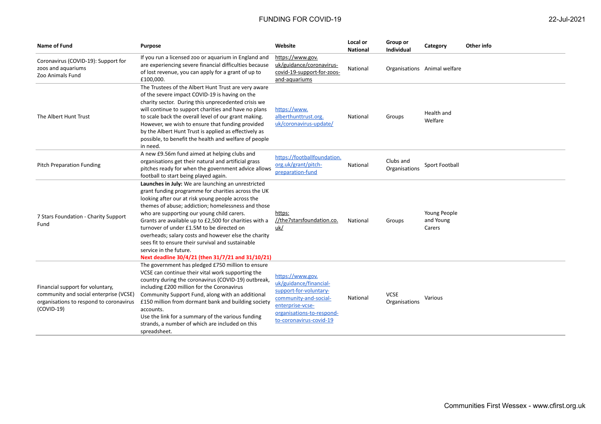| <b>Name of Fund</b>                                                                                                                   | <b>Purpose</b>                                                                                                                                                                                                                                                                                                                                                                                                                                                                                                                                                        | Website                                                                                                                                                                   | Local or<br><b>National</b> | Group or<br><b>Individual</b> | Category                            | Other info |
|---------------------------------------------------------------------------------------------------------------------------------------|-----------------------------------------------------------------------------------------------------------------------------------------------------------------------------------------------------------------------------------------------------------------------------------------------------------------------------------------------------------------------------------------------------------------------------------------------------------------------------------------------------------------------------------------------------------------------|---------------------------------------------------------------------------------------------------------------------------------------------------------------------------|-----------------------------|-------------------------------|-------------------------------------|------------|
| Coronavirus (COVID-19): Support for<br>zoos and aquariums<br>Zoo Animals Fund                                                         | If you run a licensed zoo or aquarium in England and<br>are experiencing severe financial difficulties because<br>of lost revenue, you can apply for a grant of up to<br>£100,000.                                                                                                                                                                                                                                                                                                                                                                                    | https://www.gov.<br>uk/guidance/coronavirus-<br>covid-19-support-for-zoos-<br>and-aquariums                                                                               | National                    |                               | Organisations Animal welfare        |            |
| The Albert Hunt Trust                                                                                                                 | The Trustees of the Albert Hunt Trust are very aware<br>of the severe impact COVID-19 is having on the<br>charity sector. During this unprecedented crisis we<br>will continue to support charities and have no plans<br>to scale back the overall level of our grant making.<br>However, we wish to ensure that funding provided<br>by the Albert Hunt Trust is applied as effectively as<br>possible, to benefit the health and welfare of people<br>in need.                                                                                                       | https://www.<br>alberthunttrust.org.<br>uk/coronavirus-update/                                                                                                            | National                    | Groups                        | Health and<br>Welfare               |            |
| <b>Pitch Preparation Funding</b>                                                                                                      | A new £9.56m fund aimed at helping clubs and<br>organisations get their natural and artificial grass<br>pitches ready for when the government advice allows<br>football to start being played again.                                                                                                                                                                                                                                                                                                                                                                  | https://footballfoundation.<br>org.uk/grant/pitch-<br>preparation-fund                                                                                                    | National                    | Clubs and<br>Organisations    | Sport Football                      |            |
| 7 Stars Foundation - Charity Support<br>Fund                                                                                          | Launches in July: We are launching an unrestricted<br>grant funding programme for charities across the UK<br>looking after our at risk young people across the<br>themes of abuse; addiction; homelessness and those<br>who are supporting our young child carers.<br>Grants are available up to £2,500 for charities with a<br>turnover of under £1.5M to be directed on<br>overheads; salary costs and however else the charity<br>sees fit to ensure their survival and sustainable<br>service in the future.<br>Next deadline 30/4/21 (then 31/7/21 and 31/10/21) | https:<br>//the7starsfoundation.co.<br>uk/                                                                                                                                | National                    | Groups                        | Young People<br>and Young<br>Carers |            |
| Financial support for voluntary,<br>community and social enterprise (VCSE)<br>organisations to respond to coronavirus<br>$(COVID-19)$ | The government has pledged £750 million to ensure<br>VCSE can continue their vital work supporting the<br>country during the coronavirus (COVID-19) outbreak,<br>including £200 million for the Coronavirus<br>Community Support Fund, along with an additional<br>£150 million from dormant bank and building society<br>accounts.<br>Use the link for a summary of the various funding<br>strands, a number of which are included on this<br>spreadsheet.                                                                                                           | https://www.gov.<br>uk/guidance/financial-<br>support-for-voluntary-<br>community-and-social-<br>enterprise-vcse-<br>organisations-to-respond-<br>to-coronavirus-covid-19 | National                    | <b>VCSE</b><br>Organisations  | Various                             |            |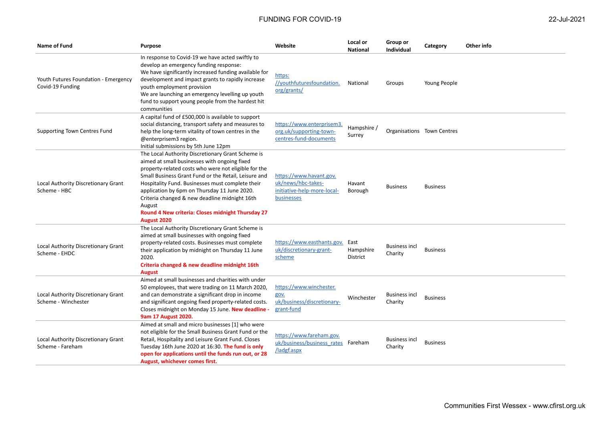| Name of Fund                                               | <b>Purpose</b>                                                                                                                                                                                                                                                                                                                                                                                                                                       | Website                                                                                           | Local or<br><b>National</b> | Group or<br><b>Individual</b>   | Category                   | Other info |
|------------------------------------------------------------|------------------------------------------------------------------------------------------------------------------------------------------------------------------------------------------------------------------------------------------------------------------------------------------------------------------------------------------------------------------------------------------------------------------------------------------------------|---------------------------------------------------------------------------------------------------|-----------------------------|---------------------------------|----------------------------|------------|
| Youth Futures Foundation - Emergency<br>Covid-19 Funding   | In response to Covid-19 we have acted swiftly to<br>develop an emergency funding response:<br>We have significantly increased funding available for<br>development and impact grants to rapidly increase<br>youth employment provision<br>We are launching an emergency levelling up youth<br>fund to support young people from the hardest hit<br>communities                                                                                       | https:<br>//youthfuturesfoundation.<br>org/grants/                                                | National                    | Groups                          | Young People               |            |
| <b>Supporting Town Centres Fund</b>                        | A capital fund of £500,000 is available to support<br>social distancing, transport safety and measures to<br>help the long-term vitality of town centres in the<br>@enterprisem3 region.<br>Initial submissions by 5th June 12pm                                                                                                                                                                                                                     | https://www.enterprisem3<br>org.uk/supporting-town-<br>centres-fund-documents                     | Hampshire /<br>Surrey       |                                 | Organisations Town Centres |            |
| Local Authority Discretionary Grant<br>Scheme - HBC        | The Local Authority Discretionary Grant Scheme is<br>aimed at small businesses with ongoing fixed<br>property-related costs who were not eligible for the<br>Small Business Grant Fund or the Retail, Leisure and<br>Hospitality Fund. Businesses must complete their<br>application by 6pm on Thursday 11 June 2020.<br>Criteria changed & new deadline midnight 16th<br>August<br>Round 4 New criteria: Closes midnight Thursday 27<br>August 2020 | https://www.havant.gov.<br>uk/news/hbc-takes-<br>initiative-help-more-local-<br><b>businesses</b> | Havant<br>Borough           | <b>Business</b>                 | <b>Business</b>            |            |
| Local Authority Discretionary Grant<br>Scheme - EHDC       | The Local Authority Discretionary Grant Scheme is<br>aimed at small businesses with ongoing fixed<br>property-related costs. Businesses must complete<br>their application by midnight on Thursday 11 June<br>2020.<br>Criteria changed & new deadline midnight 16th<br><b>August</b>                                                                                                                                                                | https://www.easthants.gov. East<br>uk/discretionary-grant-<br>scheme                              | Hampshire<br>District       | <b>Business incl</b><br>Charity | <b>Business</b>            |            |
| Local Authority Discretionary Grant<br>Scheme - Winchester | Aimed at small businesses and charities with under<br>50 employees, that were trading on 11 March 2020,<br>and can demonstrate a significant drop in income<br>and significant ongoing fixed property-related costs.<br>Closes midnight on Monday 15 June. New deadline<br>9am 17 August 2020.                                                                                                                                                       | https://www.winchester.<br>gov.<br>uk/business/discretionary-<br>grant-fund                       | Winchester                  | <b>Business incl</b><br>Charity | <b>Business</b>            |            |
| Local Authority Discretionary Grant<br>Scheme - Fareham    | Aimed at small and micro businesses [1] who were<br>not eligible for the Small Business Grant Fund or the<br>Retail, Hospitality and Leisure Grant Fund. Closes<br>Tuesday 16th June 2020 at 16:30. The fund is only<br>open for applications until the funds run out, or 28<br><b>August, whichever comes first.</b>                                                                                                                                | https://www.fareham.gov.<br>uk/business/business rates Fareham<br>/ladgf.aspx                     |                             | <b>Business incl</b><br>Charity | <b>Business</b>            |            |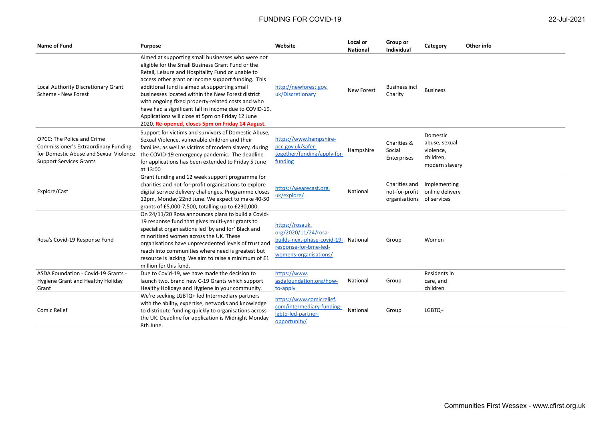| <b>Name of Fund</b>                                                                                                                                   | <b>Purpose</b>                                                                                                                                                                                                                                                                                                                                                                                                                                                                                                                                | Website                                                                                                                           | Local or<br><b>National</b> | Group or<br>Individual                                       | Category                                                              | Other info |
|-------------------------------------------------------------------------------------------------------------------------------------------------------|-----------------------------------------------------------------------------------------------------------------------------------------------------------------------------------------------------------------------------------------------------------------------------------------------------------------------------------------------------------------------------------------------------------------------------------------------------------------------------------------------------------------------------------------------|-----------------------------------------------------------------------------------------------------------------------------------|-----------------------------|--------------------------------------------------------------|-----------------------------------------------------------------------|------------|
| Local Authority Discretionary Grant<br>Scheme - New Forest                                                                                            | Aimed at supporting small businesses who were not<br>eligible for the Small Business Grant Fund or the<br>Retail, Leisure and Hospitality Fund or unable to<br>access other grant or income support funding. This<br>additional fund is aimed at supporting small<br>businesses located within the New Forest district<br>with ongoing fixed property-related costs and who<br>have had a significant fall in income due to COVID-19.<br>Applications will close at 5pm on Friday 12 June<br>2020. Re-opened, closes 5pm on Friday 14 August. | http://newforest.gov.<br>uk/Discretionary                                                                                         | New Forest                  | <b>Business incl</b><br>Charity                              | <b>Business</b>                                                       |            |
| OPCC: The Police and Crime<br><b>Commissioner's Extraordinary Funding</b><br>for Domestic Abuse and Sexual Violence<br><b>Support Services Grants</b> | Support for victims and survivors of Domestic Abuse,<br>Sexual Violence, vulnerable children and their<br>families, as well as victims of modern slavery, during<br>the COVID-19 emergency pandemic. The deadline<br>for applications has been extended to Friday 5 June<br>at 13:00                                                                                                                                                                                                                                                          | https://www.hampshire-<br>pcc.gov.uk/safer-<br>together/funding/apply-for-<br>funding                                             | Hampshire                   | Charities &<br>Social<br>Enterprises                         | Domestic<br>abuse, sexual<br>violence,<br>children,<br>modern slavery |            |
| Explore/Cast                                                                                                                                          | Grant funding and 12 week support programme for<br>charities and not-for-profit organisations to explore<br>digital service delivery challenges. Programme closes<br>12pm, Monday 22nd June. We expect to make 40-50<br>grants of £5,000-7,500, totalling up to £230,000.                                                                                                                                                                                                                                                                     | https://wearecast.org.<br>uk/explore/                                                                                             | National                    | Charities and<br>not-for-profit<br>organisations of services | Implementing<br>online delivery                                       |            |
| Rosa's Covid-19 Response Fund                                                                                                                         | On 24/11/20 Rosa announces plans to build a Covid-<br>19 response fund that gives multi-year grants to<br>specialist organisations led 'by and for' Black and<br>minoritised women across the UK. These<br>organisations have unprecedented levels of trust and<br>reach into communities where need is greatest but<br>resource is lacking. We aim to raise a minimum of £1<br>million for this fund.                                                                                                                                        | https://rosauk.<br>org/2020/11/24/rosa-<br>builds-next-phase-covid-19- National<br>response-for-bme-led-<br>womens-organisations/ |                             | Group                                                        | Women                                                                 |            |
| ASDA Foundation - Covid-19 Grants -<br>Hygiene Grant and Healthy Holiday<br>Grant                                                                     | Due to Covid-19, we have made the decision to<br>launch two, brand new C-19 Grants which support<br>Healthy Holidays and Hygiene in your community.                                                                                                                                                                                                                                                                                                                                                                                           | https://www.<br>asdafoundation.org/how-<br>to-apply                                                                               | National                    | Group                                                        | Residents in<br>care, and<br>children                                 |            |
| <b>Comic Relief</b>                                                                                                                                   | We're seeking LGBTQ+ led Intermediary partners<br>with the ability, expertise, networks and knowledge<br>to distribute funding quickly to organisations across<br>the UK. Deadline for application is Midnight Monday<br>8th June.                                                                                                                                                                                                                                                                                                            | https://www.comicrelief.<br>com/intermediary-funding-<br>Igbtg-led-partner-<br>opportunity/                                       | National                    | Group                                                        | LGBTQ+                                                                |            |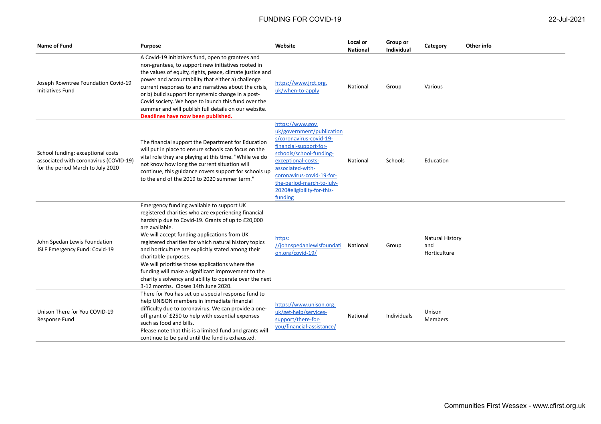| Name of Fund                                                                                                     | <b>Purpose</b>                                                                                                                                                                                                                                                                                                                                                                                                                                                                                                                                                           | Website                                                                                                                                                                                                                                                                    | Local or<br><b>National</b> | Group or<br><b>Individual</b> | Category                                      | Other info |
|------------------------------------------------------------------------------------------------------------------|--------------------------------------------------------------------------------------------------------------------------------------------------------------------------------------------------------------------------------------------------------------------------------------------------------------------------------------------------------------------------------------------------------------------------------------------------------------------------------------------------------------------------------------------------------------------------|----------------------------------------------------------------------------------------------------------------------------------------------------------------------------------------------------------------------------------------------------------------------------|-----------------------------|-------------------------------|-----------------------------------------------|------------|
| Joseph Rowntree Foundation Covid-19<br>Initiatives Fund                                                          | A Covid-19 initiatives fund, open to grantees and<br>non-grantees, to support new initiatives rooted in<br>the values of equity, rights, peace, climate justice and<br>power and accountability that either a) challenge<br>current responses to and narratives about the crisis,<br>or b) build support for systemic change in a post-<br>Covid society. We hope to launch this fund over the<br>summer and will publish full details on our website.<br>Deadlines have now been published.                                                                             | https://www.jrct.org.<br>uk/when-to-apply                                                                                                                                                                                                                                  | National                    | Group                         | Various                                       |            |
| School funding: exceptional costs<br>associated with coronavirus (COVID-19)<br>for the period March to July 2020 | The financial support the Department for Education<br>will put in place to ensure schools can focus on the<br>vital role they are playing at this time. "While we do<br>not know how long the current situation will<br>continue, this guidance covers support for schools up<br>to the end of the 2019 to 2020 summer term."                                                                                                                                                                                                                                            | https://www.gov.<br>uk/government/publication<br>s/coronavirus-covid-19-<br>financial-support-for-<br>schools/school-funding-<br>exceptional-costs-<br>associated-with-<br>coronavirus-covid-19-for-<br>the-period-march-to-july-<br>2020#eligibility-for-this-<br>funding | National                    | <b>Schools</b>                | Education                                     |            |
| John Spedan Lewis Foundation<br>JSLF Emergency Fund: Covid-19                                                    | Emergency funding available to support UK<br>registered charities who are experiencing financial<br>hardship due to Covid-19. Grants of up to £20,000<br>are available.<br>We will accept funding applications from UK<br>registered charities for which natural history topics<br>and horticulture are explicitly stated among their<br>charitable purposes.<br>We will prioritise those applications where the<br>funding will make a significant improvement to the<br>charity's solvency and ability to operate over the next<br>3-12 months. Closes 14th June 2020. | https:<br>//johnspedanlewisfoundati<br>on.org/covid-19/                                                                                                                                                                                                                    | National                    | Group                         | <b>Natural History</b><br>and<br>Horticulture |            |
| Unison There for You COVID-19<br>Response Fund                                                                   | There for You has set up a special response fund to<br>help UNISON members in immediate financial<br>difficulty due to coronavirus. We can provide a one-<br>off grant of £250 to help with essential expenses<br>such as food and bills.<br>Please note that this is a limited fund and grants will<br>continue to be paid until the fund is exhausted.                                                                                                                                                                                                                 | https://www.unison.org.<br>uk/get-help/services-<br>support/there-for-<br>you/financial-assistance/                                                                                                                                                                        | National                    | Individuals                   | Unison<br>Members                             |            |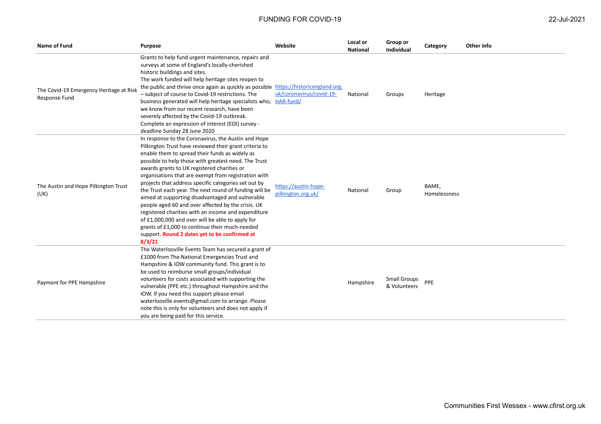| <b>Name of Fund</b>                                      | <b>Purpose</b>                                                                                                                                                                                                                                                                                                                                                                                                                                                                                                                                                                                                                                                                                                                                                                     | Website                                    | Local or<br><b>National</b> | Group or<br>Individual              | Category              | Other info |
|----------------------------------------------------------|------------------------------------------------------------------------------------------------------------------------------------------------------------------------------------------------------------------------------------------------------------------------------------------------------------------------------------------------------------------------------------------------------------------------------------------------------------------------------------------------------------------------------------------------------------------------------------------------------------------------------------------------------------------------------------------------------------------------------------------------------------------------------------|--------------------------------------------|-----------------------------|-------------------------------------|-----------------------|------------|
| The Covid-19 Emergency Heritage at Risk<br>Response Fund | Grants to help fund urgent maintenance, repairs and<br>surveys at some of England's locally-cherished<br>historic buildings and sites.<br>The work funded will help heritage sites reopen to<br>the public and thrive once again as quickly as possible https://historicengland.org.<br>- subject of course to Covid-19 restrictions. The<br>business generated will help heritage specialists who,<br>we know from our recent research, have been<br>severely affected by the Covid-19 outbreak.<br>Complete an expression of interest (EOI) survey -<br>deadline Sunday 28 June 2020                                                                                                                                                                                             | uk/coronavirus/covid-19-<br>HAR-fund/      | National                    | Groups                              | Heritage              |            |
| The Austin and Hope Pilkington Trust<br>(UK)             | In response to the Coronavirus, the Austin and Hope<br>Pilkington Trust have reviewed their grant criteria to<br>enable them to spread their funds as widely as<br>possible to help those with greatest need. The Trust<br>awards grants to UK registered charities or<br>organisations that are exempt from registration with<br>projects that address specific categories set out by<br>the Trust each year. The next round of funding will be<br>aimed at supporting disadvantaged and vulnerable<br>people aged 60 and over affected by the crisis. UK<br>registered charities with an income and expenditure<br>of £1,000,000 and over will be able to apply for<br>grants of £1,000 to continue their much-needed<br>support. Round 2 dates yet to be confirmed at<br>8/3/21 | https://austin-hope-<br>pilkington.org.uk/ | National                    | Group                               | BAME.<br>Homelessness |            |
| Payment for PPE Hampshire                                | The Waterlooville Events Team has secured a grant of<br>£1000 from The National Emergencies Trust and<br>Hampshire & IOW community fund. This grant is to<br>be used to reimburse small groups/individual<br>volunteers for costs associated with supporting the<br>vulnerable (PPE etc.) throughout Hampshire and the<br>IOW. If you need this support please email<br>waterlooville.events@gmail.com to arrange. Please<br>note this is only for volunteers and does not apply if<br>you are being paid for this service.                                                                                                                                                                                                                                                        |                                            | Hampshire                   | <b>Small Groups</b><br>& Volunteers | PPE                   |            |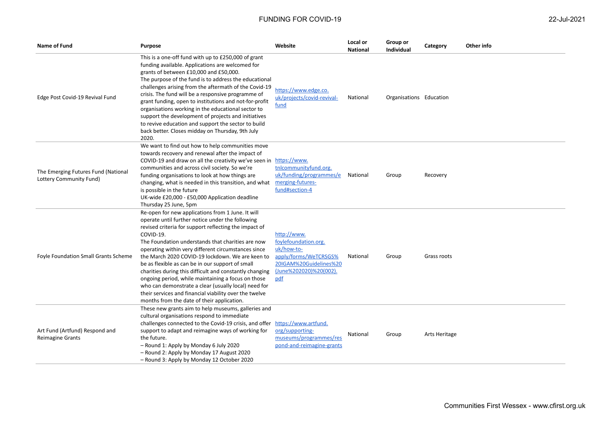| Name of Fund                                                   | Purpose                                                                                                                                                                                                                                                                                                                                                                                                                                                                                                                                                                                                                                                                          | Website                                                                                                                               | Local or<br><b>National</b> | Group or<br><b>Individual</b> | Category      | Other info |
|----------------------------------------------------------------|----------------------------------------------------------------------------------------------------------------------------------------------------------------------------------------------------------------------------------------------------------------------------------------------------------------------------------------------------------------------------------------------------------------------------------------------------------------------------------------------------------------------------------------------------------------------------------------------------------------------------------------------------------------------------------|---------------------------------------------------------------------------------------------------------------------------------------|-----------------------------|-------------------------------|---------------|------------|
| Edge Post Covid-19 Revival Fund                                | This is a one-off fund with up to £250,000 of grant<br>funding available. Applications are welcomed for<br>grants of between £10,000 and £50,000.<br>The purpose of the fund is to address the educational<br>challenges arising from the aftermath of the Covid-19<br>crisis. The fund will be a responsive programme of<br>grant funding, open to institutions and not-for-profit<br>organisations working in the educational sector to<br>support the development of projects and initiatives<br>to revive education and support the sector to build<br>back better. Closes midday on Thursday, 9th July<br>2020.                                                             | https://www.edge.co.<br>uk/projects/covid-revival-<br>fund                                                                            | National                    | Organisations Education       |               |            |
| The Emerging Futures Fund (National<br>Lottery Community Fund) | We want to find out how to help communities move<br>towards recovery and renewal after the impact of<br>COVID-19 and draw on all the creativity we've seen in<br>communities and across civil society. So we're<br>funding organisations to look at how things are<br>changing, what is needed in this transition, and what<br>is possible in the future<br>UK-wide £20,000 - £50,000 Application deadline<br>Thursday 25 June, 5pm                                                                                                                                                                                                                                              | https://www.<br>tnlcommunityfund.org.<br>uk/funding/programmes/e<br>merging-futures-<br>fund#section-4                                | National                    | Group                         | Recovery      |            |
| <b>Foyle Foundation Small Grants Scheme</b>                    | Re-open for new applications from 1 June. It will<br>operate until further notice under the following<br>revised criteria for support reflecting the impact of<br>COVID-19.<br>The Foundation understands that charities are now<br>operating within very different circumstances since<br>the March 2020 COVID-19 lockdown. We are keen to<br>be as flexible as can be in our support of small<br>charities during this difficult and constantly changing<br>ongoing period, while maintaining a focus on those<br>who can demonstrate a clear (usually local) need for<br>their services and financial viability over the twelve<br>months from the date of their application. | http://www.<br>foylefoundation.org.<br>uk/how-to-<br>apply/forms/WeTCRSGS%<br>20IGAM%20Guidelines%20<br>(June%202020)%20(002).<br>pdf | National                    | Group                         | Grass roots   |            |
| Art Fund (Artfund) Respond and<br><b>Reimagine Grants</b>      | These new grants aim to help museums, galleries and<br>cultural organisations respond to immediate<br>challenges connected to the Covid-19 crisis, and offer<br>support to adapt and reimagine ways of working for<br>the future.<br>- Round 1: Apply by Monday 6 July 2020<br>- Round 2: Apply by Monday 17 August 2020<br>- Round 3: Apply by Monday 12 October 2020                                                                                                                                                                                                                                                                                                           | https://www.artfund.<br>org/supporting-<br>museums/programmes/res<br>pond-and-reimagine-grants                                        | National                    | Group                         | Arts Heritage |            |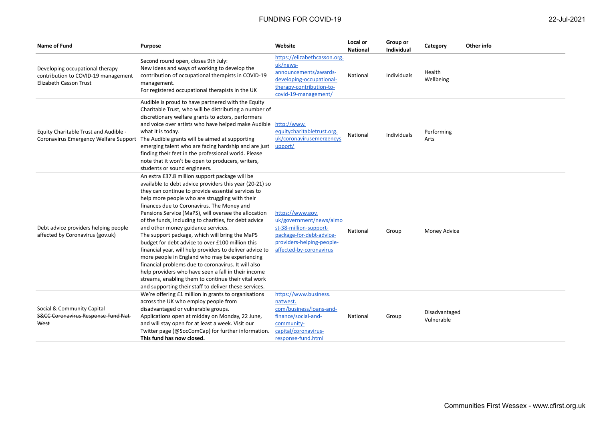| 22-Jul-2021 |
|-------------|
|-------------|

| <b>Name of Fund</b>                                                                                     | <b>Purpose</b>                                                                                                                                                                                                                                                                                                                                                                                                                                                                                                                                                                                                                                                                                                                                                                                                                                                           | Website                                                                                                                                                   | Local or<br><b>National</b> | Group or<br><b>Individual</b> | Category                    | Other info |
|---------------------------------------------------------------------------------------------------------|--------------------------------------------------------------------------------------------------------------------------------------------------------------------------------------------------------------------------------------------------------------------------------------------------------------------------------------------------------------------------------------------------------------------------------------------------------------------------------------------------------------------------------------------------------------------------------------------------------------------------------------------------------------------------------------------------------------------------------------------------------------------------------------------------------------------------------------------------------------------------|-----------------------------------------------------------------------------------------------------------------------------------------------------------|-----------------------------|-------------------------------|-----------------------------|------------|
| Developing occupational therapy<br>contribution to COVID-19 management<br><b>Elizabeth Casson Trust</b> | Second round open, closes 9th July:<br>New ideas and ways of working to develop the<br>contribution of occupational therapists in COVID-19<br>management.<br>For registered occupational therapists in the UK                                                                                                                                                                                                                                                                                                                                                                                                                                                                                                                                                                                                                                                            | https://elizabethcasson.org.<br>uk/news-<br>announcements/awards-<br>developing-occupational-<br>therapy-contribution-to-<br>covid-19-management/         | National                    | Individuals                   | Health<br>Wellbeing         |            |
| Equity Charitable Trust and Audible -<br>Coronavirus Emergency Welfare Support                          | Audible is proud to have partnered with the Equity<br>Charitable Trust, who will be distributing a number of<br>discretionary welfare grants to actors, performers<br>and voice over artists who have helped make Audible<br>what it is today.<br>The Audible grants will be aimed at supporting<br>emerging talent who are facing hardship and are just<br>finding their feet in the professional world. Please<br>note that it won't be open to producers, writers,<br>students or sound engineers.                                                                                                                                                                                                                                                                                                                                                                    | http://www.<br>equitycharitabletrust.org.<br>uk/coronavirusemergencys<br>upport/                                                                          | National                    | Individuals                   | Performing<br>Arts          |            |
| Debt advice providers helping people<br>affected by Coronavirus (gov.uk)                                | An extra £37.8 million support package will be<br>available to debt advice providers this year (20-21) so<br>they can continue to provide essential services to<br>help more people who are struggling with their<br>finances due to Coronavirus. The Money and<br>Pensions Service (MaPS), will oversee the allocation<br>of the funds, including to charities, for debt advice<br>and other money guidance services.<br>The support package, which will bring the MaPS<br>budget for debt advice to over £100 million this<br>financial year, will help providers to deliver advice to<br>more people in England who may be experiencing<br>financial problems due to coronavirus. It will also<br>help providers who have seen a fall in their income<br>streams, enabling them to continue their vital work<br>and supporting their staff to deliver these services. | https://www.gov.<br>uk/government/news/almo<br>st-38-million-support-<br>package-for-debt-advice-<br>providers-helping-people-<br>affected-by-coronavirus | National                    | Group                         | Money Advice                |            |
| Social & Community Capital<br><b>S&amp;CC Coronavirus Response Fund Nat-</b><br>West                    | We're offering £1 million in grants to organisations<br>across the UK who employ people from<br>disadvantaged or vulnerable groups.<br>Applications open at midday on Monday, 22 June,<br>and will stay open for at least a week. Visit our<br>Twitter page (@SocComCap) for further information.<br>This fund has now closed.                                                                                                                                                                                                                                                                                                                                                                                                                                                                                                                                           | https://www.business.<br>natwest.<br>com/business/loans-and-<br>finance/social-and-<br>community-<br>capital/coronavirus-<br>response-fund.html           | National                    | Group                         | Disadvantaged<br>Vulnerable |            |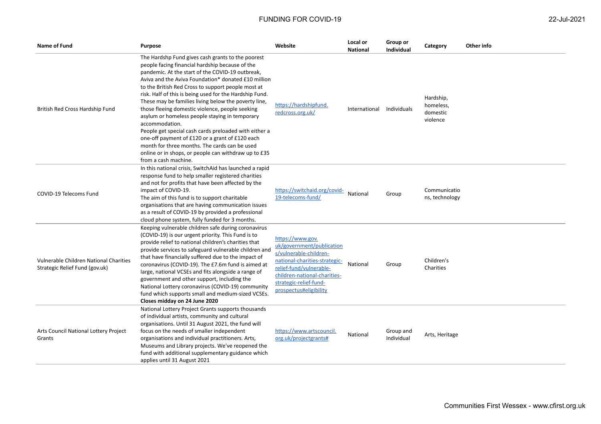| Name of Fund                                                             | <b>Purpose</b>                                                                                                                                                                                                                                                                                                                                                                                                                                                                                                                                                                                                                                                                                                                                               | Website                                                                                                                                                                                                                 | Local or<br><b>National</b> | Group or<br><b>Individual</b> | Category                                       | Other info |
|--------------------------------------------------------------------------|--------------------------------------------------------------------------------------------------------------------------------------------------------------------------------------------------------------------------------------------------------------------------------------------------------------------------------------------------------------------------------------------------------------------------------------------------------------------------------------------------------------------------------------------------------------------------------------------------------------------------------------------------------------------------------------------------------------------------------------------------------------|-------------------------------------------------------------------------------------------------------------------------------------------------------------------------------------------------------------------------|-----------------------------|-------------------------------|------------------------------------------------|------------|
| British Red Cross Hardship Fund                                          | The Hardshp Fund gives cash grants to the poorest<br>people facing financial hardship because of the<br>pandemic. At the start of the COVID-19 outbreak,<br>Aviva and the Aviva Foundation* donated £10 million<br>to the British Red Cross to support people most at<br>risk. Half of this is being used for the Hardship Fund.<br>These may be families living below the poverty line,<br>those fleeing domestic violence, people seeking<br>asylum or homeless people staying in temporary<br>accommodation.<br>People get special cash cards preloaded with either a<br>one-off payment of £120 or a grant of £120 each<br>month for three months. The cards can be used<br>online or in shops, or people can withdraw up to £35<br>from a cash machine. | https://hardshipfund.<br>redcross.org.uk/                                                                                                                                                                               | International Individuals   |                               | Hardship,<br>homeless,<br>domestic<br>violence |            |
| COVID-19 Telecoms Fund                                                   | In this national crisis, SwitchAid has launched a rapid<br>response fund to help smaller registered charities<br>and not for profits that have been affected by the<br>impact of COVID-19.<br>The aim of this fund is to support charitable<br>organisations that are having communication issues<br>as a result of COVID-19 by provided a professional<br>cloud phone system, fully funded for 3 months.                                                                                                                                                                                                                                                                                                                                                    | https://switchaid.org/covid-<br>19-telecoms-fund/                                                                                                                                                                       | National                    | Group                         | Communicatio<br>ns, technology                 |            |
| Vulnerable Children National Charities<br>Strategic Relief Fund (gov.uk) | Keeping vulnerable children safe during coronavirus<br>(COVID-19) is our urgent priority. This Fund is to<br>provide relief to national children's charities that<br>provide services to safeguard vulnerable children and<br>that have financially suffered due to the impact of<br>coronavirus (COVID-19). The £7.6m fund is aimed at<br>large, national VCSEs and fits alongside a range of<br>government and other support, including the<br>National Lottery coronavirus (COVID-19) community<br>fund which supports small and medium-sized VCSEs.<br>Closes midday on 24 June 2020                                                                                                                                                                     | https://www.gov.<br>uk/government/publication<br>s/vulnerable-children-<br>national-charities-strategic-<br>relief-fund/vulnerable-<br>children-national-charities-<br>strategic-relief-fund-<br>prospectus#eligibility | National                    | Group                         | Children's<br>Charities                        |            |
| Arts Council National Lottery Project<br>Grants                          | National Lottery Project Grants supports thousands<br>of individual artists, community and cultural<br>organisations. Until 31 August 2021, the fund will<br>focus on the needs of smaller independent<br>organisations and individual practitioners. Arts,<br>Museums and Library projects. We've reopened the<br>fund with additional supplementary guidance which<br>applies until 31 August 2021                                                                                                                                                                                                                                                                                                                                                         | https://www.artscouncil.<br>org.uk/projectgrants#                                                                                                                                                                       | National                    | Group and<br>Individual       | Arts, Heritage                                 |            |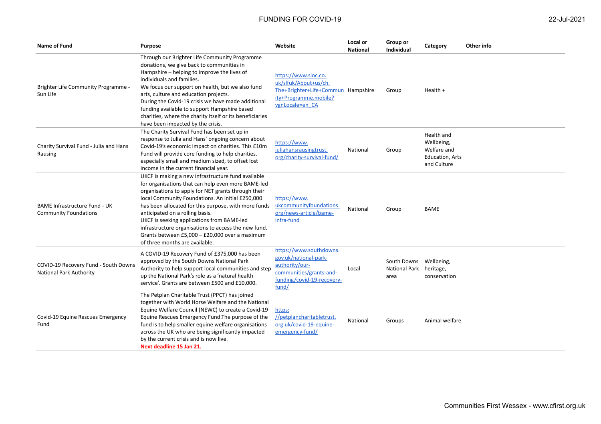| Name of Fund                                                           | <b>Purpose</b>                                                                                                                                                                                                                                                                                                                                                                                                                                                                                           | Website                                                                                                                              | Local or<br><b>National</b> | Group or<br><b>Individual</b>               | Category                                                                  | Other info |
|------------------------------------------------------------------------|----------------------------------------------------------------------------------------------------------------------------------------------------------------------------------------------------------------------------------------------------------------------------------------------------------------------------------------------------------------------------------------------------------------------------------------------------------------------------------------------------------|--------------------------------------------------------------------------------------------------------------------------------------|-----------------------------|---------------------------------------------|---------------------------------------------------------------------------|------------|
| Brighter Life Community Programme -<br>Sun Life                        | Through our Brighter Life Community Programme<br>donations, we give back to communities in<br>Hampshire – helping to improve the lives of<br>individuals and families.<br>We focus our support on health, but we also fund<br>arts, culture and education projects.<br>During the Covid-19 crisis we have made additional<br>funding available to support Hampshire based<br>charities, where the charity itself or its beneficiaries<br>have been impacted by the crisis.                               | https://www.sloc.co.<br>uk/slfuk/About+us/ch.<br>The+Brighter+Life+Commun Hampshire<br>ity+Programme.mobile?<br>vgnLocale=en CA      |                             | Group                                       | Health +                                                                  |            |
| Charity Survival Fund - Julia and Hans<br>Rausing                      | The Charity Survival Fund has been set up in<br>response to Julia and Hans' ongoing concern about<br>Covid-19's economic impact on charities. This £10m<br>Fund will provide core funding to help charities,<br>especially small and medium sized, to offset lost<br>income in the current financial year.                                                                                                                                                                                               | https://www.<br>juliahansrausingtrust.<br>org/charity-survival-fund/                                                                 | National                    | Group                                       | Health and<br>Wellbeing,<br>Welfare and<br>Education, Arts<br>and Culture |            |
| <b>BAME Infrastructure Fund - UK</b><br><b>Community Foundations</b>   | UKCF is making a new infrastructure fund available<br>for organisations that can help even more BAME-led<br>organisations to apply for NET grants through their<br>local Community Foundations. An initial £250,000<br>has been allocated for this purpose, with more funds<br>anticipated on a rolling basis.<br>UKCF is seeking applications from BAME-led<br>infrastructure organisations to access the new fund.<br>Grants between £5,000 - £20,000 over a maximum<br>of three months are available. | https://www.<br>ukcommunityfoundations.<br>org/news-article/bame-<br>infra-fund                                                      | National                    | Group                                       | <b>BAME</b>                                                               |            |
| COVID-19 Recovery Fund - South Downs<br><b>National Park Authority</b> | A COVID-19 Recovery Fund of £375,000 has been<br>approved by the South Downs National Park<br>Authority to help support local communities and step<br>up the National Park's role as a 'natural health<br>service'. Grants are between £500 and £10,000.                                                                                                                                                                                                                                                 | https://www.southdowns.<br>gov.uk/national-park-<br>authority/our-<br>communities/grants-and-<br>funding/covid-19-recovery-<br>fund/ | Local                       | South Downs<br><b>National Park</b><br>area | Wellbeing,<br>heritage,<br>conservation                                   |            |
| Covid-19 Equine Rescues Emergency<br>Fund                              | The Petplan Charitable Trust (PPCT) has joined<br>together with World Horse Welfare and the National<br>Equine Welfare Council (NEWC) to create a Covid-19<br>Equine Rescues Emergency Fund. The purpose of the<br>fund is to help smaller equine welfare organisations<br>across the UK who are being significantly impacted<br>by the current crisis and is now live.<br>Next deadline 15 Jan 21.                                                                                                      | https:<br>//petplancharitabletrust.<br>org.uk/covid-19-equine-<br>emergency-fund/                                                    | National                    | Groups                                      | Animal welfare                                                            |            |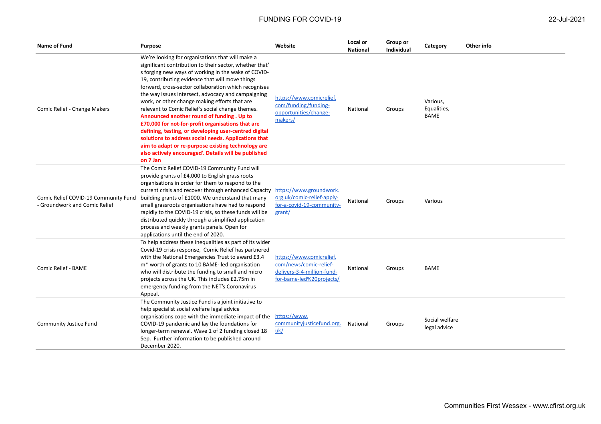| 22-Jul-202 |  |
|------------|--|
|------------|--|

| Name of Fund                                                          | <b>Purpose</b>                                                                                                                                                                                                                                                                                                                                                                                                                                                                                                                                                                                                                                                                                                                                                                         | Website                                                                                                      | Local or<br><b>National</b> | Group or<br><b>Individual</b> | Category                        | Other info |
|-----------------------------------------------------------------------|----------------------------------------------------------------------------------------------------------------------------------------------------------------------------------------------------------------------------------------------------------------------------------------------------------------------------------------------------------------------------------------------------------------------------------------------------------------------------------------------------------------------------------------------------------------------------------------------------------------------------------------------------------------------------------------------------------------------------------------------------------------------------------------|--------------------------------------------------------------------------------------------------------------|-----------------------------|-------------------------------|---------------------------------|------------|
| Comic Relief - Change Makers                                          | We're looking for organisations that will make a<br>significant contribution to their sector, whether that'<br>s forging new ways of working in the wake of COVID-<br>19, contributing evidence that will move things<br>forward, cross-sector collaboration which recognises<br>the way issues intersect, advocacy and campaigning<br>work, or other change making efforts that are<br>relevant to Comic Relief's social change themes.<br>Announced another round of funding . Up to<br>£70,000 for not-for-profit organisations that are<br>defining, testing, or developing user-centred digital<br>solutions to address social needs. Applications that<br>aim to adapt or re-purpose existing technology are<br>also actively encouraged'. Details will be published<br>on 7 Jan | https://www.comicrelief.<br>com/funding/funding-<br>opportunities/change-<br>makers/                         | National                    | Groups                        | Various,<br>Equalities,<br>BAME |            |
| Comic Relief COVID-19 Community Fund<br>- Groundwork and Comic Relief | The Comic Relief COVID-19 Community Fund will<br>provide grants of £4,000 to English grass roots<br>organisations in order for them to respond to the<br>current crisis and recover through enhanced Capacity<br>building grants of £1000. We understand that many<br>small grassroots organisations have had to respond<br>rapidly to the COVID-19 crisis, so these funds will be<br>distributed quickly through a simplified application<br>process and weekly grants panels. Open for<br>applications until the end of 2020.                                                                                                                                                                                                                                                        | https://www.groundwork.<br>org.uk/comic-relief-apply-<br>for-a-covid-19-community-<br>grant/                 | National                    | Groups                        | Various                         |            |
| Comic Relief - BAME                                                   | To help address these inequalities as part of its wider<br>Covid-19 crisis response, Comic Relief has partnered<br>with the National Emergencies Trust to award £3.4<br>m <sup>*</sup> worth of grants to 10 BAME-led organisation<br>who will distribute the funding to small and micro<br>projects across the UK. This includes £2.75m in<br>emergency funding from the NET's Coronavirus<br>Appeal.                                                                                                                                                                                                                                                                                                                                                                                 | https://www.comicrelief.<br>com/news/comic-relief-<br>delivers-3-4-million-fund-<br>for-bame-led%20projects/ | National                    | Groups                        | <b>BAME</b>                     |            |
| <b>Community Justice Fund</b>                                         | The Community Justice Fund is a joint initiative to<br>help specialist social welfare legal advice<br>organisations cope with the immediate impact of the<br>COVID-19 pandemic and lay the foundations for<br>longer-term renewal. Wave 1 of 2 funding closed 18<br>Sep. Further information to be published around<br>December 2020.                                                                                                                                                                                                                                                                                                                                                                                                                                                  | https://www.<br>communityjusticefund.org.<br>uk/                                                             | National                    | Groups                        | Social welfare<br>legal advice  |            |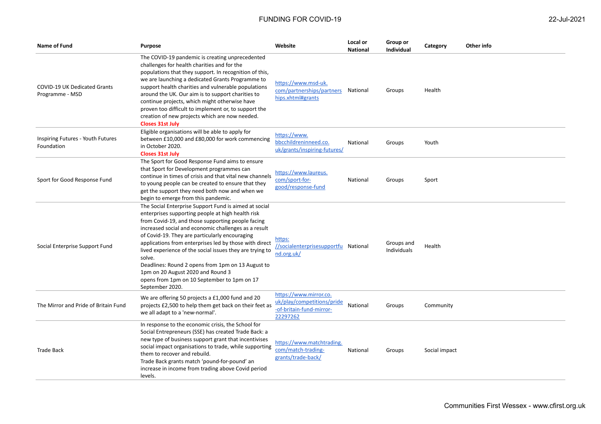| Name of Fund                                           | Purpose                                                                                                                                                                                                                                                                                                                                                                                                                                                                                                                                                               | Website                                                                                      | Local or<br><b>National</b> | Group or<br>Individual    | Category      | Other info |
|--------------------------------------------------------|-----------------------------------------------------------------------------------------------------------------------------------------------------------------------------------------------------------------------------------------------------------------------------------------------------------------------------------------------------------------------------------------------------------------------------------------------------------------------------------------------------------------------------------------------------------------------|----------------------------------------------------------------------------------------------|-----------------------------|---------------------------|---------------|------------|
| <b>COVID-19 UK Dedicated Grants</b><br>Programme - MSD | The COVID-19 pandemic is creating unprecedented<br>challenges for health charities and for the<br>populations that they support. In recognition of this,<br>we are launching a dedicated Grants Programme to<br>support health charities and vulnerable populations<br>around the UK. Our aim is to support charities to<br>continue projects, which might otherwise have<br>proven too difficult to implement or, to support the<br>creation of new projects which are now needed.<br><b>Closes 31st July</b>                                                        | https://www.msd-uk.<br>com/partnerships/partners<br>hips.xhtml#grants                        | National                    | Groups                    | Health        |            |
| Inspiring Futures - Youth Futures<br>Foundation        | Eligible organisations will be able to apply for<br>between £10,000 and £80,000 for work commencing<br>in October 2020.<br><b>Closes 31st July</b>                                                                                                                                                                                                                                                                                                                                                                                                                    | https://www.<br>bbcchildreninneed.co.<br>uk/grants/inspiring-futures/                        | National                    | Groups                    | Youth         |            |
| Sport for Good Response Fund                           | The Sport for Good Response Fund aims to ensure<br>that Sport for Development programmes can<br>continue in times of crisis and that vital new channels<br>to young people can be created to ensure that they<br>get the support they need both now and when we<br>begin to emerge from this pandemic.                                                                                                                                                                                                                                                                | https://www.laureus.<br>com/sport-for-<br>good/response-fund                                 | National                    | Groups                    | Sport         |            |
| Social Enterprise Support Fund                         | The Social Enterprise Support Fund is aimed at social<br>enterprises supporting people at high health risk<br>from Covid-19, and those supporting people facing<br>increased social and economic challenges as a result<br>of Covid-19. They are particularly encouraging<br>applications from enterprises led by those with direct<br>lived experience of the social issues they are trying to<br>solve.<br>Deadlines: Round 2 opens from 1pm on 13 August to<br>1pm on 20 August 2020 and Round 3<br>opens from 1pm on 10 September to 1pm on 17<br>September 2020. | https:<br>//socialenterprisesupportfu National<br>nd.org.uk/                                 |                             | Groups and<br>Individuals | Health        |            |
| The Mirror and Pride of Britain Fund                   | We are offering 50 projects a £1,000 fund and 20<br>projects £2,500 to help them get back on their feet as<br>we all adapt to a 'new-normal'.                                                                                                                                                                                                                                                                                                                                                                                                                         | https://www.mirror.co.<br>uk/play/competitions/pride<br>-of-britain-fund-mirror-<br>22297262 | National                    | Groups                    | Community     |            |
| <b>Trade Back</b>                                      | In response to the economic crisis, the School for<br>Social Entrepreneurs (SSE) has created Trade Back: a<br>new type of business support grant that incentivises<br>social impact organisations to trade, while supporting<br>them to recover and rebuild.<br>Trade Back grants match 'pound-for-pound' an<br>increase in income from trading above Covid period<br>levels.                                                                                                                                                                                         | https://www.matchtrading.<br>com/match-trading-<br>grants/trade-back/                        | National                    | Groups                    | Social impact |            |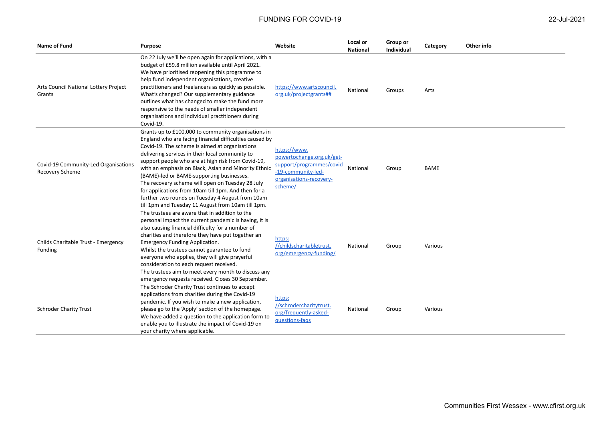| Name of Fund                                            | <b>Purpose</b>                                                                                                                                                                                                                                                                                                                                                                                                                                                                                                                                                                                      | Website                                                                                                                           | Local or<br><b>National</b> | Group or<br>Individual | Category    | Other info |
|---------------------------------------------------------|-----------------------------------------------------------------------------------------------------------------------------------------------------------------------------------------------------------------------------------------------------------------------------------------------------------------------------------------------------------------------------------------------------------------------------------------------------------------------------------------------------------------------------------------------------------------------------------------------------|-----------------------------------------------------------------------------------------------------------------------------------|-----------------------------|------------------------|-------------|------------|
| Arts Council National Lottery Project<br>Grants         | On 22 July we'll be open again for applications, with a<br>budget of £59.8 million available until April 2021.<br>We have prioritised reopening this programme to<br>help fund independent organisations, creative<br>practitioners and freelancers as quickly as possible.<br>What's changed? Our supplementary guidance<br>outlines what has changed to make the fund more<br>responsive to the needs of smaller independent<br>organisations and individual practitioners during<br>Covid-19.                                                                                                    | https://www.artscouncil.<br>org.uk/projectgrants##                                                                                | National                    | Groups                 | Arts        |            |
| Covid-19 Community-Led Organisations<br>Recovery Scheme | Grants up to £100,000 to community organisations in<br>England who are facing financial difficulties caused by<br>Covid-19. The scheme is aimed at organisations<br>delivering services in their local community to<br>support people who are at high risk from Covid-19,<br>with an emphasis on Black, Asian and Minority Ethnic<br>(BAME)-led or BAME-supporting businesses.<br>The recovery scheme will open on Tuesday 28 July<br>for applications from 10am till 1pm. And then for a<br>further two rounds on Tuesday 4 August from 10am<br>till 1pm and Tuesday 11 August from 10am till 1pm. | https://www.<br>powertochange.org.uk/get-<br>support/programmes/covid<br>-19-community-led-<br>organisations-recovery-<br>scheme/ | National                    | Group                  | <b>BAME</b> |            |
| Childs Charitable Trust - Emergency<br><b>Funding</b>   | The trustees are aware that in addition to the<br>personal impact the current pandemic is having, it is<br>also causing financial difficulty for a number of<br>charities and therefore they have put together an<br><b>Emergency Funding Application.</b><br>Whilst the trustees cannot guarantee to fund<br>everyone who applies, they will give prayerful<br>consideration to each request received.<br>The trustees aim to meet every month to discuss any<br>emergency requests received. Closes 30 September.                                                                                 | https:<br>//childscharitabletrust.<br>org/emergency-funding/                                                                      | National                    | Group                  | Various     |            |
| <b>Schroder Charity Trust</b>                           | The Schroder Charity Trust continues to accept<br>applications from charities during the Covid-19<br>pandemic. If you wish to make a new application,<br>please go to the 'Apply' section of the homepage.<br>We have added a question to the application form to<br>enable you to illustrate the impact of Covid-19 on<br>your charity where applicable.                                                                                                                                                                                                                                           | https:<br>//schrodercharitytrust.<br>org/frequently-asked-<br>questions-fags                                                      | National                    | Group                  | Various     |            |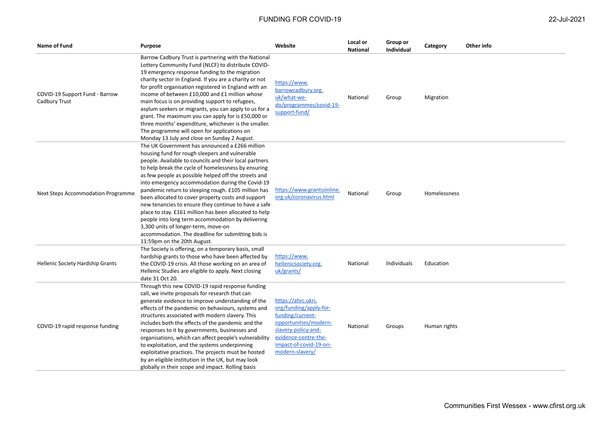| 22-Jul-2021 |  |
|-------------|--|
|             |  |

| Name of Fund                                    | Purpose                                                                                                                                                                                                                                                                                                                                                                                                                                                                                                                                                                                                                                                                                                                                       | Website                                                                                                                                                                               | Local or<br><b>National</b> | Group or<br><b>Individual</b> | Category     | Other info |
|-------------------------------------------------|-----------------------------------------------------------------------------------------------------------------------------------------------------------------------------------------------------------------------------------------------------------------------------------------------------------------------------------------------------------------------------------------------------------------------------------------------------------------------------------------------------------------------------------------------------------------------------------------------------------------------------------------------------------------------------------------------------------------------------------------------|---------------------------------------------------------------------------------------------------------------------------------------------------------------------------------------|-----------------------------|-------------------------------|--------------|------------|
| COVID-19 Support Fund - Barrow<br>Cadbury Trust | Barrow Cadbury Trust is partnering with the National<br>Lottery Community Fund (NLCF) to distribute COVID-<br>19 emergency response funding to the migration<br>charity sector in England. If you are a charity or not<br>for profit organisation registered in England with an<br>income of between £10,000 and £1 million whose<br>main focus is on providing support to refugees,<br>asylum seekers or migrants, you can apply to us for a<br>grant. The maximum you can apply for is £50,000 or<br>three months' expenditure, whichever is the smaller.<br>The programme will open for applications on<br>Monday 13 July and close on Sunday 2 August.                                                                                    | https://www.<br>barrowcadbury.org.<br>uk/what-we-<br>do/programmes/covid-19-<br>support-fund/                                                                                         | National                    | Group                         | Migration    |            |
| Next Steps Accommodation Programme              | The UK Government has announced a £266 million<br>housing fund for rough sleepers and vulnerable<br>people. Available to councils and their local partners<br>to help break the cycle of homelessness by ensuring<br>as few people as possible helped off the streets and<br>into emergency accommodation during the Covid-19<br>pandemic return to sleeping rough. £105 million has<br>been allocated to cover property costs and support<br>new tenancies to ensure they continue to have a safe<br>place to stay. £161 million has been allocated to help<br>people into long term accommodation by delivering<br>3,300 units of longer-term, move-on<br>accommodation. The deadline for submitting bids is<br>11:59pm on the 20th August. | https://www.grantsonline.<br>org.uk/coronavirus.html                                                                                                                                  | National                    | Group                         | Homelessness |            |
| Hellenic Society Hardship Grants                | The Society is offering, on a temporary basis, small<br>hardship grants to those who have been affected by<br>the COVID-19 crisis. All those working on an area of<br>Hellenic Studies are eligible to apply. Next closing<br>date 31 Oct 20.                                                                                                                                                                                                                                                                                                                                                                                                                                                                                                 | https://www.<br>hellenicsociety.org.<br>uk/grants/                                                                                                                                    | National                    | Individuals                   | Education    |            |
| COVID-19 rapid response funding                 | Through this new COVID-19 rapid response funding<br>call, we invite proposals for research that can<br>generate evidence to improve understanding of the<br>effects of the pandemic on behaviours, systems and<br>structures associated with modern slavery. This<br>includes both the effects of the pandemic and the<br>responses to it by governments, businesses and<br>organisations, which can affect people's vulnerability<br>to exploitation, and the systems underpinning<br>exploitative practices. The projects must be hosted<br>by an eligible institution in the UK, but may look<br>globally in their scope and impact. Rolling basis                                                                                         | https://ahrc.ukri.<br>org/funding/apply-for-<br>funding/current-<br>opportunities/modern-<br>slavery-policy-and-<br>evidence-centre-the-<br>impact-of-covid-19-on-<br>modern-slavery/ | National                    | Groups                        | Human rights |            |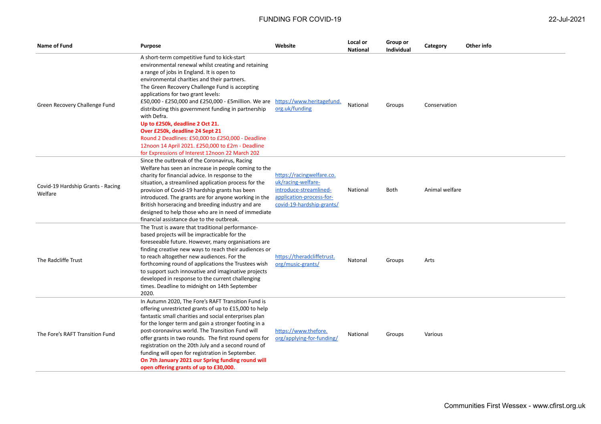| Name of Fund                                 | <b>Purpose</b>                                                                                                                                                                                                                                                                                                                                                                                                                                                                                                                                                                                                                                        | Website                                                                                                                            | Local or<br><b>National</b> | Group or<br>Individual | Category       | Other info |
|----------------------------------------------|-------------------------------------------------------------------------------------------------------------------------------------------------------------------------------------------------------------------------------------------------------------------------------------------------------------------------------------------------------------------------------------------------------------------------------------------------------------------------------------------------------------------------------------------------------------------------------------------------------------------------------------------------------|------------------------------------------------------------------------------------------------------------------------------------|-----------------------------|------------------------|----------------|------------|
| Green Recovery Challenge Fund                | A short-term competitive fund to kick-start<br>environmental renewal whilst creating and retaining<br>a range of jobs in England. It is open to<br>environmental charities and their partners.<br>The Green Recovery Challenge Fund is accepting<br>applications for two grant levels:<br>£50,000 - £250,000 and £250,000 - £5million. We are<br>distributing this government funding in partnership<br>with Defra.<br>Up to £250k, deadline 2 Oct 21.<br>Over £250k, deadline 24 Sept 21<br>Round 2 Deadlines: £50,000 to £250,000 - Deadline<br>12noon 14 April 2021. £250,000 to £2m - Deadline<br>for Expressions of Interest 12noon 22 March 202 | https://www.heritagefund.<br>org.uk/funding                                                                                        | National                    | Groups                 | Conservation   |            |
| Covid-19 Hardship Grants - Racing<br>Welfare | Since the outbreak of the Coronavirus, Racing<br>Welfare has seen an increase in people coming to the<br>charity for financial advice. In response to the<br>situation, a streamlined application process for the<br>provision of Covid-19 hardship grants has been<br>introduced. The grants are for anyone working in the<br>British horseracing and breeding industry and are<br>designed to help those who are in need of immediate<br>financial assistance due to the outbreak.                                                                                                                                                                  | https://racingwelfare.co.<br>uk/racing-welfare-<br>introduce-streamlined-<br>application-process-for-<br>covid-19-hardship-grants/ | National                    | <b>Both</b>            | Animal welfare |            |
| The Radcliffe Trust                          | The Trust is aware that traditional performance-<br>based projects will be impracticable for the<br>foreseeable future. However, many organisations are<br>finding creative new ways to reach their audiences or<br>to reach altogether new audiences. For the<br>forthcoming round of applications the Trustees wish<br>to support such innovative and imaginative projects<br>developed in response to the current challenging<br>times. Deadline to midnight on 14th September<br>2020.                                                                                                                                                            | https://theradcliffetrust.<br>org/music-grants/                                                                                    | Natonal                     | Groups                 | Arts           |            |
| The Fore's RAFT Transition Fund              | In Autumn 2020, The Fore's RAFT Transition Fund is<br>offering unrestricted grants of up to £15,000 to help<br>fantastic small charities and social enterprises plan<br>for the longer term and gain a stronger footing in a<br>post-coronavirus world. The Transition Fund will<br>offer grants in two rounds. The first round opens for<br>registration on the 20th July and a second round of<br>funding will open for registration in September.<br>On 7th January 2021 our Spring funding round will<br>open offering grants of up to £30,000.                                                                                                   | https://www.thefore.<br>org/applying-for-funding/                                                                                  | National                    | Groups                 | Various        |            |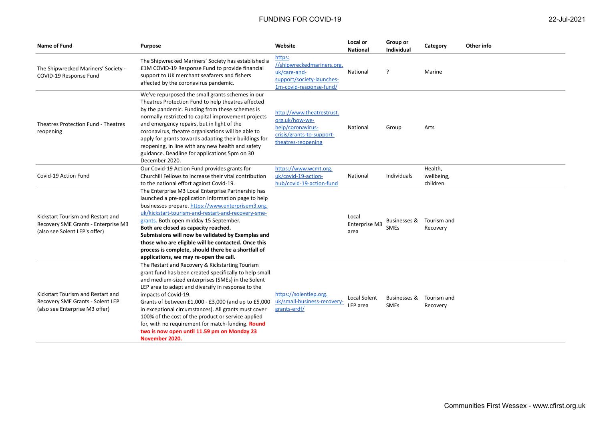| <b>Name of Fund</b>                                                                                       | <b>Purpose</b>                                                                                                                                                                                                                                                                                                                                                                                                                                                                                                                          | Website                                                                                                             | Local or<br><b>National</b>    | Group or<br><b>Individual</b> | Category                          | Other info |
|-----------------------------------------------------------------------------------------------------------|-----------------------------------------------------------------------------------------------------------------------------------------------------------------------------------------------------------------------------------------------------------------------------------------------------------------------------------------------------------------------------------------------------------------------------------------------------------------------------------------------------------------------------------------|---------------------------------------------------------------------------------------------------------------------|--------------------------------|-------------------------------|-----------------------------------|------------|
| The Shipwrecked Mariners' Society -<br>COVID-19 Response Fund                                             | The Shipwrecked Mariners' Society has established a<br>£1M COVID-19 Response Fund to provide financial<br>support to UK merchant seafarers and fishers<br>affected by the coronavirus pandemic.                                                                                                                                                                                                                                                                                                                                         | https:<br>//shipwreckedmariners.org.<br>uk/care-and-<br>support/society-launches-<br>1m-covid-response-fund/        | National                       | $\cdot$                       | Marine                            |            |
| Theatres Protection Fund - Theatres<br>reopening                                                          | We've repurposed the small grants schemes in our<br>Theatres Protection Fund to help theatres affected<br>by the pandemic. Funding from these schemes is<br>normally restricted to capital improvement projects<br>and emergency repairs, but in light of the<br>coronavirus, theatre organisations will be able to<br>apply for grants towards adapting their buildings for<br>reopening, in line with any new health and safety<br>guidance. Deadline for applications 5pm on 30<br>December 2020.                                    | http://www.theatrestrust.<br>org.uk/how-we-<br>help/coronavirus-<br>crisis/grants-to-support-<br>theatres-reopening | National                       | Group                         | Arts                              |            |
| Covid-19 Action Fund                                                                                      | Our Covid-19 Action Fund provides grants for<br>Churchill Fellows to increase their vital contribution<br>to the national effort against Covid-19.                                                                                                                                                                                                                                                                                                                                                                                      | https://www.wcmt.org.<br>uk/covid-19-action-<br>hub/covid-19-action-fund                                            | National                       | Individuals                   | Health,<br>wellbeing,<br>children |            |
| Kickstart Tourism and Restart and<br>Recovery SME Grants - Enterprise M3<br>(also see Solent LEP's offer) | The Enterprise M3 Local Enterprise Partnership has<br>launched a pre-application information page to help<br>businesses prepare. https://www.enterprisem3.org.<br>uk/kickstart-tourism-and-restart-and-recovery-sme-<br>grants. Both open midday 15 September.<br>Both are closed as capacity reached.<br>Submissions will now be validated by Exemplas and<br>those who are eligible will be contacted. Once this<br>process is complete, should there be a shortfall of<br>applications, we may re-open the call.                     |                                                                                                                     | Local<br>Enterprise M3<br>area | Businesses &<br><b>SMEs</b>   | Tourism and<br>Recovery           |            |
| Kickstart Tourism and Restart and<br>Recovery SME Grants - Solent LEP<br>(also see Enterprise M3 offer)   | The Restart and Recovery & Kickstarting Tourism<br>grant fund has been created specifically to help small<br>and medium-sized enterprises (SMEs) in the Solent<br>LEP area to adapt and diversify in response to the<br>impacts of Covid-19.<br>Grants of between £1,000 - £3,000 (and up to £5,000<br>in exceptional circumstances). All grants must cover<br>100% of the cost of the product or service applied<br>for, with no requirement for match-funding. Round<br>two is now open until 11.59 pm on Monday 23<br>November 2020. | https://solentlep.org.<br>uk/small-business-recovery-<br>grants-erdf/                                               | Local Solent<br>LEP area       | Businesses &<br><b>SMEs</b>   | Tourism and<br>Recovery           |            |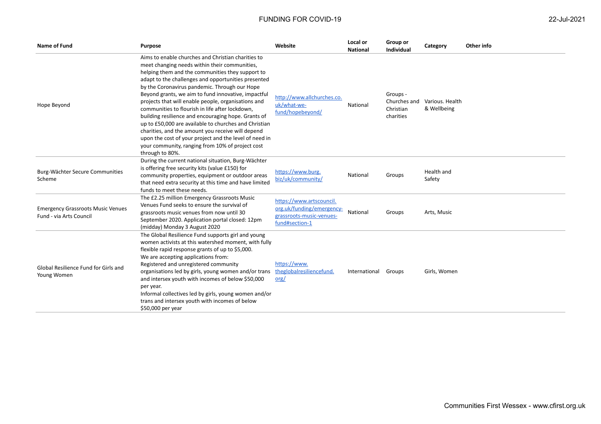| <b>Name of Fund</b>                                                 | <b>Purpose</b>                                                                                                                                                                                                                                                                                                                                                                                                                                                                                                                                                                                                                                                                                                                         | Website                                                                                             | Local or<br><b>National</b> | Group or<br><b>Individual</b>                      | Category                       | Other info |
|---------------------------------------------------------------------|----------------------------------------------------------------------------------------------------------------------------------------------------------------------------------------------------------------------------------------------------------------------------------------------------------------------------------------------------------------------------------------------------------------------------------------------------------------------------------------------------------------------------------------------------------------------------------------------------------------------------------------------------------------------------------------------------------------------------------------|-----------------------------------------------------------------------------------------------------|-----------------------------|----------------------------------------------------|--------------------------------|------------|
| Hope Beyond                                                         | Aims to enable churches and Christian charities to<br>meet changing needs within their communities,<br>helping them and the communities they support to<br>adapt to the challenges and opportunities presented<br>by the Coronavirus pandemic. Through our Hope<br>Beyond grants, we aim to fund innovative, impactful<br>projects that will enable people, organisations and<br>communities to flourish in life after lockdown,<br>building resilience and encouraging hope. Grants of<br>up to £50,000 are available to churches and Christian<br>charities, and the amount you receive will depend<br>upon the cost of your project and the level of need in<br>your community, ranging from 10% of project cost<br>through to 80%. | http://www.allchurches.co.<br>uk/what-we-<br>fund/hopebeyond/                                       | National                    | Groups -<br>Churches and<br>Christian<br>charities | Various. Health<br>& Wellbeing |            |
| Burg-Wächter Secure Communities<br>Scheme                           | During the current national situation, Burg-Wächter<br>is offering free security kits (value £150) for<br>community properties, equipment or outdoor areas<br>that need extra security at this time and have limited<br>funds to meet these needs.                                                                                                                                                                                                                                                                                                                                                                                                                                                                                     | https://www.burg.<br>biz/uk/community/                                                              | National                    | Groups                                             | Health and<br>Safety           |            |
| <b>Emergency Grassroots Music Venues</b><br>Fund - via Arts Council | The £2.25 million Emergency Grassroots Music<br>Venues Fund seeks to ensure the survival of<br>grassroots music venues from now until 30<br>September 2020. Application portal closed: 12pm<br>(midday) Monday 3 August 2020                                                                                                                                                                                                                                                                                                                                                                                                                                                                                                           | https://www.artscouncil.<br>org.uk/funding/emergency-<br>grassroots-music-venues-<br>fund#section-1 | National                    | Groups                                             | Arts, Music                    |            |
| Global Resilience Fund for Girls and<br>Young Women                 | The Global Resilience Fund supports girl and young<br>women activists at this watershed moment, with fully<br>flexible rapid response grants of up to \$5,000.<br>We are accepting applications from:<br>Registered and unregistered community<br>organisations led by girls, young women and/or trans<br>and intersex youth with incomes of below \$50,000<br>per year.<br>Informal collectives led by girls, young women and/or<br>trans and intersex youth with incomes of below<br>\$50,000 per year                                                                                                                                                                                                                               | https://www.<br>theglobalresiliencefund.<br>$org/$                                                  | International               | Groups                                             | Girls, Women                   |            |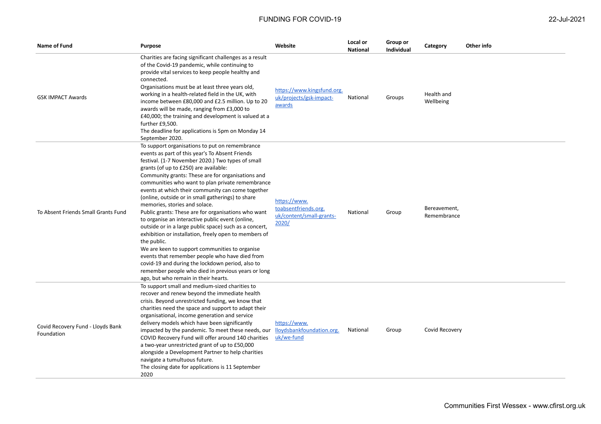| Name of Fund                                    | <b>Purpose</b>                                                                                                                                                                                                                                                                                                                                                                                                                                                                                                                                                                                                                                                                                                                                                                                                                                                                                                                                         | Website                                                                   | Local or<br><b>National</b> | Group or<br>Individual | Category                    | Other info |
|-------------------------------------------------|--------------------------------------------------------------------------------------------------------------------------------------------------------------------------------------------------------------------------------------------------------------------------------------------------------------------------------------------------------------------------------------------------------------------------------------------------------------------------------------------------------------------------------------------------------------------------------------------------------------------------------------------------------------------------------------------------------------------------------------------------------------------------------------------------------------------------------------------------------------------------------------------------------------------------------------------------------|---------------------------------------------------------------------------|-----------------------------|------------------------|-----------------------------|------------|
| <b>GSK IMPACT Awards</b>                        | Charities are facing significant challenges as a result<br>of the Covid-19 pandemic, while continuing to<br>provide vital services to keep people healthy and<br>connected.<br>Organisations must be at least three years old,<br>working in a health-related field in the UK, with<br>income between £80,000 and £2.5 million. Up to 20<br>awards will be made, ranging from £3,000 to<br>£40,000; the training and development is valued at a<br>further £9,500.<br>The deadline for applications is 5pm on Monday 14<br>September 2020.                                                                                                                                                                                                                                                                                                                                                                                                             | https://www.kingsfund.org.<br>uk/projects/gsk-impact-<br>awards           | National                    | Groups                 | Health and<br>Wellbeing     |            |
| To Absent Friends Small Grants Fund             | To support organisations to put on remembrance<br>events as part of this year's To Absent Friends<br>festival. (1-7 November 2020.) Two types of small<br>grants (of up to £250) are available:<br>Community grants: These are for organisations and<br>communities who want to plan private remembrance<br>events at which their community can come together<br>(online, outside or in small gatherings) to share<br>memories, stories and solace.<br>Public grants: These are for organisations who want<br>to organise an interactive public event (online,<br>outside or in a large public space) such as a concert,<br>exhibition or installation, freely open to members of<br>the public.<br>We are keen to support communities to organise<br>events that remember people who have died from<br>covid-19 and during the lockdown period, also to<br>remember people who died in previous years or long<br>ago, but who remain in their hearts. | https://www.<br>toabsentfriends.org.<br>uk/content/small-grants-<br>2020/ | National                    | Group                  | Bereavement,<br>Remembrance |            |
| Covid Recovery Fund - Lloyds Bank<br>Foundation | To support small and medium-sized charities to<br>recover and renew beyond the immediate health<br>crisis. Beyond unrestricted funding, we know that<br>charities need the space and support to adapt their<br>organisational, income generation and service<br>delivery models which have been significantly<br>impacted by the pandemic. To meet these needs, our<br>COVID Recovery Fund will offer around 140 charities<br>a two-year unrestricted grant of up to £50,000<br>alongside a Development Partner to help charities<br>navigate a tumultuous future.                                                                                                                                                                                                                                                                                                                                                                                     | https://www.<br>lloydsbankfoundation.org.<br>uk/we-fund                   | National                    | Group                  | Covid Recovery              |            |

The closing date for applications is 11 September

2020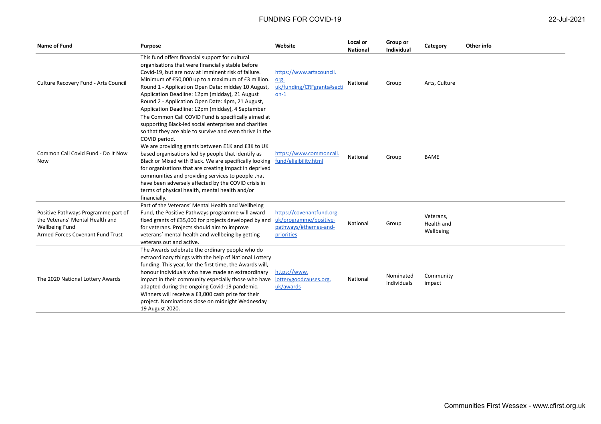| Name of Fund                                                                                                                        | <b>Purpose</b>                                                                                                                                                                                                                                                                                                                                                                                                                                                                                                                                                                                        | Website                                                                                    | Local or<br><b>National</b> | Group or<br><b>Individual</b> | Category                             | Other info |
|-------------------------------------------------------------------------------------------------------------------------------------|-------------------------------------------------------------------------------------------------------------------------------------------------------------------------------------------------------------------------------------------------------------------------------------------------------------------------------------------------------------------------------------------------------------------------------------------------------------------------------------------------------------------------------------------------------------------------------------------------------|--------------------------------------------------------------------------------------------|-----------------------------|-------------------------------|--------------------------------------|------------|
| Culture Recovery Fund - Arts Council                                                                                                | This fund offers financial support for cultural<br>organisations that were financially stable before<br>Covid-19, but are now at imminent risk of failure.<br>Minimum of £50,000 up to a maximum of £3 million.<br>Round 1 - Application Open Date: midday 10 August,<br>Application Deadline: 12pm (midday), 21 August<br>Round 2 - Application Open Date: 4pm, 21 August,<br>Application Deadline: 12pm (midday), 4 September                                                                                                                                                                       | https://www.artscouncil.<br>org.<br>uk/funding/CRFgrants#secti<br>$on-1$                   | National                    | Group                         | Arts, Culture                        |            |
| Common Call Covid Fund - Do It Now<br>Now                                                                                           | The Common Call COVID Fund is specifically aimed at<br>supporting Black-led social enterprises and charities<br>so that they are able to survive and even thrive in the<br>COVID period.<br>We are providing grants between £1K and £3K to UK<br>based organisations led by people that identify as<br>Black or Mixed with Black. We are specifically looking<br>for organisations that are creating impact in deprived<br>communities and providing services to people that<br>have been adversely affected by the COVID crisis in<br>terms of physical health, mental health and/or<br>financially. | https://www.commoncall.<br>fund/eligibility.html                                           | National                    | Group                         | <b>BAME</b>                          |            |
| Positive Pathways Programme part of<br>the Veterans' Mental Health and<br><b>Wellbeing Fund</b><br>Armed Forces Covenant Fund Trust | Part of the Veterans' Mental Health and Wellbeing<br>Fund, the Positive Pathways programme will award<br>fixed grants of £35,000 for projects developed by and<br>for veterans. Projects should aim to improve<br>veterans' mental health and wellbeing by getting<br>veterans out and active.                                                                                                                                                                                                                                                                                                        | https://covenantfund.org.<br>uk/programme/positive-<br>pathways/#themes-and-<br>priorities | National                    | Group                         | Veterans,<br>Health and<br>Wellbeing |            |
| The 2020 National Lottery Awards                                                                                                    | The Awards celebrate the ordinary people who do<br>extraordinary things with the help of National Lottery<br>funding. This year, for the first time, the Awards will,<br>honour individuals who have made an extraordinary<br>impact in their community especially those who have<br>adapted during the ongoing Covid-19 pandemic.<br>Winners will receive a £3,000 cash prize for their<br>project. Nominations close on midnight Wednesday<br>19 August 2020.                                                                                                                                       | https://www.<br>lotterygoodcauses.org.<br>uk/awards                                        | National                    | Nominated<br>Individuals      | Community<br>impact                  |            |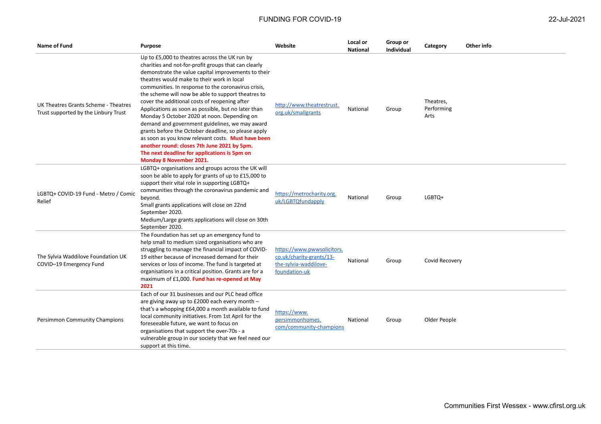| <b>Name of Fund</b>                                                          | <b>Purpose</b>                                                                                                                                                                                                                                                                                                                                                                                                                                                                                                                                                                                                                                                                                                                                                                 | Website                                                                                          | Local or<br><b>National</b> | Group or<br><b>Individual</b> | Category                        | Other info |
|------------------------------------------------------------------------------|--------------------------------------------------------------------------------------------------------------------------------------------------------------------------------------------------------------------------------------------------------------------------------------------------------------------------------------------------------------------------------------------------------------------------------------------------------------------------------------------------------------------------------------------------------------------------------------------------------------------------------------------------------------------------------------------------------------------------------------------------------------------------------|--------------------------------------------------------------------------------------------------|-----------------------------|-------------------------------|---------------------------------|------------|
| UK Theatres Grants Scheme - Theatres<br>Trust supported by the Linbury Trust | Up to £5,000 to theatres across the UK run by<br>charities and not-for-profit groups that can clearly<br>demonstrate the value capital improvements to their<br>theatres would make to their work in local<br>communities. In response to the coronavirus crisis,<br>the scheme will now be able to support theatres to<br>cover the additional costs of reopening after<br>Applications as soon as possible, but no later than<br>Monday 5 October 2020 at noon. Depending on<br>demand and government guidelines, we may award<br>grants before the October deadline, so please apply<br>as soon as you know relevant costs. Must have been<br>another round: closes 7th June 2021 by 5pm.<br>The next deadline for applications is 5pm on<br><b>Monday 8 November 2021.</b> | http://www.theatrestrust.<br>org.uk/smallgrants                                                  | National                    | Group                         | Theatres,<br>Performing<br>Arts |            |
| LGBTQ+ COVID-19 Fund - Metro / Comic<br>Relief                               | LGBTQ+ organisations and groups across the UK will<br>soon be able to apply for grants of up to £15,000 to<br>support their vital role in supporting LGBTQ+<br>communities through the coronavirus pandemic and<br>beyond.<br>Small grants applications will close on 22nd<br>September 2020.<br>Medium/Large grants applications will close on 30th<br>September 2020.                                                                                                                                                                                                                                                                                                                                                                                                        | https://metrocharity.org.<br>uk/LGBTQfundapply                                                   | National                    | Group                         | LGBTQ+                          |            |
| The Sylvia Waddilove Foundation UK<br>COVID-19 Emergency Fund                | The Foundation has set up an emergency fund to<br>help small to medium sized organisations who are<br>struggling to manage the financial impact of COVID-<br>19 either because of increased demand for their<br>services or loss of income. The fund is targeted at<br>organisations in a critical position. Grants are for a<br>maximum of £1,000. Fund has re-opened at May<br>2021                                                                                                                                                                                                                                                                                                                                                                                          | https://www.pwwsolicitors.<br>co.uk/charity-grants/13-<br>the-sylvia-waddilove-<br>foundation-uk | National                    | Group                         | Covid Recovery                  |            |
| Persimmon Community Champions                                                | Each of our 31 businesses and our PLC head office<br>are giving away up to £2000 each every month -<br>that's a whopping £64,000 a month available to fund<br>local community initiatives. From 1st April for the<br>foreseeable future, we want to focus on<br>organisations that support the over-70s - a<br>vulnerable group in our society that we feel need our<br>support at this time.                                                                                                                                                                                                                                                                                                                                                                                  | https://www.<br>persimmonhomes.<br>com/community-champions                                       | National                    | Group                         | Older People                    |            |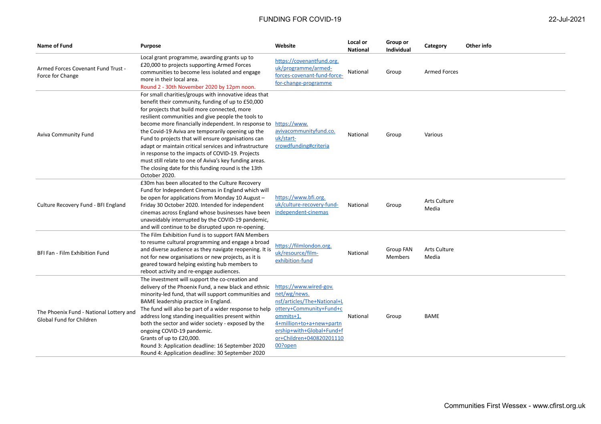| <b>Name of Fund</b>                                                 | Purpose                                                                                                                                                                                                                                                                                                                                                                                                                                                                                                                                                                                                                             | Website                                                                                                                                                                                                       | Local or<br><b>National</b> | Group or<br><b>Individual</b>      | Category                     | Other info |
|---------------------------------------------------------------------|-------------------------------------------------------------------------------------------------------------------------------------------------------------------------------------------------------------------------------------------------------------------------------------------------------------------------------------------------------------------------------------------------------------------------------------------------------------------------------------------------------------------------------------------------------------------------------------------------------------------------------------|---------------------------------------------------------------------------------------------------------------------------------------------------------------------------------------------------------------|-----------------------------|------------------------------------|------------------------------|------------|
| Armed Forces Covenant Fund Trust -<br>Force for Change              | Local grant programme, awarding grants up to<br>£20,000 to projects supporting Armed Forces<br>communities to become less isolated and engage<br>more in their local area.<br>Round 2 - 30th November 2020 by 12pm noon.                                                                                                                                                                                                                                                                                                                                                                                                            | https://covenantfund.org.<br>uk/programme/armed-<br>forces-covenant-fund-force-<br>for-change-programme                                                                                                       | National                    | Group                              | <b>Armed Forces</b>          |            |
| Aviva Community Fund                                                | For small charities/groups with innovative ideas that<br>benefit their community, funding of up to £50,000<br>for projects that build more connected, more<br>resilient communities and give people the tools to<br>become more financially independent. In response to<br>the Covid-19 Aviva are temporarily opening up the<br>Fund to projects that will ensure organisations can<br>adapt or maintain critical services and infrastructure<br>in response to the impacts of COVID-19. Projects<br>must still relate to one of Aviva's key funding areas.<br>The closing date for this funding round is the 13th<br>October 2020. | https://www.<br>avivacommunityfund.co.<br>uk/start-<br>crowdfunding#criteria                                                                                                                                  | National                    | Group                              | Various                      |            |
| Culture Recovery Fund - BFI England                                 | £30m has been allocated to the Culture Recovery<br>Fund for Independent Cinemas in England which will<br>be open for applications from Monday 10 August -<br>Friday 30 October 2020. Intended for independent<br>cinemas across England whose businesses have been<br>unavoidably interrupted by the COVID-19 pandemic,<br>and will continue to be disrupted upon re-opening.                                                                                                                                                                                                                                                       | https://www.bfi.org.<br>uk/culture-recovery-fund-<br>independent-cinemas                                                                                                                                      | National                    | Group                              | <b>Arts Culture</b><br>Media |            |
| BFI Fan - Film Exhibition Fund                                      | The Film Exhibition Fund is to support FAN Members<br>to resume cultural programming and engage a broad<br>and diverse audience as they navigate reopening. It is<br>not for new organisations or new projects, as it is<br>geared toward helping existing hub members to<br>reboot activity and re-engage audiences.                                                                                                                                                                                                                                                                                                               | https://filmlondon.org.<br>uk/resource/film-<br>exhibition-fund                                                                                                                                               | National                    | <b>Group FAN</b><br><b>Members</b> | Arts Culture<br>Media        |            |
| The Phoenix Fund - National Lottery and<br>Global Fund for Children | The investment will support the co-creation and<br>delivery of the Phoenix Fund, a new black and ethnic<br>minority-led fund, that will support communities and<br>BAME leadership practice in England.<br>The fund will also be part of a wider response to help<br>address long standing inequalities present within<br>both the sector and wider society - exposed by the<br>ongoing COVID-19 pandemic.<br>Grants of up to £20,000.<br>Round 3: Application deadline: 16 September 2020<br>Round 4: Application deadline: 30 September 2020                                                                                      | https://www.wired-gov.<br>net/wg/news.<br>nsf/articles/The+National+L<br>ottery+Community+Fund+c<br>ommits+1.<br>4+million+to+a+new+partn<br>ership+with+Global+Fund+f<br>or+Children+040820201110<br>00?open | National                    | Group                              | <b>BAME</b>                  |            |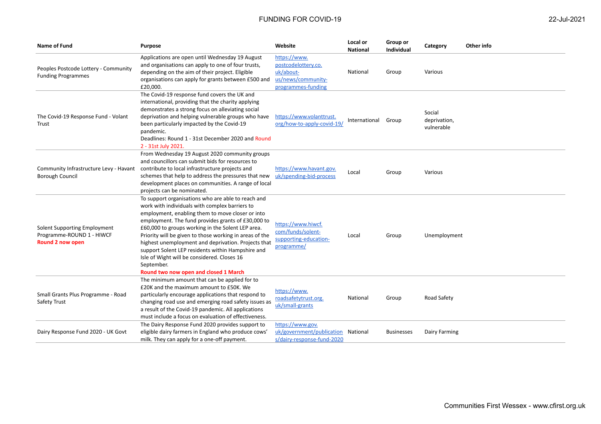| Name of Fund                                                                  | <b>Purpose</b>                                                                                                                                                                                                                                                                                                                                                                                                                                                                                                                                   | Website                                                                                      | Local or<br><b>National</b> | Group or<br><b>Individual</b> | Category                             | Other info |
|-------------------------------------------------------------------------------|--------------------------------------------------------------------------------------------------------------------------------------------------------------------------------------------------------------------------------------------------------------------------------------------------------------------------------------------------------------------------------------------------------------------------------------------------------------------------------------------------------------------------------------------------|----------------------------------------------------------------------------------------------|-----------------------------|-------------------------------|--------------------------------------|------------|
| Peoples Postcode Lottery - Community<br><b>Funding Programmes</b>             | Applications are open until Wednesday 19 August<br>and organisations can apply to one of four trusts,<br>depending on the aim of their project. Eligible<br>organisations can apply for grants between £500 and<br>£20,000.                                                                                                                                                                                                                                                                                                                      | https://www.<br>postcodelottery.co.<br>uk/about-<br>us/news/community-<br>programmes-funding | National                    | Group                         | Various                              |            |
| The Covid-19 Response Fund - Volant<br>Trust                                  | The Covid-19 response fund covers the UK and<br>international, providing that the charity applying<br>demonstrates a strong focus on alleviating social<br>deprivation and helping vulnerable groups who have<br>been particularly impacted by the Covid-19<br>pandemic.<br>Deadlines: Round 1 - 31st December 2020 and Round<br>2 - 31st July 2021.                                                                                                                                                                                             | https://www.volanttrust.<br>org/how-to-apply-covid-19/                                       | International               | Group                         | Social<br>deprivation,<br>vulnerable |            |
| Community Infrastructure Levy - Havant<br><b>Borough Council</b>              | From Wednesday 19 August 2020 community groups<br>and councillors can submit bids for resources to<br>contribute to local infrastructure projects and<br>schemes that help to address the pressures that new<br>development places on communities. A range of local<br>projects can be nominated.                                                                                                                                                                                                                                                | https://www.havant.gov.<br>uk/spending-bid-process                                           | Local                       | Group                         | Various                              |            |
| Solent Supporting Employment<br>Programme-ROUND 1 - HIWCF<br>Round 2 now open | To support organisations who are able to reach and<br>work with individuals with complex barriers to<br>employment, enabling them to move closer or into<br>employment. The fund provides grants of £30,000 to<br>£60,000 to groups working in the Solent LEP area.<br>Priority will be given to those working in areas of the<br>highest unemployment and deprivation. Projects that<br>support Solent LEP residents within Hampshire and<br>Isle of Wight will be considered. Closes 16<br>September.<br>Round two now open and closed 1 March | https://www.hiwcf.<br>com/funds/solent-<br>supporting-education-<br>programme/               | Local                       | Group                         | Unemployment                         |            |
| Small Grants Plus Programme - Road<br>Safety Trust                            | The minimum amount that can be applied for to<br>£20K and the maximum amount to £50K. We<br>particularly encourage applications that respond to<br>changing road use and emerging road safety issues as<br>a result of the Covid-19 pandemic. All applications<br>must include a focus on evaluation of effectiveness.                                                                                                                                                                                                                           | https://www.<br>roadsafetytrust.org.<br>uk/small-grants                                      | National                    | Group                         | Road Safety                          |            |
| Dairy Response Fund 2020 - UK Govt                                            | The Dairy Response Fund 2020 provides support to<br>eligible dairy farmers in England who produce cows'<br>milk. They can apply for a one-off payment.                                                                                                                                                                                                                                                                                                                                                                                           | https://www.gov.<br>uk/government/publication National<br>s/dairy-response-fund-2020         |                             | <b>Businesses</b>             | Dairy Farming                        |            |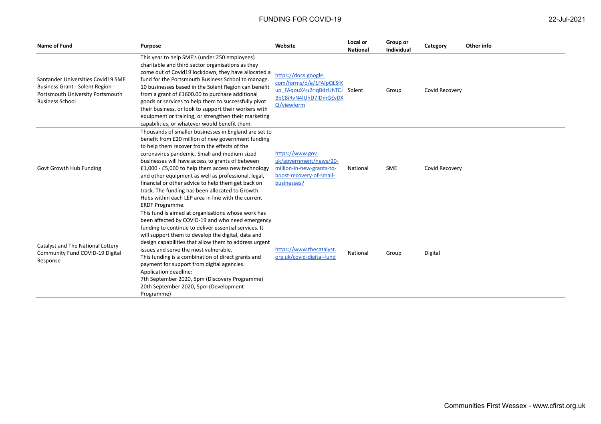| <b>Name of Fund</b>                                                                                                                  | <b>Purpose</b>                                                                                                                                                                                                                                                                                                                                                                                                                                                                                                                                                 | Website                                                                                                                    | Local or<br><b>National</b> | Group or<br>Individual | Category       | Other info |
|--------------------------------------------------------------------------------------------------------------------------------------|----------------------------------------------------------------------------------------------------------------------------------------------------------------------------------------------------------------------------------------------------------------------------------------------------------------------------------------------------------------------------------------------------------------------------------------------------------------------------------------------------------------------------------------------------------------|----------------------------------------------------------------------------------------------------------------------------|-----------------------------|------------------------|----------------|------------|
| Santander Universities Covid19 SME<br>Business Grant - Solent Region -<br>Portsmouth University Portsmouth<br><b>Business School</b> | This year to help SME's (under 250 employees)<br>charitable and third sector organisations as they<br>come out of Covid19 lockdown, they have allocated a<br>fund for the Portsmouth Business School to manage.<br>10 businesses based in the Solent Region can benefit<br>from a grant of £1600.00 to purchase additional<br>goods or services to help them to successfully pivot<br>their business, or look to support their workers with<br>equipment or training, or strengthen their marketing<br>capabilities, or whatever would benefit them.           | https://docs.google.<br>com/forms/d/e/1FAIpQLSfK<br>uo FAqouX4u2rlqBdzUhTCJ Solent<br>BbC8iRvN4lUhD7lDmGEvDX<br>Q/viewform |                             | Group                  | Covid Recovery |            |
| Govt Growth Hub Funding                                                                                                              | Thousands of smaller businesses in England are set to<br>benefit from £20 million of new government funding<br>to help them recover from the effects of the<br>coronavirus pandemic. Small and medium sized<br>businesses will have access to grants of between<br>£1,000 - £5,000 to help them access new technology<br>and other equipment as well as professional, legal,<br>financial or other advice to help them get back on<br>track. The funding has been allocated to Growth<br>Hubs within each LEP area in line with the current<br>ERDF Programme. | https://www.gov.<br>uk/government/news/20-<br>million-in-new-grants-to-<br>boost-recovery-of-small-<br>businesses?         | National                    | <b>SME</b>             | Covid Recovery |            |
| Catalyst and The National Lottery<br>Community Fund COVID-19 Digital<br>Response                                                     | This fund is aimed at organisations whose work has<br>been affected by COVID-19 and who need emergency<br>funding to continue to deliver essential services. It<br>will support them to develop the digital, data and<br>design capabilities that allow them to address urgent<br>issues and serve the most vulnerable.<br>This funding is a combination of direct grants and<br>payment for support from digital agencies.<br>Application deadline:<br>7th September 2020, 5pm (Discovery Programme)<br>20th September 2020, 5pm (Development<br>Programme)   | https://www.thecatalyst.<br>org.uk/covid-digital-fund                                                                      | National                    | Group                  | Digital        |            |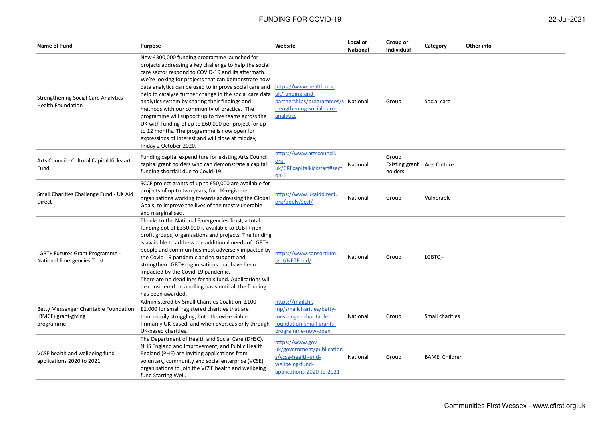| Name of Fund                                                              | Purpose                                                                                                                                                                                                                                                                                                                                                                                                                                                                                                                                                                                                                                                                            | Website                                                                                                                    | Local or<br><b>National</b> | Group or<br>Individual                          | Category        | Other info |
|---------------------------------------------------------------------------|------------------------------------------------------------------------------------------------------------------------------------------------------------------------------------------------------------------------------------------------------------------------------------------------------------------------------------------------------------------------------------------------------------------------------------------------------------------------------------------------------------------------------------------------------------------------------------------------------------------------------------------------------------------------------------|----------------------------------------------------------------------------------------------------------------------------|-----------------------------|-------------------------------------------------|-----------------|------------|
| <b>Strengthening Social Care Analytics -</b><br><b>Health Foundation</b>  | New £300,000 funding programme launched for<br>projects addressing a key challenge to help the social<br>care sector respond to COVID-19 and its aftermath.<br>We're looking for projects that can demonstrate how<br>data analytics can be used to improve social care and<br>help to catalyse further change in the social care data<br>analytics system by sharing their findings and<br>methods with our community of practice. The<br>programme will support up to five teams across the<br>UK with funding of up to £60,000 per project for up<br>to 12 months. The programme is now open for<br>expressions of interest and will close at midday,<br>Friday 2 October 2020. | https://www.health.org.<br>uk/funding-and-<br>partnerships/programmes/s National<br>trengthening-social-care-<br>analytics |                             | Group                                           | Social care     |            |
| Arts Council - Cultural Capital Kickstart<br>Fund                         | Funding capital expenditure for existing Arts Council<br>capital grant holders who can demonstrate a capital<br>funding shortfall due to Covid-19.                                                                                                                                                                                                                                                                                                                                                                                                                                                                                                                                 | https://www.artscouncil.<br>org.<br>uk/CRFcapitalkickstart#secti<br>$on-1$                                                 | National                    | Group<br>Existing grant Arts Culture<br>holders |                 |            |
| Small Charities Challenge Fund - UK Aid<br>Direct                         | SCCF project grants of up to £50,000 are available for<br>projects of up to two years, for UK-registered<br>organisations working towards addressing the Global<br>Goals, to improve the lives of the most vulnerable<br>and marginalised.                                                                                                                                                                                                                                                                                                                                                                                                                                         | https://www.ukaiddirect.<br>org/apply/sccf/                                                                                | National                    | Group                                           | Vulnerable      |            |
| LGBT+ Futures Grant Programme -<br><b>National Emergencies Trust</b>      | Thanks to the National Emergencies Trust, a total<br>funding pot of £350,000 is available to LGBT+ non-<br>profit groups, organisations and projects. The funding<br>is available to address the additional needs of LGBT+<br>people and communities most adversely impacted by<br>the Covid-19 pandemic and to support and<br>strengthen LGBT+ organisations that have been<br>impacted by the Covid-19 pandemic.<br>There are no deadlines for this fund. Applications will<br>be considered on a rolling basis until all the funding<br>has been awarded.                                                                                                                       | https://www.consortium.<br>lgbt/NETFund/                                                                                   | National                    | Group                                           | LGBTQ+          |            |
| Betty Messenger Charitable Foundation<br>(BMCF) grant-giving<br>programme | Administered by Small Charities Coalition, £100-<br>£1,000 for small registered charities that are<br>temporarily struggling, but otherwise viable.<br>Primarily UK-based, and when overseas only through<br>UK-based charities.                                                                                                                                                                                                                                                                                                                                                                                                                                                   | https://mailchi.<br>mp/smallcharities/betty-<br>messenger-charitable-<br>foundation-small-grants-<br>programme-now-open    | National                    | Group                                           | Small charities |            |
| VCSE health and wellbeing fund<br>applications 2020 to 2021               | The Department of Health and Social Care (DHSC),<br>NHS England and Improvement, and Public Health<br>England (PHE) are inviting applications from<br>voluntary, community and social enterprise (VCSE)<br>organisations to join the VCSE health and wellbeing<br>fund Starting Well.                                                                                                                                                                                                                                                                                                                                                                                              | https://www.gov.<br>uk/government/publication<br>s/vcse-health-and-<br>wellbeing-fund-<br>applications-2020-to-2021        | National                    | Group                                           | BAME, Children  |            |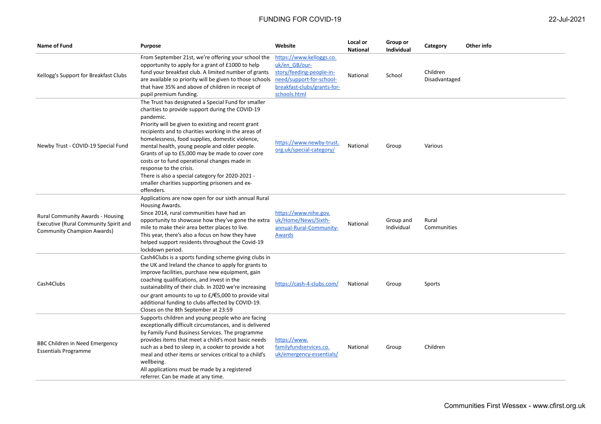| Name of Fund                                                                                                          | Purpose                                                                                                                                                                                                                                                                                                                                                                                                                                                                                                                                                                                   | Website                                                                                                                                          | Local or<br>National | Group or<br>Individual  | Category                  | Other info |
|-----------------------------------------------------------------------------------------------------------------------|-------------------------------------------------------------------------------------------------------------------------------------------------------------------------------------------------------------------------------------------------------------------------------------------------------------------------------------------------------------------------------------------------------------------------------------------------------------------------------------------------------------------------------------------------------------------------------------------|--------------------------------------------------------------------------------------------------------------------------------------------------|----------------------|-------------------------|---------------------------|------------|
| Kellogg's Support for Breakfast Clubs                                                                                 | From September 21st, we're offering your school the<br>opportunity to apply for a grant of £1000 to help<br>fund your breakfast club. A limited number of grants<br>are available so priority will be given to those schools<br>that have 35% and above of children in receipt of<br>pupil premium funding.                                                                                                                                                                                                                                                                               | https://www.kelloggs.co.<br>uk/en GB/our-<br>story/feeding-people-in-<br>need/support-for-school-<br>breakfast-clubs/grants-for-<br>schools.html | National             | School                  | Children<br>Disadvantaged |            |
| Newby Trust - COVID-19 Special Fund                                                                                   | The Trust has designated a Special Fund for smaller<br>charities to provide support during the COVID-19<br>pandemic.<br>Priority will be given to existing and recent grant<br>recipients and to charities working in the areas of<br>homelessness, food supplies, domestic violence,<br>mental health, young people and older people.<br>Grants of up to £5,000 may be made to cover core<br>costs or to fund operational changes made in<br>response to the crisis.<br>There is also a special category for 2020-2021 -<br>smaller charities supporting prisoners and ex-<br>offenders. | https://www.newby-trust.<br>org.uk/special-category/                                                                                             | National             | Group                   | Various                   |            |
| <b>Rural Community Awards - Housing</b><br>Executive (Rural Community Spirit and<br><b>Community Champion Awards)</b> | Applications are now open for our sixth annual Rural<br>Housing Awards.<br>Since 2014, rural communities have had an<br>opportunity to showcase how they've gone the extra<br>mile to make their area better places to live.<br>This year, there's also a focus on how they have<br>helped support residents throughout the Covid-19<br>lockdown period.                                                                                                                                                                                                                                  | https://www.nihe.gov.<br>uk/Home/News/Sixth-<br>annual-Rural-Community-<br>Awards                                                                | National             | Group and<br>Individual | Rural<br>Communities      |            |
| Cash4Clubs                                                                                                            | Cash4Clubs is a sports funding scheme giving clubs in<br>the UK and Ireland the chance to apply for grants to<br>improve facilities, purchase new equipment, gain<br>coaching qualifications, and invest in the<br>sustainability of their club. In 2020 we're increasing<br>our grant amounts to up to $E/\epsilon$ 5,000 to provide vital<br>additional funding to clubs affected by COVID-19.<br>Closes on the 8th September at 23:59                                                                                                                                                  | https://cash-4-clubs.com/                                                                                                                        | National             | Group                   | Sports                    |            |
| BBC Children in Need Emergency<br><b>Essentials Programme</b>                                                         | Supports children and young people who are facing<br>exceptionally difficult circumstances, and is delivered<br>by Family Fund Business Services. The programme<br>provides items that meet a child's most basic needs<br>such as a bed to sleep in, a cooker to provide a hot<br>meal and other items or services critical to a child's<br>wellbeing.<br>All applications must be made by a registered<br>referrer. Can be made at any time.                                                                                                                                             | https://www.<br>familyfundservices.co.<br>uk/emergency-essentials/                                                                               | National             | Group                   | Children                  |            |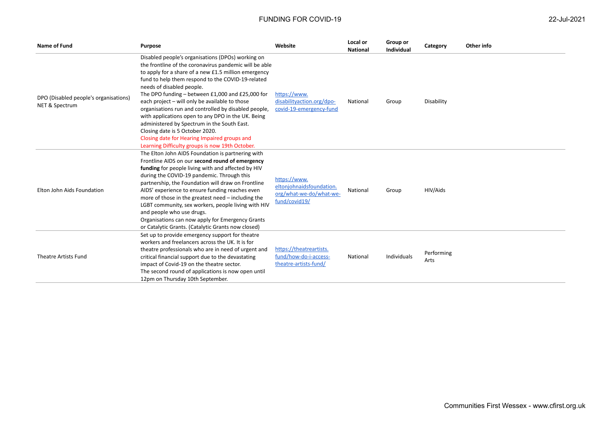| 22-Jul-20 |  |
|-----------|--|
|-----------|--|

| Name of Fund                                            | Purpose                                                                                                                                                                                                                                                                                                                                                                                                                                                                                                                                                                                                                                                        | Website                                                                              | Local or<br><b>National</b> | Group or<br>Individual | Category           | Other info |
|---------------------------------------------------------|----------------------------------------------------------------------------------------------------------------------------------------------------------------------------------------------------------------------------------------------------------------------------------------------------------------------------------------------------------------------------------------------------------------------------------------------------------------------------------------------------------------------------------------------------------------------------------------------------------------------------------------------------------------|--------------------------------------------------------------------------------------|-----------------------------|------------------------|--------------------|------------|
| DPO (Disabled people's organisations)<br>NET & Spectrum | Disabled people's organisations (DPOs) working on<br>the frontline of the coronavirus pandemic will be able<br>to apply for a share of a new £1.5 million emergency<br>fund to help them respond to the COVID-19-related<br>needs of disabled people.<br>The DPO funding - between £1,000 and £25,000 for<br>each project - will only be available to those<br>organisations run and controlled by disabled people,<br>with applications open to any DPO in the UK. Being<br>administered by Spectrum in the South East.<br>Closing date is 5 October 2020.<br>Closing date for Hearing Impaired groups and<br>Learning Difficulty groups is now 19th October. | https://www.<br>disabilityaction.org/dpo-<br>covid-19-emergency-fund                 | National                    | Group                  | Disability         |            |
| Elton John Aids Foundation                              | The Elton John AIDS Foundation is partnering with<br>Frontline AIDS on our second round of emergency<br>funding for people living with and affected by HIV<br>during the COVID-19 pandemic. Through this<br>partnership, the Foundation will draw on Frontline<br>AIDS' experience to ensure funding reaches even<br>more of those in the greatest need - including the<br>LGBT community, sex workers, people living with HIV<br>and people who use drugs.<br>Organisations can now apply for Emergency Grants<br>or Catalytic Grants. (Catalytic Grants now closed)                                                                                          | https://www.<br>eltonjohnaidsfoundation.<br>org/what-we-do/what-we-<br>fund/covid19/ | National                    | Group                  | HIV/Aids           |            |
| Theatre Artists Fund                                    | Set up to provide emergency support for theatre<br>workers and freelancers across the UK. It is for<br>theatre professionals who are in need of urgent and<br>critical financial support due to the devastating<br>impact of Covid-19 on the theatre sector.<br>The second round of applications is now open until<br>12pm on Thursday 10th September.                                                                                                                                                                                                                                                                                                         | https://theatreartists.<br>fund/how-do-i-access-<br>theatre-artists-fund/            | National                    | Individuals            | Performing<br>Arts |            |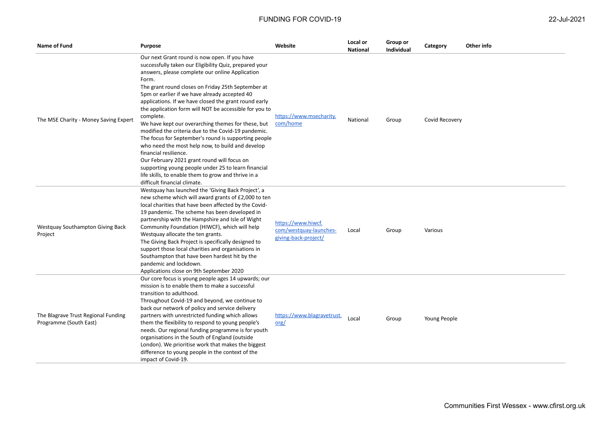| Name of Fund                                                  | Purpose                                                                                                                                                                                                                                                                                                                                                                                                                                                                                                                                                                                                                                                                                                                                                                                                                                                   | Website                                                              | Local or<br><b>National</b> | Group or<br>Individual | Category       | Other info |
|---------------------------------------------------------------|-----------------------------------------------------------------------------------------------------------------------------------------------------------------------------------------------------------------------------------------------------------------------------------------------------------------------------------------------------------------------------------------------------------------------------------------------------------------------------------------------------------------------------------------------------------------------------------------------------------------------------------------------------------------------------------------------------------------------------------------------------------------------------------------------------------------------------------------------------------|----------------------------------------------------------------------|-----------------------------|------------------------|----------------|------------|
| The MSE Charity - Money Saving Expert                         | Our next Grant round is now open. If you have<br>successfully taken our Eligibility Quiz, prepared your<br>answers, please complete our online Application<br>Form.<br>The grant round closes on Friday 25th September at<br>5pm or earlier if we have already accepted 40<br>applications. If we have closed the grant round early<br>the application form will NOT be accessible for you to<br>complete.<br>We have kept our overarching themes for these, but<br>modified the criteria due to the Covid-19 pandemic.<br>The focus for September's round is supporting people<br>who need the most help now, to build and develop<br>financial resilience.<br>Our February 2021 grant round will focus on<br>supporting young people under 25 to learn financial<br>life skills, to enable them to grow and thrive in a<br>difficult financial climate. | https://www.msecharity.<br>com/home                                  | National                    | Group                  | Covid Recovery |            |
| Westquay Southampton Giving Back<br>Project                   | Westquay has launched the 'Giving Back Project', a<br>new scheme which will award grants of £2,000 to ten<br>local charities that have been affected by the Covid-<br>19 pandemic. The scheme has been developed in<br>partnership with the Hampshire and Isle of Wight<br>Community Foundation (HIWCF), which will help<br>Westquay allocate the ten grants.<br>The Giving Back Project is specifically designed to<br>support those local charities and organisations in<br>Southampton that have been hardest hit by the<br>pandemic and lockdown.<br>Applications close on 9th September 2020                                                                                                                                                                                                                                                         | https://www.hiwcf.<br>com/westquay-launches-<br>giving-back-project/ | Local                       | Group                  | Various        |            |
| The Blagrave Trust Regional Funding<br>Programme (South East) | Our core focus is young people ages 14 upwards; our<br>mission is to enable them to make a successful<br>transition to adulthood.<br>Throughout Covid-19 and beyond, we continue to<br>back our network of policy and service delivery<br>partners with unrestricted funding which allows<br>them the flexibility to respond to young people's<br>needs. Our regional funding programme is for youth<br>organisations in the South of England (outside<br>London). We prioritise work that makes the biggest<br>difference to young people in the context of the<br>impact of Covid-19.                                                                                                                                                                                                                                                                   | https://www.blagravetrust.<br>org/                                   | Local                       | Group                  | Young People   |            |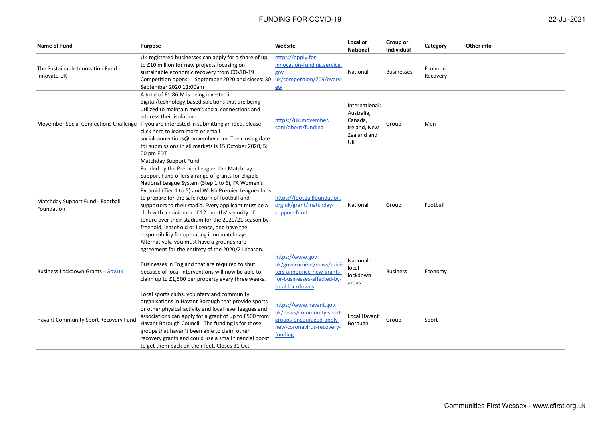| Name of Fund                                     | <b>Purpose</b>                                                                                                                                                                                                                                                                                                                                                                                                                                                                                                                                                                                                                                               | Website                                                                                                                     | Local or<br><b>National</b>                                                  | Group or<br><b>Individual</b> | Category             | Other info |
|--------------------------------------------------|--------------------------------------------------------------------------------------------------------------------------------------------------------------------------------------------------------------------------------------------------------------------------------------------------------------------------------------------------------------------------------------------------------------------------------------------------------------------------------------------------------------------------------------------------------------------------------------------------------------------------------------------------------------|-----------------------------------------------------------------------------------------------------------------------------|------------------------------------------------------------------------------|-------------------------------|----------------------|------------|
| The Sustainable Innovation Fund -<br>Innovate UK | UK registered businesses can apply for a share of up<br>to £10 million for new projects focusing on<br>sustainable economic recovery from COVID-19<br>Competition opens: 1 September 2020 and closes: 30<br>September 2020 11:00am                                                                                                                                                                                                                                                                                                                                                                                                                           | https://apply-for-<br>innovation-funding.service.<br>gov.<br>uk/competition/709/overvi<br>ew                                | National                                                                     | <b>Businesses</b>             | Economic<br>Recovery |            |
| Movember Social Connections Challenge            | A total of £1.86 M is being invested in<br>digital/technology-based solutions that are being<br>utilized to maintain men's social connections and<br>address their isolation.<br>If you are interested in submitting an idea, please<br>click here to learn more or email<br>socialconnections@movember.com. The closing date<br>for submissions in all markets is 15 October 2020, 5:<br>00 pm EDT                                                                                                                                                                                                                                                          | https://uk.movember.<br>com/about/funding                                                                                   | International:<br>Australia,<br>Canada,<br>Ireland, New<br>Zealand and<br>UK | Group                         | Men                  |            |
| Matchday Support Fund - Football<br>Foundation   | Matchday Support Fund<br>Funded by the Premier League, the Matchday<br>Support Fund offers a range of grants for eligible<br>National League System (Step 1 to 6), FA Women's<br>Pyramid (Tier 1 to 5) and Welsh Premier League clubs<br>to prepare for the safe return of football and<br>supporters to their stadia. Every applicant must be a<br>club with a minimum of 12 months' security of<br>tenure over their stadium for the 2020/21 season by<br>freehold, leasehold or licence, and have the<br>responsibility for operating it on matchdays.<br>Alternatively, you must have a groundshare<br>agreement for the entirety of the 2020/21 season. | https://footballfoundation.<br>org.uk/grant/matchday-<br>support-fund                                                       | National                                                                     | Group                         | Football             |            |
| <b>Business Lockdown Grants - Gov.uk</b>         | Businesses in England that are required to shut<br>because of local interventions will now be able to<br>claim up to £1,500 per property every three weeks.                                                                                                                                                                                                                                                                                                                                                                                                                                                                                                  | https://www.gov.<br>uk/government/news/minis<br>ters-announce-new-grants-<br>for-businesses-affected-by-<br>local-lockdowns | National -<br>local<br>lockdown<br>areas                                     | <b>Business</b>               | Economy              |            |
| Havant Community Sport Recovery Fund             | Local sports clubs, voluntary and community<br>organisations in Havant Borough that provide sports<br>or other physical activity and local level leagues and<br>associations can apply for a grant of up to £500 from<br>Havant Borough Council. The funding is for those<br>groups that haven't been able to claim other<br>recovery grants and could use a small financial boost<br>to get them back on their feet. Closes 31 Oct                                                                                                                                                                                                                          | https://www.havant.gov.<br>uk/news/community-sport-<br>groups-encouraged-apply-<br>new-coronavirus-recovery-<br>funding     | Local Havant<br>Borough                                                      | Group                         | Sport                |            |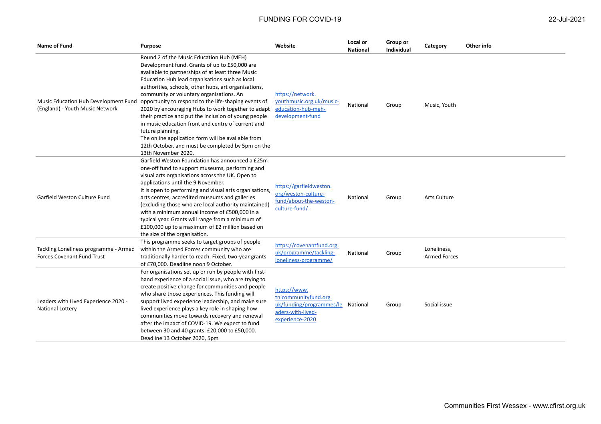| Name of Fund                                                               | <b>Purpose</b>                                                                                                                                                                                                                                                                                                                                                                                                                                                                                                                                                                                                                                                                         | Website                                                                                                            | Local or<br><b>National</b> | Group or<br>Individual | Category                           | Other info |
|----------------------------------------------------------------------------|----------------------------------------------------------------------------------------------------------------------------------------------------------------------------------------------------------------------------------------------------------------------------------------------------------------------------------------------------------------------------------------------------------------------------------------------------------------------------------------------------------------------------------------------------------------------------------------------------------------------------------------------------------------------------------------|--------------------------------------------------------------------------------------------------------------------|-----------------------------|------------------------|------------------------------------|------------|
| Music Education Hub Development Fund<br>(England) - Youth Music Network    | Round 2 of the Music Education Hub (MEH)<br>Development fund. Grants of up to £50,000 are<br>available to partnerships of at least three Music<br>Education Hub lead organisations such as local<br>authorities, schools, other hubs, art organisations,<br>community or voluntary organisations. An<br>opportunity to respond to the life-shaping events of<br>2020 by encouraging Hubs to work together to adapt<br>their practice and put the inclusion of young people<br>in music education front and centre of current and<br>future planning.<br>The online application form will be available from<br>12th October, and must be completed by 5pm on the<br>13th November 2020. | https://network.<br>youthmusic.org.uk/music-<br>education-hub-meh-<br>development-fund                             | National                    | Group                  | Music, Youth                       |            |
| Garfield Weston Culture Fund                                               | Garfield Weston Foundation has announced a £25m<br>one-off fund to support museums, performing and<br>visual arts organisations across the UK. Open to<br>applications until the 9 November.<br>It is open to performing and visual arts organisations,<br>arts centres, accredited museums and galleries<br>(excluding those who are local authority maintained)<br>with a minimum annual income of £500,000 in a<br>typical year. Grants will range from a minimum of<br>£100,000 up to a maximum of £2 million based on<br>the size of the organisation.                                                                                                                            | https://garfieldweston.<br>org/weston-culture-<br>fund/about-the-weston-<br>culture-fund/                          | National                    | Group                  | <b>Arts Culture</b>                |            |
| Tackling Loneliness programme - Armed<br><b>Forces Covenant Fund Trust</b> | This programme seeks to target groups of people<br>within the Armed Forces community who are<br>traditionally harder to reach. Fixed, two-year grants<br>of £70,000. Deadline noon 9 October.                                                                                                                                                                                                                                                                                                                                                                                                                                                                                          | https://covenantfund.org.<br>uk/programme/tackling-<br>loneliness-programme/                                       | National                    | Group                  | Loneliness,<br><b>Armed Forces</b> |            |
| Leaders with Lived Experience 2020 -<br>National Lottery                   | For organisations set up or run by people with first-<br>hand experience of a social issue, who are trying to<br>create positive change for communities and people<br>who share those experiences. This funding will<br>support lived experience leadership, and make sure<br>lived experience plays a key role in shaping how<br>communities move towards recovery and renewal<br>after the impact of COVID-19. We expect to fund<br>between 30 and 40 grants. £20,000 to £50,000.<br>Deadline 13 October 2020, 5pm                                                                                                                                                                   | https://www.<br>tnlcommunityfund.org.<br>uk/funding/programmes/le National<br>aders-with-lived-<br>experience-2020 |                             | Group                  | Social issue                       |            |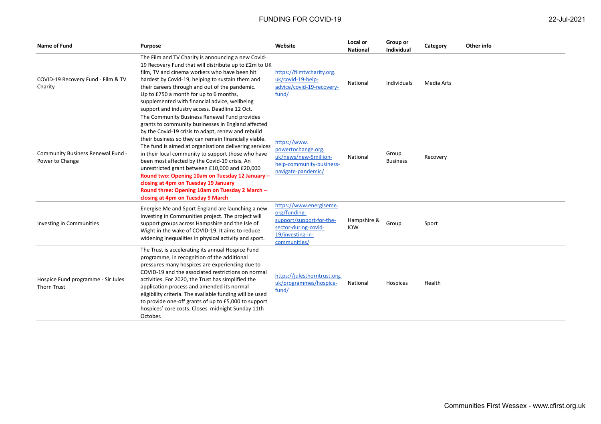| <b>Name of Fund</b>                                      | <b>Purpose</b>                                                                                                                                                                                                                                                                                                                                                                                                                                                                                                                                                                                                         | Website                                                                                                                         | Local or<br><b>National</b> | Group or<br><b>Individual</b> | Category   | Other info |
|----------------------------------------------------------|------------------------------------------------------------------------------------------------------------------------------------------------------------------------------------------------------------------------------------------------------------------------------------------------------------------------------------------------------------------------------------------------------------------------------------------------------------------------------------------------------------------------------------------------------------------------------------------------------------------------|---------------------------------------------------------------------------------------------------------------------------------|-----------------------------|-------------------------------|------------|------------|
| COVID-19 Recovery Fund - Film & TV<br>Charity            | The Film and TV Charity is announcing a new Covid-<br>19 Recovery Fund that will distribute up to £2m to UK<br>film, TV and cinema workers who have been hit<br>hardest by Covid-19, helping to sustain them and<br>their careers through and out of the pandemic.<br>Up to £750 a month for up to 6 months,<br>supplemented with financial advice, wellbeing<br>support and industry access. Deadline 12 Oct.                                                                                                                                                                                                         | https://filmtvcharity.org.<br>uk/covid-19-help-<br>advice/covid-19-recovery-<br>fund/                                           | National                    | <b>Individuals</b>            | Media Arts |            |
| Community Business Renewal Fund -<br>Power to Change     | The Community Business Renewal Fund provides<br>grants to community businesses in England affected<br>by the Covid-19 crisis to adapt, renew and rebuild<br>their business so they can remain financially viable.<br>The fund is aimed at organisations delivering services<br>in their local community to support those who have<br>been most affected by the Covid-19 crisis. An<br>unrestricted grant between £10,000 and £20,000<br>Round two: Opening 10am on Tuesday 12 January -<br>closing at 4pm on Tuesday 19 January<br>Round three: Opening 10am on Tuesday 2 March -<br>closing at 4pm on Tuesday 9 March | https://www.<br>powertochange.org.<br>uk/news/new-5million-<br>help-community-business-<br>navigate-pandemic/                   | National                    | Group<br><b>Business</b>      | Recovery   |            |
| <b>Investing in Communities</b>                          | Energise Me and Sport England are launching a new<br>Investing in Communities project. The project will<br>support groups across Hampshire and the Isle of<br>Wight in the wake of COVID-19. It aims to reduce<br>widening inequalities in physical activity and sport.                                                                                                                                                                                                                                                                                                                                                | https://www.energiseme.<br>org/funding-<br>support/support-for-the-<br>sector-during-covid-<br>19/investing-in-<br>communities/ | Hampshire &<br><b>IOW</b>   | Group                         | Sport      |            |
| Hospice Fund programme - Sir Jules<br><b>Thorn Trust</b> | The Trust is accelerating its annual Hospice Fund<br>programme, in recognition of the additional<br>pressures many hospices are experiencing due to<br>COVID-19 and the associated restrictions on normal<br>activities. For 2020, the Trust has simplified the<br>application process and amended its normal<br>eligibility criteria. The available funding will be used<br>to provide one-off grants of up to £5,000 to support<br>hospices' core costs. Closes midnight Sunday 11th<br>October.                                                                                                                     | https://julesthorntrust.org.<br>uk/programmes/hospice-<br>fund/                                                                 | National                    | Hospices                      | Health     |            |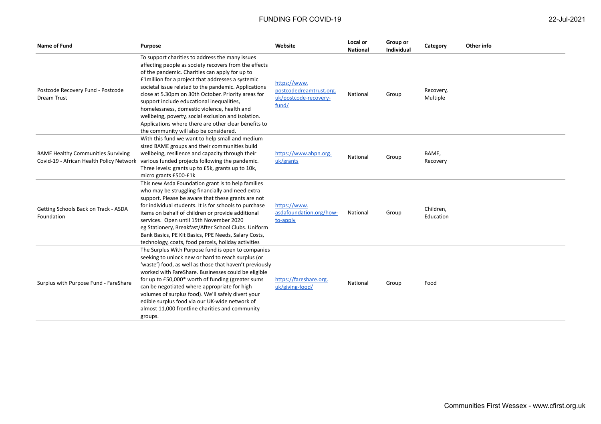| <b>Name of Fund</b>                                | Purpose                                                                                                                                                                                                                                                                                                                                                                                                                                                                                                                                                                             | Website                                                                   | Local or<br><b>National</b> | Group or<br><b>Individual</b> | Category               | Other info |
|----------------------------------------------------|-------------------------------------------------------------------------------------------------------------------------------------------------------------------------------------------------------------------------------------------------------------------------------------------------------------------------------------------------------------------------------------------------------------------------------------------------------------------------------------------------------------------------------------------------------------------------------------|---------------------------------------------------------------------------|-----------------------------|-------------------------------|------------------------|------------|
| Postcode Recovery Fund - Postcode<br>Dream Trust   | To support charities to address the many issues<br>affecting people as society recovers from the effects<br>of the pandemic. Charities can apply for up to<br>£1million for a project that addresses a systemic<br>societal issue related to the pandemic. Applications<br>close at 5.30pm on 30th October. Priority areas for<br>support include educational inequalities,<br>homelessness, domestic violence, health and<br>wellbeing, poverty, social exclusion and isolation.<br>Applications where there are other clear benefits to<br>the community will also be considered. | https://www.<br>postcodedreamtrust.org.<br>uk/postcode-recovery-<br>fund/ | National                    | Group                         | Recovery,<br>Multiple  |            |
| <b>BAME Healthy Communities Surviving</b>          | With this fund we want to help small and medium<br>sized BAME groups and their communities build<br>wellbeing, resilience and capacity through their<br>Covid-19 - African Health Policy Network various funded projects following the pandemic.<br>Three levels: grants up to £5k, grants up to 10k,<br>micro grants £500-£1k                                                                                                                                                                                                                                                      | https://www.ahpn.org.<br>uk/grants                                        | National                    | Group                         | BAME,<br>Recovery      |            |
| Getting Schools Back on Track - ASDA<br>Foundation | This new Asda Foundation grant is to help families<br>who may be struggling financially and need extra<br>support. Please be aware that these grants are not<br>for individual students. It is for schools to purchase<br>items on behalf of children or provide additional<br>services. Open until 15th November 2020<br>eg Stationery, Breakfast/After School Clubs. Uniform<br>Bank Basics, PE Kit Basics, PPE Needs, Salary Costs,<br>technology, coats, food parcels, holiday activities                                                                                       | https://www.<br>asdafoundation.org/how-<br>to-apply                       | National                    | Group                         | Children,<br>Education |            |
| Surplus with Purpose Fund - FareShare              | The Surplus With Purpose fund is open to companies<br>seeking to unlock new or hard to reach surplus (or<br>'waste') food, as well as those that haven't previously<br>worked with FareShare. Businesses could be eligible<br>for up to £50,000* worth of funding (greater sums<br>can be negotiated where appropriate for high<br>volumes of surplus food). We'll safely divert your<br>edible surplus food via our UK-wide network of<br>almost 11,000 frontline charities and community<br>groups.                                                                               | https://fareshare.org.<br>uk/giving-food/                                 | National                    | Group                         | Food                   |            |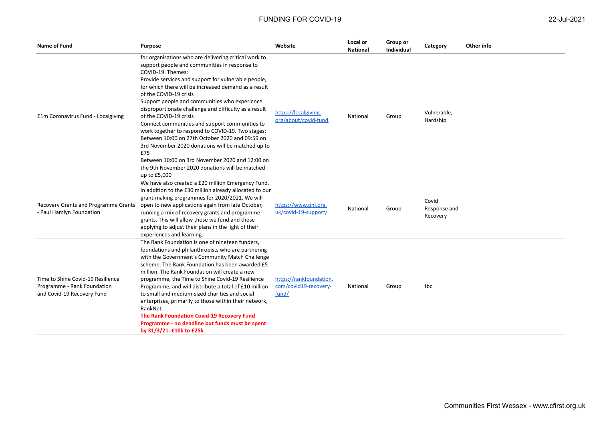| Name of Fund                                                                                   | <b>Purpose</b>                                                                                                                                                                                                                                                                                                                                                                                                                                                                                                                                                                                                                 | Website                                                   | Local or<br><b>National</b> | Group or<br><b>Individual</b> | Category                          | Other info |
|------------------------------------------------------------------------------------------------|--------------------------------------------------------------------------------------------------------------------------------------------------------------------------------------------------------------------------------------------------------------------------------------------------------------------------------------------------------------------------------------------------------------------------------------------------------------------------------------------------------------------------------------------------------------------------------------------------------------------------------|-----------------------------------------------------------|-----------------------------|-------------------------------|-----------------------------------|------------|
| £1m Coronavirus Fund - Localgiving                                                             | for organisations who are delivering critical work to<br>support people and communities in response to<br>COVID-19. Themes:<br>Provide services and support for vulnerable people,<br>for which there will be increased demand as a result<br>of the COVID-19 crisis<br>Support people and communities who experience<br>disproportionate challenge and difficulty as a result<br>of the COVID-19 crisis                                                                                                                                                                                                                       | https://localgiving.<br>org/about/covid-fund              | National                    | Group                         | Vulnerable,<br>Hardship           |            |
|                                                                                                | Connect communities and support communities to<br>work together to respond to COVID-19. Two stages:<br>Between 10:00 on 27th October 2020 and 09:59 on<br>3rd November 2020 donations will be matched up to<br>£75<br>Between 10:00 on 3rd November 2020 and 12:00 on<br>the 9th November 2020 donations will be matched<br>up to £5,000                                                                                                                                                                                                                                                                                       |                                                           |                             |                               |                                   |            |
| Recovery Grants and Programme Grants<br>- Paul Hamlyn Foundation                               | We have also created a £20 million Emergency Fund,<br>in addition to the £30 million already allocated to our<br>grant-making programmes for 2020/2021. We will<br>open to new applications again from late October,<br>running a mix of recovery grants and programme<br>grants. This will allow those we fund and those<br>applying to adjust their plans in the light of their<br>experiences and learning.                                                                                                                                                                                                                 | https://www.phf.org.<br>uk/covid-19-support/              | National                    | Group                         | Covid<br>Response and<br>Recovery |            |
| Time to Shine Covid-19 Resilience<br>Programme - Rank Foundation<br>and Covid-19 Recovery Fund | The Rank Foundation is one of nineteen funders,<br>foundations and philanthropists who are partnering<br>with the Government's Community Match Challenge<br>scheme. The Rank Foundation has been awarded £5<br>million. The Rank Foundation will create a new<br>programme, the Time to Shine Covid-19 Resilience<br>Programme, and will distribute a total of £10 million<br>to small and medium-sized charities and social<br>enterprises, primarily to those within their network,<br>RankNet.<br>The Rank Foundation Covid-19 Recovery Fund<br>Programme - no deadline but funds must be spent<br>by 31/3/21. £10k to £25k | https://rankfoundation.<br>com/covid19-recovery-<br>fund/ | National                    | Group                         | tbc                               |            |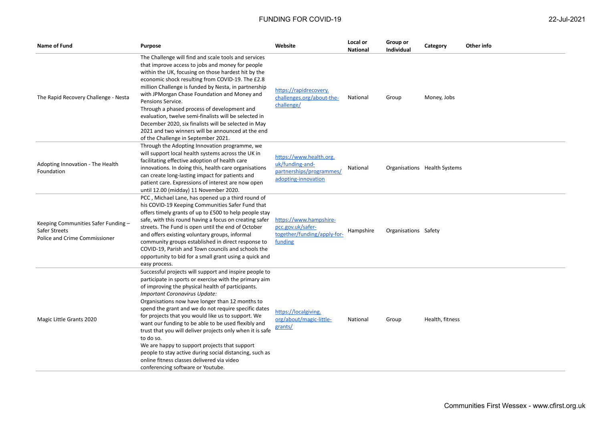| <b>Name of Fund</b>                                                                   | Purpose                                                                                                                                                                                                                                                                                                                                                                                                                                                                                                                                                                                                                                                                                                 | Website                                                                                       | Local or<br><b>National</b> | Group or<br><b>Individual</b> | Category                     | Other info |
|---------------------------------------------------------------------------------------|---------------------------------------------------------------------------------------------------------------------------------------------------------------------------------------------------------------------------------------------------------------------------------------------------------------------------------------------------------------------------------------------------------------------------------------------------------------------------------------------------------------------------------------------------------------------------------------------------------------------------------------------------------------------------------------------------------|-----------------------------------------------------------------------------------------------|-----------------------------|-------------------------------|------------------------------|------------|
| The Rapid Recovery Challenge - Nesta                                                  | The Challenge will find and scale tools and services<br>that improve access to jobs and money for people<br>within the UK, focusing on those hardest hit by the<br>economic shock resulting from COVID-19. The £2.8<br>million Challenge is funded by Nesta, in partnership<br>with JPMorgan Chase Foundation and Money and<br>Pensions Service.<br>Through a phased process of development and<br>evaluation, twelve semi-finalists will be selected in<br>December 2020, six finalists will be selected in May<br>2021 and two winners will be announced at the end<br>of the Challenge in September 2021.                                                                                            | https://rapidrecovery.<br>challenges.org/about-the-<br>challenge/                             | National                    | Group                         | Money, Jobs                  |            |
| Adopting Innovation - The Health<br>Foundation                                        | Through the Adopting Innovation programme, we<br>will support local health systems across the UK in<br>facilitating effective adoption of health care<br>innovations. In doing this, health care organisations<br>can create long-lasting impact for patients and<br>patient care. Expressions of interest are now open<br>until 12.00 (midday) 11 November 2020.                                                                                                                                                                                                                                                                                                                                       | https://www.health.org.<br>uk/funding-and-<br>partnerships/programmes/<br>adopting-innovation | National                    |                               | Organisations Health Systems |            |
| Keeping Communities Safer Funding -<br>Safer Streets<br>Police and Crime Commissioner | PCC, Michael Lane, has opened up a third round of<br>his COVID-19 Keeping Communities Safer Fund that<br>offers timely grants of up to £500 to help people stay<br>safe, with this round having a focus on creating safer<br>streets. The Fund is open until the end of October<br>and offers existing voluntary groups, informal<br>community groups established in direct response to<br>COVID-19, Parish and Town councils and schools the<br>opportunity to bid for a small grant using a quick and<br>easy process.                                                                                                                                                                                | https://www.hampshire-<br>pcc.gov.uk/safer-<br>together/funding/apply-for-<br>funding         | Hampshire                   | Organisations Safety          |                              |            |
| Magic Little Grants 2020                                                              | Successful projects will support and inspire people to<br>participate in sports or exercise with the primary aim<br>of improving the physical health of participants.<br>Important Coronavirus Update:<br>Organisations now have longer than 12 months to<br>spend the grant and we do not require specific dates<br>for projects that you would like us to support. We<br>want our funding to be able to be used flexibly and<br>trust that you will deliver projects only when it is safe<br>to do so.<br>We are happy to support projects that support<br>people to stay active during social distancing, such as<br>online fitness classes delivered via video<br>conferencing software or Youtube. | https://localgiving.<br>org/about/magic-little-<br>grants/                                    | National                    | Group                         | Health, fitness              |            |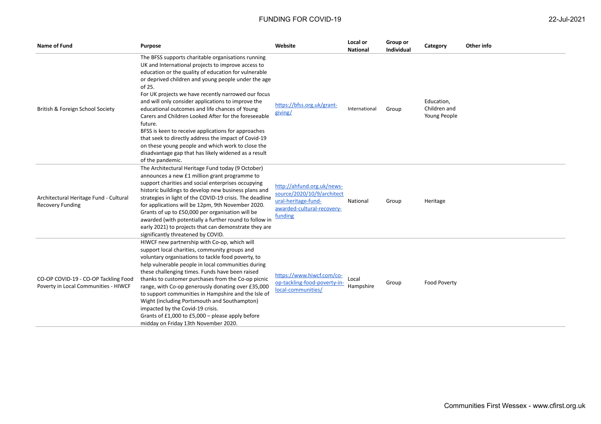| Name of Fund                                                                 | Purpose                                                                                                                                                                                                                                                                                                                                                                                                                                                                                                                                                                                                                                                                                                             | Website                                                                                                                  | Local or<br><b>National</b> | Group or<br>Individual | Category                                   | Other info |
|------------------------------------------------------------------------------|---------------------------------------------------------------------------------------------------------------------------------------------------------------------------------------------------------------------------------------------------------------------------------------------------------------------------------------------------------------------------------------------------------------------------------------------------------------------------------------------------------------------------------------------------------------------------------------------------------------------------------------------------------------------------------------------------------------------|--------------------------------------------------------------------------------------------------------------------------|-----------------------------|------------------------|--------------------------------------------|------------|
| British & Foreign School Society                                             | The BFSS supports charitable organisations running<br>UK and International projects to improve access to<br>education or the quality of education for vulnerable<br>or deprived children and young people under the age<br>of 25.<br>For UK projects we have recently narrowed our focus<br>and will only consider applications to improve the<br>educational outcomes and life chances of Young<br>Carers and Children Looked After for the foreseeable<br>future.<br>BFSS is keen to receive applications for approaches<br>that seek to directly address the impact of Covid-19<br>on these young people and which work to close the<br>disadvantage gap that has likely widened as a result<br>of the pandemic. | https://bfss.org.uk/grant-<br>giving/                                                                                    | International               | Group                  | Education,<br>Children and<br>Young People |            |
| Architectural Heritage Fund - Cultural<br><b>Recovery Funding</b>            | The Architectural Heritage Fund today (9 October)<br>announces a new £1 million grant programme to<br>support charities and social enterprises occupying<br>historic buildings to develop new business plans and<br>strategies in light of the COVID-19 crisis. The deadline<br>for applications will be 12pm, 9th November 2020.<br>Grants of up to £50,000 per organisation will be<br>awarded (with potentially a further round to follow in<br>early 2021) to projects that can demonstrate they are<br>significantly threatened by COVID.                                                                                                                                                                      | http://ahfund.org.uk/news-<br>source/2020/10/9/architect<br>ural-heritage-fund-<br>awarded-cultural-recovery-<br>funding | National                    | Group                  | Heritage                                   |            |
| CO-OP COVID-19 - CO-OP Tackling Food<br>Poverty in Local Communities - HIWCF | HIWCF new partnership with Co-op, which will<br>support local charities, community groups and<br>voluntary organisations to tackle food poverty, to<br>help vulnerable people in local communities during<br>these challenging times. Funds have been raised<br>thanks to customer purchases from the Co-op picnic<br>range, with Co-op generously donating over £35,000<br>to support communities in Hampshire and the Isle of<br>Wight (including Portsmouth and Southampton)<br>impacted by the Covid-19 crisis.<br>Grants of £1,000 to £5,000 - please apply before<br>midday on Friday 13th November 2020.                                                                                                     | https://www.hiwcf.com/co-<br>op-tackling-food-poverty-in-<br>local-communities/                                          | Local<br>Hampshire          | Group                  | Food Poverty                               |            |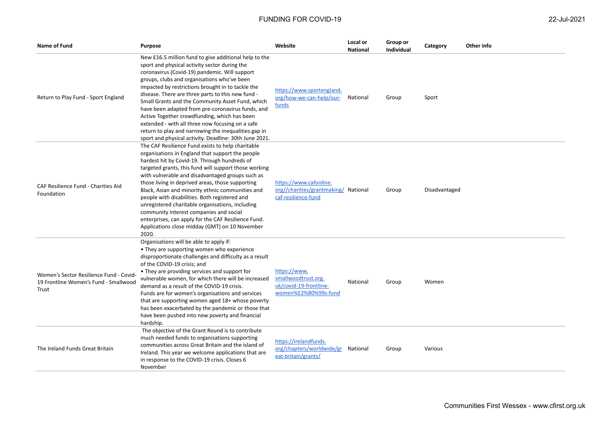| 22-Jul-2021 |  |
|-------------|--|
|             |  |

| Name of Fund                                                                              | Purpose                                                                                                                                                                                                                                                                                                                                                                                                                                                                                                                                                                                                                                         | Website                                                                               | Local or<br><b>National</b> | Group or<br><b>Individual</b> | Category      | Other info |
|-------------------------------------------------------------------------------------------|-------------------------------------------------------------------------------------------------------------------------------------------------------------------------------------------------------------------------------------------------------------------------------------------------------------------------------------------------------------------------------------------------------------------------------------------------------------------------------------------------------------------------------------------------------------------------------------------------------------------------------------------------|---------------------------------------------------------------------------------------|-----------------------------|-------------------------------|---------------|------------|
| Return to Play Fund - Sport England                                                       | New £16.5 million fund to give additional help to the<br>sport and physical activity sector during the<br>coronavirus (Covid-19) pandemic. Will support<br>groups, clubs and organisations who've been<br>impacted by restrictions brought in to tackle the<br>disease. There are three parts to this new fund -<br>Small Grants and the Community Asset Fund, which<br>have been adapted from pre-coronavirus funds, and<br>Active Together crowdfunding, which has been<br>extended - with all three now focusing on a safe<br>return to play and narrowing the inequalities gap in<br>sport and physical activity. Deadline: 30th June 2021. | https://www.sportengland.<br>org/how-we-can-help/our-<br>funds                        | National                    | Group                         | Sport         |            |
| CAF Resilience Fund - Charities Aid<br>Foundation                                         | The CAF Resilience Fund exists to help charitable<br>organisations in England that support the people<br>hardest hit by Covid-19. Through hundreds of<br>targeted grants, this fund will support those working<br>with vulnerable and disadvantaged groups such as<br>those living in deprived areas, those supporting<br>Black, Asian and minority ethnic communities and<br>people with disabilities. Both registered and<br>unregistered charitable organisations, including<br>community interest companies and social<br>enterprises, can apply for the CAF Resilience Fund.<br>Applications close midday (GMT) on 10 November<br>2020.    | https://www.cafonline.<br>org//charities/grantmaking/ National<br>caf-resilience-fund |                             | Group                         | Disadvantaged |            |
| Women's Sector Resilience Fund - Covid-<br>19 Frontline Women's Fund - Smallwood<br>Trust | Organisations will be able to apply if:<br>• They are supporting women who experience<br>disproportionate challenges and difficulty as a result<br>of the COVID-19 crisis; and<br>• They are providing services and support for<br>vulnerable women, for which there will be increased<br>demand as a result of the COVID-19 crisis.<br>Funds are for women's organisations and services<br>that are supporting women aged 18+ whose poverty<br>has been exacerbated by the pandemic or those that<br>have been pushed into new poverty and financial<br>hardship.                                                                              | https://www.<br>smallwoodtrust.org.<br>uk/covid-19-frontline-<br>women%E2%80%99s-fund | National                    | Group                         | Women         |            |
| The Ireland Funds Great Britain                                                           | The objective of the Grant Round is to contribute<br>much needed funds to organisations supporting<br>communities across Great Britain and the island of<br>Ireland. This year we welcome applications that are<br>in response to the COVID-19 crisis. Closes 6<br>November                                                                                                                                                                                                                                                                                                                                                                     | https://irelandfunds.<br>org/chapters/worldwide/gr<br>eat-britain/grants/             | National                    | Group                         | Various       |            |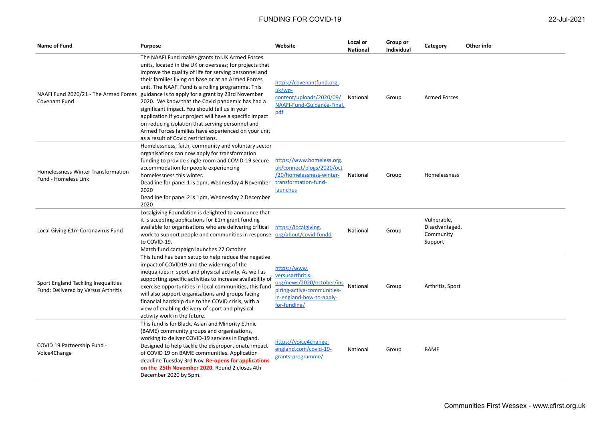| <b>Name of Fund</b>                                                        | Purpose                                                                                                                                                                                                                                                                                                                                                                                                                                                                                                                                                                                                                                              | Website                                                                                                                                 | Local or<br><b>National</b> | Group or<br>Individual | Category                                              | Other info |
|----------------------------------------------------------------------------|------------------------------------------------------------------------------------------------------------------------------------------------------------------------------------------------------------------------------------------------------------------------------------------------------------------------------------------------------------------------------------------------------------------------------------------------------------------------------------------------------------------------------------------------------------------------------------------------------------------------------------------------------|-----------------------------------------------------------------------------------------------------------------------------------------|-----------------------------|------------------------|-------------------------------------------------------|------------|
| NAAFI Fund 2020/21 - The Armed Forces<br>Covenant Fund                     | The NAAFI Fund makes grants to UK Armed Forces<br>units, located in the UK or overseas; for projects that<br>improve the quality of life for serving personnel and<br>their families living on base or at an Armed Forces<br>unit. The NAAFI Fund is a rolling programme. This<br>guidance is to apply for a grant by 23rd November<br>2020. We know that the Covid pandemic has had a<br>significant impact. You should tell us in your<br>application if your project will have a specific impact<br>on reducing isolation that serving personnel and<br>Armed Forces families have experienced on your unit<br>as a result of Covid restrictions. | https://covenantfund.org.<br>uk/wp-<br>content/uploads/2020/09/<br>NAAFI-Fund-Guidance-Final.<br>pdf                                    | National                    | Group                  | <b>Armed Forces</b>                                   |            |
| Homelessness Winter Transformation<br><b>Fund - Homeless Link</b>          | Homelessness, faith, community and voluntary sector<br>organisations can now apply for transformation<br>funding to provide single room and COVID-19 secure<br>accommodation for people experiencing<br>homelessness this winter.<br>Deadline for panel 1 is 1pm, Wednesday 4 November<br>2020<br>Deadline for panel 2 is 1pm, Wednesday 2 December<br>2020                                                                                                                                                                                                                                                                                          | https://www.homeless.org.<br>uk/connect/blogs/2020/oct<br>/20/homelessness-winter-<br>transformation-fund-<br><b>launches</b>           | National                    | Group                  | Homelessness                                          |            |
| Local Giving £1m Coronavirus Fund                                          | Localgiving Foundation is delighted to announce that<br>it is accepting applications for £1m grant funding<br>available for organisations who are delivering critical https://localgiving.<br>work to support people and communities in response org/about/covid-fundd<br>to COVID-19.<br>Match fund campaign launches 27 October                                                                                                                                                                                                                                                                                                                    |                                                                                                                                         | National                    | Group                  | Vulnerable,<br>Disadvantaged,<br>Community<br>Support |            |
| Sport England Tackling Inequalities<br>Fund: Delivered by Versus Arthritis | This fund has been setup to help reduce the negative<br>impact of COVID19 and the widening of the<br>inequalities in sport and physical activity. As well as<br>supporting specific activities to increase availability of<br>exercise opportunities in local communities, this fund<br>will also support organisations and groups facing<br>financial hardship due to the COVID crisis, with a<br>view of enabling delivery of sport and physical<br>activity work in the future.                                                                                                                                                                   | https://www.<br>versusarthritis.<br>org/news/2020/october/ins<br>piring-active-communities-<br>in-england-how-to-apply-<br>for-funding/ | National                    | Group                  | Arthritis, Sport                                      |            |
| COVID 19 Partnership Fund -<br>Voice4Change                                | This fund is for Black, Asian and Minority Ethnic<br>(BAME) community groups and organisations,<br>working to deliver COVID-19 services in England.<br>Designed to help tackle the disproportionate impact<br>of COVID 19 on BAME communities. Application<br>deadline Tuesday 3rd Nov. Re-opens for applications<br>on the 25th November 2020. Round 2 closes 4th<br>December 2020 by 5pm.                                                                                                                                                                                                                                                          | https://voice4change-<br>england.com/covid-19-<br>grants-programme/                                                                     | National                    | Group                  | BAME                                                  |            |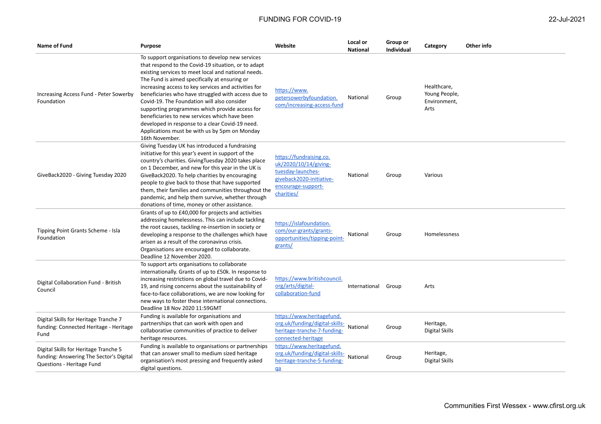| Name of Fund                                                                                                  | <b>Purpose</b>                                                                                                                                                                                                                                                                                                                                                                                                                                                                                                                                                                                         | Website                                                                                                                               | Local or<br><b>National</b> | Group or<br><b>Individual</b> | Category                                             | Other info |
|---------------------------------------------------------------------------------------------------------------|--------------------------------------------------------------------------------------------------------------------------------------------------------------------------------------------------------------------------------------------------------------------------------------------------------------------------------------------------------------------------------------------------------------------------------------------------------------------------------------------------------------------------------------------------------------------------------------------------------|---------------------------------------------------------------------------------------------------------------------------------------|-----------------------------|-------------------------------|------------------------------------------------------|------------|
| Increasing Access Fund - Peter Sowerby<br>Foundation                                                          | To support organisations to develop new services<br>that respond to the Covid-19 situation, or to adapt<br>existing services to meet local and national needs.<br>The Fund is aimed specifically at ensuring or<br>increasing access to key services and activities for<br>beneficiaries who have struggled with access due to<br>Covid-19. The Foundation will also consider<br>supporting programmes which provide access for<br>beneficiaries to new services which have been<br>developed in response to a clear Covid-19 need.<br>Applications must be with us by 5pm on Monday<br>16th November. | https://www.<br>petersowerbyfoundation.<br>com/increasing-access-fund                                                                 | National                    | Group                         | Healthcare,<br>Young People,<br>Environment,<br>Arts |            |
| GiveBack2020 - Giving Tuesday 2020                                                                            | Giving Tuesday UK has introduced a fundraising<br>initiative for this year's event in support of the<br>country's charities. Giving Tuesday 2020 takes place<br>on 1 December, and new for this year in the UK is<br>GiveBack2020. To help charities by encouraging<br>people to give back to those that have supported<br>them, their families and communities throughout the<br>pandemic, and help them survive, whether through<br>donations of time, money or other assistance.                                                                                                                    | https://fundraising.co.<br>uk/2020/10/14/giving-<br>tuesday-launches-<br>giveback2020-initiative-<br>encourage-support-<br>charities/ | National                    | Group                         | Various                                              |            |
| Tipping Point Grants Scheme - Isla<br>Foundation                                                              | Grants of up to £40,000 for projects and activities<br>addressing homelessness. This can include tackling<br>the root causes, tackling re-insertion in society or<br>developing a response to the challenges which have<br>arisen as a result of the coronavirus crisis.<br>Organisations are encouraged to collaborate.<br>Deadline 12 November 2020.                                                                                                                                                                                                                                                 | https://islafoundation.<br>com/our-grants/grants-<br>opportunities/tipping-point-<br>grants/                                          | National                    | Group                         | Homelessness                                         |            |
| Digital Collaboration Fund - British<br>Council                                                               | To support arts organisations to collaborate<br>internationally. Grants of up to £50k. In response to<br>increasing restrictions on global travel due to Covid-<br>19, and rising concerns about the sustainability of<br>face-to-face collaborations, we are now looking for<br>new ways to foster these international connections.<br>Deadline 18 Nov 2020 11:59GMT                                                                                                                                                                                                                                  | https://www.britishcouncil.<br>org/arts/digital-<br>collaboration-fund                                                                | International Group         |                               | Arts                                                 |            |
| Digital Skills for Heritage Tranche 7<br>funding: Connected Heritage - Heritage<br>Fund                       | Funding is available for organisations and<br>partnerships that can work with open and<br>collaborative communities of practice to deliver<br>heritage resources.                                                                                                                                                                                                                                                                                                                                                                                                                                      | https://www.heritagefund.<br>org.uk/funding/digital-skills-<br>heritage-tranche-7-funding-<br>connected-heritage                      | National                    | Group                         | Heritage,<br>Digital Skills                          |            |
| Digital Skills for Heritage Tranche 5<br>funding: Answering The Sector's Digital<br>Questions - Heritage Fund | Funding is available to organisations or partnerships<br>that can answer small to medium sized heritage<br>organisation's most pressing and frequently asked<br>digital questions.                                                                                                                                                                                                                                                                                                                                                                                                                     | https://www.heritagefund.<br>org.uk/funding/digital-skills-<br>heritage-tranche-5-funding-<br>$q\bar{a}$                              | National                    | Group                         | Heritage,<br>Digital Skills                          |            |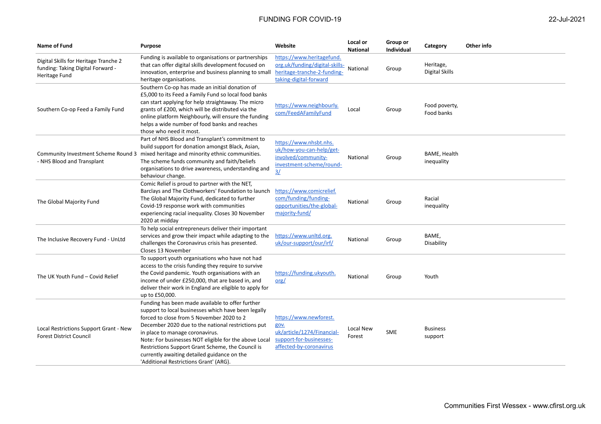| Name of Fund                                                                                | <b>Purpose</b>                                                                                                                                                                                                                                                                                                                                                                                                                                       | Website                                                                                                                | Local or<br><b>National</b> | Group or<br>Individual | Category                           | Other info |
|---------------------------------------------------------------------------------------------|------------------------------------------------------------------------------------------------------------------------------------------------------------------------------------------------------------------------------------------------------------------------------------------------------------------------------------------------------------------------------------------------------------------------------------------------------|------------------------------------------------------------------------------------------------------------------------|-----------------------------|------------------------|------------------------------------|------------|
| Digital Skills for Heritage Tranche 2<br>funding: Taking Digital Forward -<br>Heritage Fund | Funding is available to organisations or partnerships<br>that can offer digital skills development focused on<br>innovation, enterprise and business planning to small<br>heritage organisations.                                                                                                                                                                                                                                                    | https://www.heritagefund.<br>org.uk/funding/digital-skills-<br>heritage-tranche-2-funding-<br>taking-digital-forward   | National                    | Group                  | Heritage,<br><b>Digital Skills</b> |            |
| Southern Co-op Feed a Family Fund                                                           | Southern Co-op has made an initial donation of<br>£5,000 to its Feed a Family Fund so local food banks<br>can start applying for help straightaway. The micro<br>grants of £200, which will be distributed via the<br>online platform Neighbourly, will ensure the funding<br>helps a wide number of food banks and reaches<br>those who need it most.                                                                                               | https://www.neighbourly.<br>com/FeedAFamilyFund                                                                        | Local                       | Group                  | Food poverty,<br>Food banks        |            |
| - NHS Blood and Transplant                                                                  | Part of NHS Blood and Transplant's commitment to<br>build support for donation amongst Black, Asian,<br>Community Investment Scheme Round 3 mixed heritage and minority ethnic communities.<br>The scheme funds community and faith/beliefs<br>organisations to drive awareness, understanding and<br>behaviour change.                                                                                                                              | https://www.nhsbt.nhs.<br>uk/how-you-can-help/get-<br>involved/community-<br>investment-scheme/round-<br>$\frac{3}{2}$ | National                    | Group                  | <b>BAME, Health</b><br>inequality  |            |
| The Global Majority Fund                                                                    | Comic Relief is proud to partner with the NET,<br>Barclays and The Clothworkers' Foundation to launch<br>The Global Majority Fund, dedicated to further<br>Covid-19 response work with communities<br>experiencing racial inequality. Closes 30 November<br>2020 at midday                                                                                                                                                                           | https://www.comicrelief.<br>com/funding/funding-<br>opportunities/the-global-<br>majority-fund/                        | National                    | Group                  | Racial<br>inequality               |            |
| The Inclusive Recovery Fund - UnLtd                                                         | To help social entrepreneurs deliver their important<br>services and grow their impact while adapting to the<br>challenges the Coronavirus crisis has presented.<br>Closes 13 November                                                                                                                                                                                                                                                               | https://www.unltd.org.<br>uk/our-support/our/irf/                                                                      | National                    | Group                  | BAME,<br>Disability                |            |
| The UK Youth Fund - Covid Relief                                                            | To support youth organisations who have not had<br>access to the crisis funding they require to survive<br>the Covid pandemic. Youth organisations with an<br>income of under £250,000, that are based in, and<br>deliver their work in England are eligible to apply for<br>up to £50,000.                                                                                                                                                          | https://funding.ukyouth.<br>$\text{org}/$                                                                              | National                    | Group                  | Youth                              |            |
| Local Restrictions Support Grant - New<br><b>Forest District Council</b>                    | Funding has been made available to offer further<br>support to local businesses which have been legally<br>forced to close from 5 November 2020 to 2<br>December 2020 due to the national restrictions put<br>in place to manage coronavirus.<br>Note: For businesses NOT eligible for the above Local<br>Restrictions Support Grant Scheme, the Council is<br>currently awaiting detailed guidance on the<br>'Additional Restrictions Grant' (ARG). | https://www.newforest.<br>gov.<br>uk/article/1274/Financial-<br>support-for-businesses-<br>affected-by-coronavirus     | Local New<br>Forest         | SME                    | <b>Business</b><br>support         |            |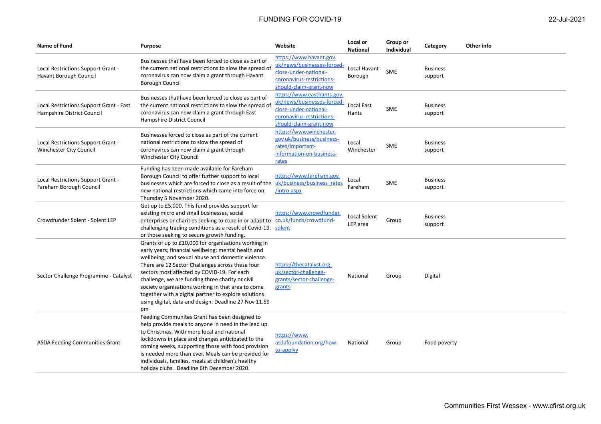| Name of Fund                                                          | <b>Purpose</b>                                                                                                                                                                                                                                                                                                                                                                                                                                                                                        | Website                                                                                                                                  | Local or<br><b>National</b> | Group or<br><b>Individual</b> | Category                   | Other info |
|-----------------------------------------------------------------------|-------------------------------------------------------------------------------------------------------------------------------------------------------------------------------------------------------------------------------------------------------------------------------------------------------------------------------------------------------------------------------------------------------------------------------------------------------------------------------------------------------|------------------------------------------------------------------------------------------------------------------------------------------|-----------------------------|-------------------------------|----------------------------|------------|
| Local Restrictions Support Grant -<br>Havant Borough Council          | Businesses that have been forced to close as part of<br>the current national restrictions to slow the spread of<br>coronavirus can now claim a grant through Havant<br><b>Borough Council</b>                                                                                                                                                                                                                                                                                                         | https://www.havant.gov.<br>uk/news/businesses-forced-<br>close-under-national-<br>coronavirus-restrictions-<br>should-claim-grant-now    | Local Havant<br>Borough     | <b>SME</b>                    | <b>Business</b><br>support |            |
| Local Restrictions Support Grant - East<br>Hampshire District Council | Businesses that have been forced to close as part of<br>the current national restrictions to slow the spread of<br>coronavirus can now claim a grant through East<br>Hampshire District Council                                                                                                                                                                                                                                                                                                       | https://www.easthants.gov.<br>uk/news/businesses-forced-<br>close-under-national-<br>coronavirus-restrictions-<br>should-claim-grant-now | Local East<br>Hants         | <b>SME</b>                    | <b>Business</b><br>support |            |
| Local Restrictions Support Grant -<br>Winchester City Council         | Businesses forced to close as part of the current<br>national restrictions to slow the spread of<br>coronavirus can now claim a grant through<br>Winchester City Council                                                                                                                                                                                                                                                                                                                              | https://www.winchester.<br>gov.uk/business/business-<br>rates/important-<br>information-on-business-<br>rates                            | Local<br>Winchester         | <b>SME</b>                    | <b>Business</b><br>support |            |
| Local Restrictions Support Grant -<br>Fareham Borough Council         | Funding has been made available for Fareham<br>Borough Council to offer further support to local<br>businesses which are forced to close as a result of the<br>new national restrictions which came into force on<br>Thursday 5 November 2020.                                                                                                                                                                                                                                                        | https://www.fareham.gov.<br>uk/business/business_rates<br>/intro.aspx                                                                    | Local<br>Fareham            | <b>SME</b>                    | <b>Business</b><br>support |            |
| Crowdfunder Solent - Solent LEP                                       | Get up to £5,000. This fund provides support for<br>existing micro and small businesses, social<br>enterprises or charities seeking to cope in or adapt to<br>challenging trading conditions as a result of Covid-19,<br>or those seeking to secure growth funding.                                                                                                                                                                                                                                   | https://www.crowdfunder.<br>co.uk/funds/crowdfund-<br>solent                                                                             | Local Solent<br>LEP area    | Group                         | <b>Business</b><br>support |            |
| Sector Challenge Programme - Catalyst                                 | Grants of up to £10,000 for organisations working in<br>early years; financial wellbeing; mental health and<br>wellbeing; and sexual abuse and domestic violence.<br>There are 12 Sector Challenges across these four<br>sectors most affected by COVID-19. For each<br>challenge, we are funding three charity or civil<br>society organisations working in that area to come<br>together with a digital partner to explore solutions<br>using digital, data and design. Deadline 27 Nov 11.59<br>pm | https://thecatalyst.org.<br>uk/sector-challenge-<br>grants/sector-challenge-<br>grants                                                   | National                    | Group                         | Digital                    |            |
| <b>ASDA Feeding Communities Grant</b>                                 | Feeding Communites Grant has been designed to<br>help provide meals to anyone in need in the lead up<br>to Christmas. With more local and national<br>lockdowns in place and changes anticipated to the<br>coming weeks, supporting those with food provision<br>is needed more than ever. Meals can be provided for<br>individuals, families, meals at children's healthy<br>holiday clubs. Deadline 6th December 2020.                                                                              | https://www.<br>asdafoundation.org/how-<br>to-applyy                                                                                     | National                    | Group                         | Food poverty               |            |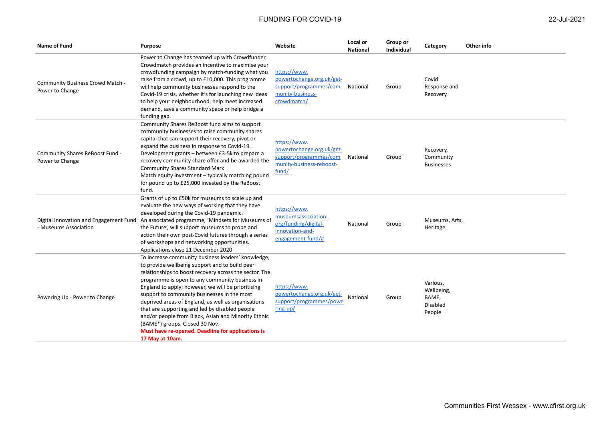| Name of Fund                                                    | <b>Purpose</b>                                                                                                                                                                                                                                                                                                                                                                                                                                                          | Website                                                                                                  | Local or<br><b>National</b> | Group or<br><b>Individual</b> | Category                                              | Other info |
|-----------------------------------------------------------------|-------------------------------------------------------------------------------------------------------------------------------------------------------------------------------------------------------------------------------------------------------------------------------------------------------------------------------------------------------------------------------------------------------------------------------------------------------------------------|----------------------------------------------------------------------------------------------------------|-----------------------------|-------------------------------|-------------------------------------------------------|------------|
| Community Business Crowd Match -<br>Power to Change             | Power to Change has teamed up with Crowdfunder.<br>Crowdmatch provides an incentive to maximise your<br>crowdfunding campaign by match-funding what you<br>raise from a crowd, up to £10,000. This programme<br>will help community businesses respond to the<br>Covid-19 crisis, whether it's for launching new ideas<br>to help your neighbourhood, help meet increased<br>demand, save a community space or help bridge a<br>funding gap.                            | https://www.<br>powertochange.org.uk/get-<br>support/programmes/com<br>munity-business-<br>crowdmatch/   | National                    | Group                         | Covid<br>Response and<br>Recovery                     |            |
| Community Shares ReBoost Fund -<br>Power to Change              | Community Shares ReBoost fund aims to support<br>community businesses to raise community shares<br>capital that can support their recovery, pivot or<br>expand the business in response to Covid-19.<br>Development grants - between £3-5k to prepare a<br>recovery community share offer and be awarded the<br><b>Community Shares Standard Mark</b><br>Match equity investment - typically matching pound<br>for pound up to £25,000 invested by the ReBoost<br>fund. | https://www.<br>powertochange.org.uk/get-<br>support/programmes/com<br>munity-business-reboost-<br>fund/ | National                    | Group                         | Recovery,<br>Community<br><b>Businesses</b>           |            |
| Digital Innovation and Engagement Fund<br>- Museums Association | Grants of up to £50k for museums to scale up and<br>evaluate the new ways of working that they have<br>developed during the Covid-19 pandemic.<br>An associated programme, 'Mindsets for Museums of<br>the Future', will support museums to probe and<br>action their own post-Covid futures through a series<br>of workshops and networking opportunities.<br>Applications close 21 December 2020                                                                      | https://www.<br>museumsassociation.<br>org/funding/digital-<br>innovation-and-<br>engagement-fund/#      | National                    | Group                         | Museums, Arts,<br>Heritage                            |            |
| Powering Up - Power to Change                                   | To increase community business leaders' knowledge,<br>to provide wellbeing support and to build peer<br>relationships to boost recovery across the sector. The<br>programme is open to any community business in<br>England to apply; however, we will be prioritising<br>support to community businesses in the most<br>deprived areas of England, as well as organisations<br>that are supporting and led by disabled people                                          | https://www.<br>powertochange.org.uk/get-<br>support/programmes/powe<br>$ring-up/$                       | National                    | Group                         | Various,<br>Wellbeing,<br>BAME,<br>Disabled<br>People |            |

and/or people from Black, Asian and Minority Ethnic

**Must have re-opened. Deadline for applications is** 

(BAME\*) groups. Closed 30 Nov.

**17 May at 10am.**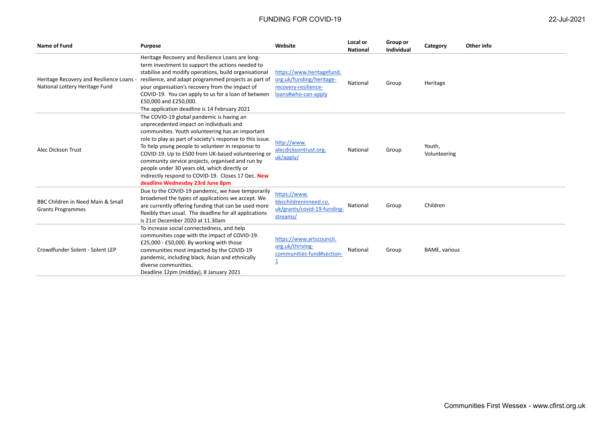| <b>Name of Fund</b>                                                      | <b>Purpose</b>                                                                                                                                                                                                                                                                                                                                                                                                                                                                                                | Website                                                                                              | Local or<br><b>National</b> | Group or<br>Individual | Category               | Other info |
|--------------------------------------------------------------------------|---------------------------------------------------------------------------------------------------------------------------------------------------------------------------------------------------------------------------------------------------------------------------------------------------------------------------------------------------------------------------------------------------------------------------------------------------------------------------------------------------------------|------------------------------------------------------------------------------------------------------|-----------------------------|------------------------|------------------------|------------|
| Heritage Recovery and Resilience Loans<br>National Lottery Heritage Fund | Heritage Recovery and Resilience Loans are long-<br>term investment to support the actions needed to<br>stabilise and modify operations, build organisational<br>resilience, and adapt programmed projects as part of<br>your organisation's recovery from the impact of<br>COVID-19. You can apply to us for a loan of between<br>£50,000 and £250,000.<br>The application deadline is 14 February 2021                                                                                                      | https://www.heritagefund.<br>org.uk/funding/heritage-<br>recovery-resilience-<br>loans#who-can-apply | National                    | Group                  | Heritage               |            |
| Alec Dickson Trust                                                       | The COVID-19 global pandemic is having an<br>unprecedented impact on individuals and<br>communities. Youth volunteering has an important<br>role to play as part of society's response to this issue.<br>To help young people to volunteer in response to<br>COVID-19. Up to £500 from UK-based volunteering or<br>community service projects, organised and run by<br>people under 30 years old, which directly or<br>indirectly respond to COVID-19. Closes 17 Dec. New<br>deadline Wednesday 23rd June 8pm | http://www.<br>alecdicksontrust.org.<br>uk/apply/                                                    | National                    | Group                  | Youth,<br>Volunteering |            |
| BBC Children in Need Main & Small<br><b>Grants Programmes</b>            | Due to the COVID-19 pandemic, we have temporarily<br>broadened the types of applications we accept. We<br>are currently offering funding that can be used more<br>flexibly than usual. The deadline for all applications<br>is 21st December 2020 at 11.30am                                                                                                                                                                                                                                                  | https://www.<br>bbcchildreninneed.co.<br>uk/grants/covid-19-funding-<br>streams/                     | National                    | Group                  | Children               |            |
| Crowdfunder Solent - Solent LEP                                          | To increase social connectedness, and help<br>communities cope with the impact of COVID-19.<br>£25,000 - £50,000. By working with those<br>communities most impacted by the COVID-19<br>pandemic, including black, Asian and ethnically<br>diverse communities.<br>Deadline 12pm (midday), 8 January 2021                                                                                                                                                                                                     | https://www.artscouncil.<br>org.uk/thriving-<br>communities-fund#section-                            | National                    | Group                  | <b>BAME, various</b>   |            |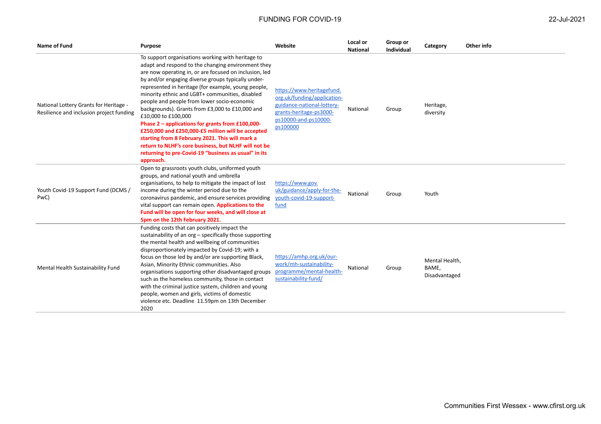| <b>Name of Fund</b>                                                                | <b>Purpose</b>                                                                                                                                                                                                                                                                                                                                                                                                                                                                                                                                                                                                                                                                                                                                      | Website                                                                                                                                               | Local or<br>National | Group or<br>Individual | Category                                 | Other info |
|------------------------------------------------------------------------------------|-----------------------------------------------------------------------------------------------------------------------------------------------------------------------------------------------------------------------------------------------------------------------------------------------------------------------------------------------------------------------------------------------------------------------------------------------------------------------------------------------------------------------------------------------------------------------------------------------------------------------------------------------------------------------------------------------------------------------------------------------------|-------------------------------------------------------------------------------------------------------------------------------------------------------|----------------------|------------------------|------------------------------------------|------------|
| National Lottery Grants for Heritage -<br>Resilience and inclusion project funding | To support organisations working with heritage to<br>adapt and respond to the changing environment they<br>are now operating in, or are focused on inclusion, led<br>by and/or engaging diverse groups typically under-<br>represented in heritage (for example, young people,<br>minority ethnic and LGBT+ communities, disabled<br>people and people from lower socio-economic<br>backgrounds). Grants from £3,000 to £10,000 and<br>£10,000 to £100,000<br>Phase 2 - applications for grants from £100,000-<br>£250,000 and £250,000-£5 million will be accepted<br>starting from 8 February 2021. This will mark a<br>return to NLHF's core business, but NLHF will not be<br>returning to pre-Covid-19 "business as usual" in its<br>approach. | https://www.heritagefund.<br>org.uk/funding/application-<br>guidance-national-lottery-<br>grants-heritage-ps3000-<br>ps10000-and-ps10000-<br>ps100000 | National             | Group                  | Heritage,<br>diversity                   |            |
| Youth Covid-19 Support Fund (DCMS /<br>PwC)                                        | Open to grassroots youth clubs, uniformed youth<br>groups, and national youth and umbrella<br>organisations, to help to mitigate the impact of lost<br>income during the winter period due to the<br>coronavirus pandemic, and ensure services providing<br>vital support can remain open. Applications to the<br>Fund will be open for four weeks, and will close at<br>5pm on the 12th February 2021.                                                                                                                                                                                                                                                                                                                                             | https://www.gov.<br>uk/guidance/apply-for-the-<br>youth-covid-19-support-<br>fund                                                                     | National             | Group                  | Youth                                    |            |
| Mental Health Sustainability Fund                                                  | Funding costs that can positively impact the<br>sustainability of an org - specifically those supporting<br>the mental health and wellbeing of communities<br>disproportionately impacted by Covid-19; with a<br>focus on those led by and/or are supporting Black,<br>Asian, Minority Ethnic communities. Also<br>organisations supporting other disadvantaged groups<br>such as the homeless community, those in contact<br>with the criminal justice system, children and young<br>people, women and girls, victims of domestic<br>violence etc. Deadline 11.59pm on 13th December<br>2020                                                                                                                                                       | https://amhp.org.uk/our-<br>work/mh-sustainability-<br>programme/mental-health-<br>sustainability-fund/                                               | National             | Group                  | Mental Health,<br>BAME.<br>Disadvantaged |            |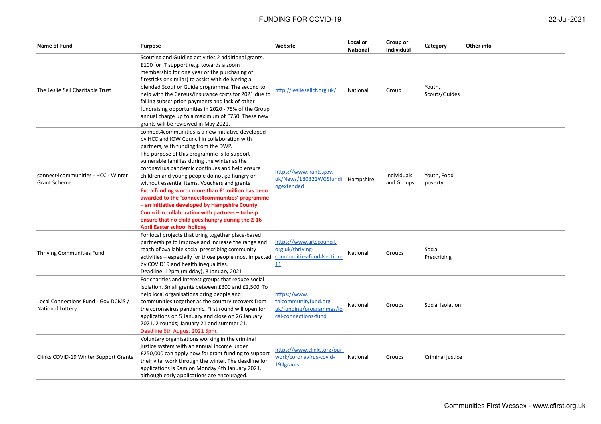| Name of Fund                                              | <b>Purpose</b>                                                                                                                                                                                                                                                                                                                                                                                                                                                                                                                                                                                                                                                                                    | Website                                                                                   | Local or<br><b>National</b> | Group or<br><b>Individual</b> | Category                | Other info |
|-----------------------------------------------------------|---------------------------------------------------------------------------------------------------------------------------------------------------------------------------------------------------------------------------------------------------------------------------------------------------------------------------------------------------------------------------------------------------------------------------------------------------------------------------------------------------------------------------------------------------------------------------------------------------------------------------------------------------------------------------------------------------|-------------------------------------------------------------------------------------------|-----------------------------|-------------------------------|-------------------------|------------|
| The Leslie Sell Charitable Trust                          | Scouting and Guiding activities 2 additional grants.<br>£100 for IT support (e.g. towards a zoom<br>membership for one year or the purchasing of<br>firesticks or similar) to assist with delivering a<br>blended Scout or Guide programme. The second to<br>help with the Census/Insurance costs for 2021 due to<br>falling subscription payments and lack of other<br>fundraising opportunities in 2020 - 75% of the Group<br>annual charge up to a maximum of £750. These new<br>grants will be reviewed in May 2021.                                                                                                                                                                          | http://lesliesellct.org.uk/                                                               | National                    | Group                         | Youth,<br>Scouts/Guides |            |
| connect4communities - HCC - Winter<br><b>Grant Scheme</b> | connect4communities is a new initiative developed<br>by HCC and IOW Council in collaboration with<br>partners, with funding from the DWP.<br>The purpose of this programme is to support<br>vulnerable families during the winter as the<br>coronavirus pandemic continues and help ensure<br>children and young people do not go hungry or<br>without essential items. Vouchers and grants<br>Extra funding worth more than £1 million has been<br>awarded to the 'connect4communities' programme<br>- an initiative developed by Hampshire County<br>Council in collaboration with partners – to help<br>ensure that no child goes hungry during the 2-16<br><b>April Easter school holiday</b> | https://www.hants.gov.<br>uk/News/180321WGSfundi Hampshire<br>ngextended                  |                             | Individuals<br>and Groups     | Youth, Food<br>poverty  |            |
| Thriving Communities Fund                                 | For local projects that bring together place-based<br>partnerships to improve and increase the range and<br>reach of available social prescribing community<br>activities - especially for those people most impacted communities-fund#section-<br>by COVID19 and health inequalities.<br>Deadline: 12pm (midday), 8 January 2021                                                                                                                                                                                                                                                                                                                                                                 | https://www.artscouncil.<br>org.uk/thriving-<br>11                                        | National                    | Groups                        | Social<br>Prescribing   |            |
| Local Connections Fund - Gov DCMS /<br>National Lottery   | For charities and interest groups that reduce social<br>isolation. Small grants between £300 and £2,500. To<br>help local organisations bring people and<br>communities together as the country recovers from<br>the coronavirus pandemic. First round will open for<br>applications on 5 January and close on 26 January<br>2021. 2 rounds; January 21 and summer 21.<br>Deadline 6th August 2021 5pm.                                                                                                                                                                                                                                                                                           | https://www.<br>tnlcommunityfund.org.<br>uk/funding/programmes/lo<br>cal-connections-fund | National                    | Groups                        | Social Isolation        |            |
| Clinks COVID-19 Winter Support Grants                     | Voluntary organisations working in the criminal<br>justice system with an annual income under<br>£250,000 can apply now for grant funding to support<br>their vital work through the winter. The deadline for<br>applications is 9am on Monday 4th January 2021,<br>although early applications are encouraged.                                                                                                                                                                                                                                                                                                                                                                                   | https://www.clinks.org/our-<br>work/coronavirus-covid-<br>19#grants                       | National                    | Groups                        | Criminal justice        |            |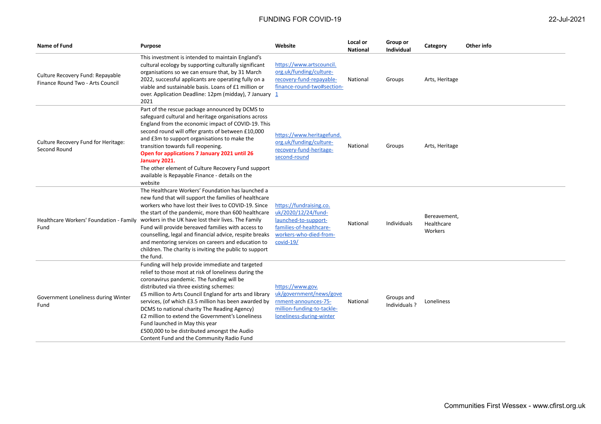| Name of Fund                                                         | <b>Purpose</b>                                                                                                                                                                                                                                                                                                                                                                                                                                                                                                                                          | Website                                                                                                                                    | Local or<br><b>National</b> | Group or<br><b>Individual</b> | Category                              | Other info |
|----------------------------------------------------------------------|---------------------------------------------------------------------------------------------------------------------------------------------------------------------------------------------------------------------------------------------------------------------------------------------------------------------------------------------------------------------------------------------------------------------------------------------------------------------------------------------------------------------------------------------------------|--------------------------------------------------------------------------------------------------------------------------------------------|-----------------------------|-------------------------------|---------------------------------------|------------|
| Culture Recovery Fund: Repayable<br>Finance Round Two - Arts Council | This investment is intended to maintain England's<br>cultural ecology by supporting culturally significant<br>organisations so we can ensure that, by 31 March<br>2022, successful applicants are operating fully on a<br>viable and sustainable basis. Loans of £1 million or<br>over. Application Deadline: 12pm (midday), 7 January 1<br>2021                                                                                                                                                                                                        | https://www.artscouncil.<br>org.uk/funding/culture-<br>recovery-fund-repayable-<br>finance-round-two#section-                              | National                    | Groups                        | Arts, Heritage                        |            |
| Culture Recovery Fund for Heritage:<br>Second Round                  | Part of the rescue package announced by DCMS to<br>safeguard cultural and heritage organisations across<br>England from the economic impact of COVID-19. This<br>second round will offer grants of between £10,000<br>and £3m to support organisations to make the<br>transition towards full reopening.<br>Open for applications 7 January 2021 until 26<br>January 2021.<br>The other element of Culture Recovery Fund support<br>available is Repayable Finance - details on the<br>website                                                          | https://www.heritagefund.<br>org.uk/funding/culture-<br>recovery-fund-heritage-<br>second-round                                            | National                    | Groups                        | Arts, Heritage                        |            |
| Healthcare Workers' Foundation - Family<br>Fund                      | The Healthcare Workers' Foundation has launched a<br>new fund that will support the families of healthcare<br>workers who have lost their lives to COVID-19. Since<br>the start of the pandemic, more than 600 healthcare<br>workers in the UK have lost their lives. The Family<br>Fund will provide bereaved families with access to<br>counselling, legal and financial advice, respite breaks<br>and mentoring services on careers and education to<br>children. The charity is inviting the public to support<br>the fund.                         | https://fundraising.co.<br>uk/2020/12/24/fund-<br>launched-to-support-<br>families-of-healthcare-<br>workers-who-died-from-<br>$covid-19/$ | National                    | Individuals                   | Bereavement,<br>Healthcare<br>Workers |            |
| Government Loneliness during Winter<br>Fund                          | Funding will help provide immediate and targeted<br>relief to those most at risk of loneliness during the<br>coronavirus pandemic. The funding will be<br>distributed via three existing schemes:<br>£5 million to Arts Council England for arts and library<br>services, (of which £3.5 million has been awarded by<br>DCMS to national charity The Reading Agency)<br>£2 million to extend the Government's Loneliness<br>Fund launched in May this year<br>£500,000 to be distributed amongst the Audio<br>Content Fund and the Community Radio Fund | https://www.gov.<br>uk/government/news/gove<br>rnment-announces-75-<br>million-funding-to-tackle-<br>loneliness-during-winter              | National                    | Groups and<br>Individuals ?   | Loneliness                            |            |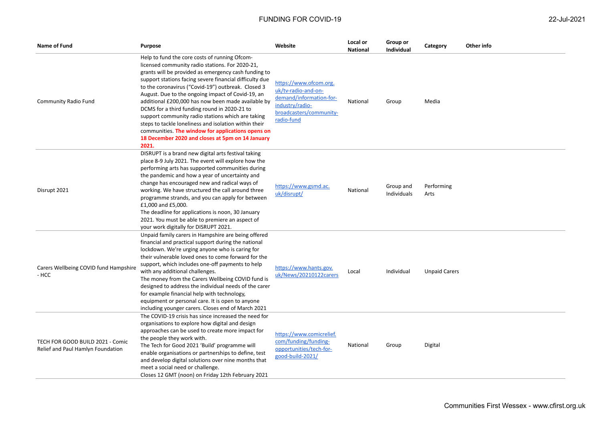| 22-Jul-2021 |  |
|-------------|--|
|             |  |

| Name of Fund                                                          | <b>Purpose</b>                                                                                                                                                                                                                                                                                                                                                                                                                                                                                                                                                                                                                                                       | Website                                                                                                                              | Local or<br><b>National</b> | Group or<br><b>Individual</b> | Category             | Other info |
|-----------------------------------------------------------------------|----------------------------------------------------------------------------------------------------------------------------------------------------------------------------------------------------------------------------------------------------------------------------------------------------------------------------------------------------------------------------------------------------------------------------------------------------------------------------------------------------------------------------------------------------------------------------------------------------------------------------------------------------------------------|--------------------------------------------------------------------------------------------------------------------------------------|-----------------------------|-------------------------------|----------------------|------------|
| Community Radio Fund                                                  | Help to fund the core costs of running Ofcom-<br>licensed community radio stations. For 2020-21,<br>grants will be provided as emergency cash funding to<br>support stations facing severe financial difficulty due<br>to the coronavirus ("Covid-19") outbreak. Closed 3<br>August. Due to the ongoing impact of Covid-19, an<br>additional £200,000 has now been made available by<br>DCMS for a third funding round in 2020-21 to<br>support community radio stations which are taking<br>steps to tackle loneliness and isolation within their<br>communities. The window for applications opens on<br>18 December 2020 and closes at 5pm on 14 January<br>2021. | https://www.ofcom.org.<br>uk/tv-radio-and-on-<br>demand/information-for-<br>industry/radio-<br>broadcasters/community-<br>radio-fund | National                    | Group                         | Media                |            |
| Disrupt 2021                                                          | DISRUPT is a brand new digital arts festival taking<br>place 8-9 July 2021. The event will explore how the<br>performing arts has supported communities during<br>the pandemic and how a year of uncertainty and<br>change has encouraged new and radical ways of<br>working. We have structured the call around three<br>programme strands, and you can apply for between<br>£1,000 and £5,000.<br>The deadline for applications is noon, 30 January<br>2021. You must be able to premiere an aspect of<br>your work digitally for DISRUPT 2021.                                                                                                                    | https://www.gsmd.ac.<br>uk/disrupt/                                                                                                  | National                    | Group and<br>Individuals      | Performing<br>Arts   |            |
| Carers Wellbeing COVID fund Hampshire<br>- HCC                        | Unpaid family carers in Hampshire are being offered<br>financial and practical support during the national<br>lockdown. We're urging anyone who is caring for<br>their vulnerable loved ones to come forward for the<br>support, which includes one-off payments to help<br>with any additional challenges.<br>The money from the Carers Wellbeing COVID fund is<br>designed to address the individual needs of the carer<br>for example financial help with technology,<br>equipment or personal care. It is open to anyone<br>including younger carers. Closes end of March 2021                                                                                   | https://www.hants.gov.<br>uk/News/20210122carers                                                                                     | Local                       | Individual                    | <b>Unpaid Carers</b> |            |
| TECH FOR GOOD BUILD 2021 - Comic<br>Relief and Paul Hamlyn Foundation | The COVID-19 crisis has since increased the need for<br>organisations to explore how digital and design<br>approaches can be used to create more impact for<br>the people they work with.<br>The Tech for Good 2021 'Build' programme will<br>enable organisations or partnerships to define, test<br>and develop digital solutions over nine months that<br>meet a social need or challenge.<br>Closes 12 GMT (noon) on Friday 12th February 2021                                                                                                                                                                                                                   | https://www.comicrelief.<br>com/funding/funding-<br>opportunities/tech-for-<br>good-build-2021/                                      | National                    | Group                         | Digital              |            |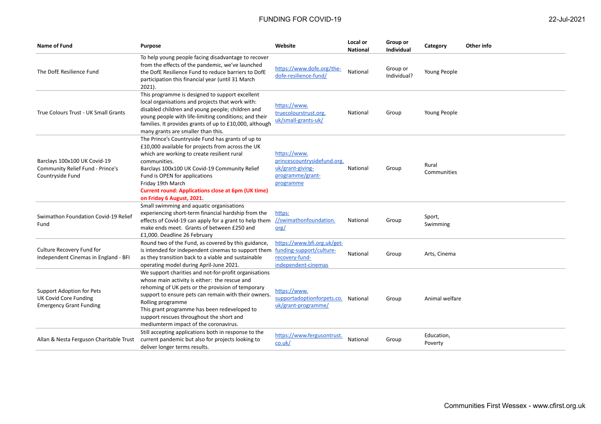| Name of Fund                                                                                | <b>Purpose</b>                                                                                                                                                                                                                                                                                                                                                                | Website                                                                                          | Local or<br><b>National</b> | Group or<br>Individual  | Category              | Other info |
|---------------------------------------------------------------------------------------------|-------------------------------------------------------------------------------------------------------------------------------------------------------------------------------------------------------------------------------------------------------------------------------------------------------------------------------------------------------------------------------|--------------------------------------------------------------------------------------------------|-----------------------------|-------------------------|-----------------------|------------|
| The DofE Resilience Fund                                                                    | To help young people facing disadvantage to recover<br>from the effects of the pandemic, we've launched<br>the DofE Resilience Fund to reduce barriers to DofE<br>participation this financial year (until 31 March<br>$2021$ ).                                                                                                                                              | https://www.dofe.org/the-<br>dofe-resilience-fund/                                               | National                    | Group or<br>Individual? | Young People          |            |
| True Colours Trust - UK Small Grants                                                        | This programme is designed to support excellent<br>local organisations and projects that work with:<br>disabled children and young people; children and<br>young people with life-limiting conditions; and their<br>families. It provides grants of up to £10,000, although<br>many grants are smaller than this.                                                             | https://www.<br>truecolourstrust.org.<br>uk/small-grants-uk/                                     | National                    | Group                   | Young People          |            |
| Barclays 100x100 UK Covid-19<br>Community Relief Fund - Prince's<br>Countryside Fund        | The Prince's Countryside Fund has grants of up to<br>£10,000 available for projects from across the UK<br>which are working to create resilient rural<br>communities.<br>Barclays 100x100 UK Covid-19 Community Relief<br>Fund is OPEN for applications<br>Friday 19th March<br><b>Current round: Applications close at 6pm (UK time)</b><br>on Friday 6 August, 2021.        | https://www.<br>princescountrysidefund.org.<br>uk/grant-giving-<br>programme/grant-<br>programme | National                    | Group                   | Rural<br>Communities  |            |
| Swimathon Foundation Covid-19 Relief<br>Fund                                                | Small swimming and aquatic organisations<br>experiencing short-term financial hardship from the<br>effects of Covid-19 can apply for a grant to help them<br>make ends meet. Grants of between £250 and<br>£1,000. Deadline 26 February                                                                                                                                       | https:<br>//swimathonfoundation.<br>$org$                                                        | National                    | Group                   | Sport,<br>Swimming    |            |
| Culture Recovery Fund for<br>Independent Cinemas in England - BFI                           | Round two of the Fund, as covered by this guidance,<br>is intended for independent cinemas to support them<br>as they transition back to a viable and sustainable<br>operating model during April-June 2021.                                                                                                                                                                  | https://www.bfi.org.uk/get-<br>funding-support/culture-<br>recovery-fund-<br>independent-cinemas | National                    | Group                   | Arts, Cinema          |            |
| Support Adoption for Pets<br><b>UK Covid Core Funding</b><br><b>Emergency Grant Funding</b> | We support charities and not-for-profit organisations<br>whose main activity is either: the rescue and<br>rehoming of UK pets or the provision of temporary<br>support to ensure pets can remain with their owners.<br>Rolling programme<br>This grant programme has been redeveloped to<br>support rescues throughout the short and<br>mediumterm impact of the coronavirus. | https://www.<br>supportadoptionforpets.co. National<br>uk/grant-programme/                       |                             | Group                   | Animal welfare        |            |
| Allan & Nesta Ferguson Charitable Trust                                                     | Still accepting applications both in response to the<br>current pandemic but also for projects looking to<br>deliver longer terms results.                                                                                                                                                                                                                                    | https://www.fergusontrust.<br>$\overline{\text{co.uk}}$                                          | National                    | Group                   | Education,<br>Poverty |            |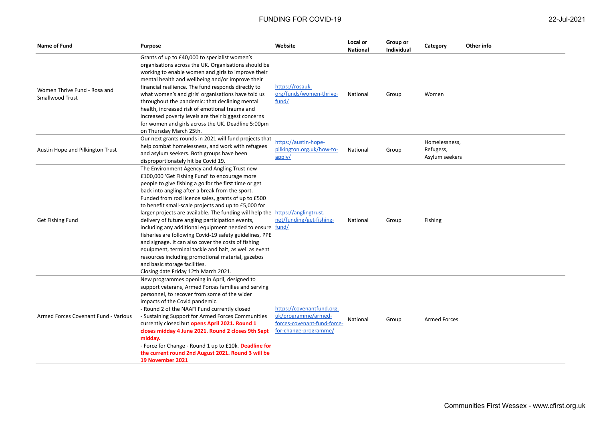| Name of Fund                                    | Purpose                                                                                                                                                                                                                                                                                                                                                                                                                                                                                                                                                                                                                                                                                                                                                                                                                              | Website                                                                                                  | Local or<br><b>National</b> | Group or<br><b>Individual</b> | Category                                     | Other info |
|-------------------------------------------------|--------------------------------------------------------------------------------------------------------------------------------------------------------------------------------------------------------------------------------------------------------------------------------------------------------------------------------------------------------------------------------------------------------------------------------------------------------------------------------------------------------------------------------------------------------------------------------------------------------------------------------------------------------------------------------------------------------------------------------------------------------------------------------------------------------------------------------------|----------------------------------------------------------------------------------------------------------|-----------------------------|-------------------------------|----------------------------------------------|------------|
| Women Thrive Fund - Rosa and<br>Smallwood Trust | Grants of up to £40,000 to specialist women's<br>organisations across the UK. Organisations should be<br>working to enable women and girls to improve their<br>mental health and wellbeing and/or improve their<br>financial resilience. The fund responds directly to<br>what women's and girls' organisations have told us<br>throughout the pandemic: that declining mental<br>health, increased risk of emotional trauma and<br>increased poverty levels are their biggest concerns<br>for women and girls across the UK. Deadline 5:00pm<br>on Thursday March 25th.                                                                                                                                                                                                                                                             | https://rosauk.<br>org/funds/women-thrive-<br>fund/                                                      | National                    | Group                         | Women                                        |            |
| Austin Hope and Pilkington Trust                | Our next grants rounds in 2021 will fund projects that<br>help combat homelessness, and work with refugees<br>and asylum seekers. Both groups have been<br>disproportionately hit be Covid 19.                                                                                                                                                                                                                                                                                                                                                                                                                                                                                                                                                                                                                                       | https://austin-hope-<br>pilkington.org.uk/how-to-<br>apply/                                              | National                    | Group                         | Homelessness,<br>Refugess,<br>Asylum seekers |            |
| Get Fishing Fund                                | The Environment Agency and Angling Trust new<br>£100,000 'Get Fishing Fund' to encourage more<br>people to give fishing a go for the first time or get<br>back into angling after a break from the sport.<br>Funded from rod licence sales, grants of up to £500<br>to benefit small-scale projects and up to £5,000 for<br>larger projects are available. The funding will help the https://anglingtrust.<br>delivery of future angling participation events,<br>including any additional equipment needed to ensure fund/<br>fisheries are following Covid-19 safety guidelines, PPE<br>and signage. It can also cover the costs of fishing<br>equipment, terminal tackle and bait, as well as event<br>resources including promotional material, gazebos<br>and basic storage facilities.<br>Closing date Friday 12th March 2021. | net/funding/get-fishing-                                                                                 | National                    | Group                         | Fishing                                      |            |
| Armed Forces Covenant Fund - Various            | New programmes opening in April, designed to<br>support veterans, Armed Forces families and serving<br>personnel, to recover from some of the wider<br>impacts of the Covid pandemic.<br>- Round 2 of the NAAFI Fund currently closed<br>- Sustaining Support for Armed Forces Communities<br>currently closed but opens April 2021. Round 1<br>closes midday 4 June 2021. Round 2 closes 9th Sept<br>midday.<br>- Force for Change - Round 1 up to £10k. Deadline for<br>the current round 2nd August 2021. Round 3 will be<br>19 November 2021                                                                                                                                                                                                                                                                                     | https://covenantfund.org.<br>uk/programme/armed-<br>forces-covenant-fund-force-<br>for-change-programme/ | National                    | Group                         | <b>Armed Forces</b>                          |            |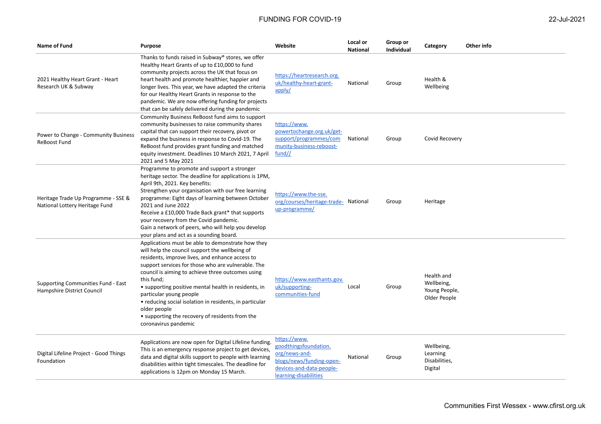Foundation

| Name of Fund                                                          | <b>Purpose</b>                                                                                                                                                                                                                                                                                                                                                                                                                                                                                                           | Website                                                                                                      | Local or<br><b>National</b> | Group or<br>Individual | Category                                                  | Other info |
|-----------------------------------------------------------------------|--------------------------------------------------------------------------------------------------------------------------------------------------------------------------------------------------------------------------------------------------------------------------------------------------------------------------------------------------------------------------------------------------------------------------------------------------------------------------------------------------------------------------|--------------------------------------------------------------------------------------------------------------|-----------------------------|------------------------|-----------------------------------------------------------|------------|
| 2021 Healthy Heart Grant - Heart<br>Research UK & Subway              | Thanks to funds raised in Subway® stores, we offer<br>Healthy Heart Grants of up to £10,000 to fund<br>community projects across the UK that focus on<br>heart health and promote healthier, happier and<br>longer lives. This year, we have adapted the criteria<br>for our Healthy Heart Grants in response to the<br>pandemic. We are now offering funding for projects<br>that can be safely delivered during the pandemic                                                                                           | https://heartresearch.org.<br>uk/healthy-heart-grant-<br>apply/                                              | National                    | Group                  | Health &<br>Wellbeing                                     |            |
| Power to Change - Community Business<br><b>ReBoost Fund</b>           | Community Business ReBoost fund aims to support<br>community businesses to raise community shares<br>capital that can support their recovery, pivot or<br>expand the business in response to Covid-19. The<br>ReBoost fund provides grant funding and matched<br>equity investment. Deadlines 10 March 2021, 7 April<br>2021 and 5 May 2021                                                                                                                                                                              | https://www.<br>powertochange.org.uk/get-<br>support/programmes/com<br>munity-business-reboost-<br>$fund$ // | National                    | Group                  | Covid Recovery                                            |            |
| Heritage Trade Up Programme - SSE &<br>National Lottery Heritage Fund | Programme to promote and support a stronger<br>heritage sector. The deadline for applications is 1PM,<br>April 9th, 2021. Key benefits:<br>Strengthen your organisation with our free learning<br>programme: Eight days of learning between October<br>2021 and June 2022<br>Receive a £10,000 Trade Back grant* that supports<br>your recovery from the Covid pandemic.<br>Gain a network of peers, who will help you develop<br>your plans and act as a sounding board.                                                | https://www.the-sse.<br>org/courses/heritage-trade- National<br>up-programme/                                |                             | Group                  | Heritage                                                  |            |
| Supporting Communities Fund - East<br>Hampshire District Council      | Applications must be able to demonstrate how they<br>will help the council support the wellbeing of<br>residents, improve lives, and enhance access to<br>support services for those who are vulnerable. The<br>council is aiming to achieve three outcomes using<br>this fund;<br>• supporting positive mental health in residents, in<br>particular young people<br>• reducing social isolation in residents, in particular<br>older people<br>• supporting the recovery of residents from the<br>coronavirus pandemic | https://www.easthants.gov.<br>uk/supporting-<br>communities-fund                                             | Local                       | Group                  | Health and<br>Wellbeing,<br>Young People,<br>Older People |            |
| Digital Lifeline Project - Good Things                                | Applications are now open for Digital Lifeline funding.<br>This is an emergency response project to get devices,<br>data and digital skills support to people with learning                                                                                                                                                                                                                                                                                                                                              | https://www.<br>goodthingsfoundation.<br>org/news-and-                                                       | National                    | Group                  | Wellbeing,<br>Learning                                    |            |

[blogs/news/funding-open](https://www.goodthingsfoundation.org/news-and-blogs/news/funding-open-devices-and-data-people-learning-disabilities)[devices-and-data-people](https://www.goodthingsfoundation.org/news-and-blogs/news/funding-open-devices-and-data-people-learning-disabilities)[learning-disabilities](https://www.goodthingsfoundation.org/news-and-blogs/news/funding-open-devices-and-data-people-learning-disabilities)

disabilities within tight timescales. The deadline for applications is 12pm on Monday 15 March.

Communities First Wessex - www.cfirst.org.uk

Disabilities, Digital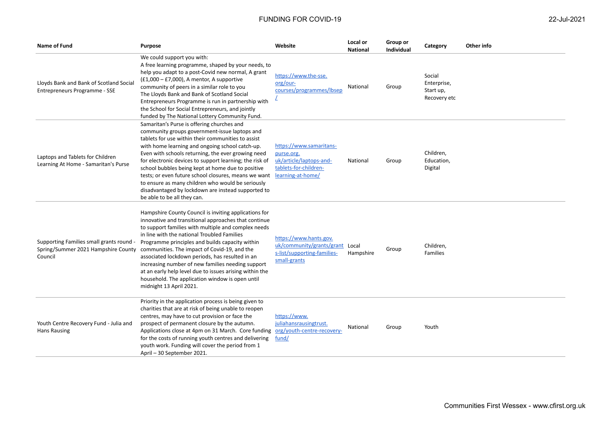| Name of Fund                                                                               | <b>Purpose</b>                                                                                                                                                                                                                                                                                                                                                                                                                                                                                                                                                               | Website                                                                                                        | Local or<br><b>National</b> | Group or<br>Individual | Category                                           | Other info |
|--------------------------------------------------------------------------------------------|------------------------------------------------------------------------------------------------------------------------------------------------------------------------------------------------------------------------------------------------------------------------------------------------------------------------------------------------------------------------------------------------------------------------------------------------------------------------------------------------------------------------------------------------------------------------------|----------------------------------------------------------------------------------------------------------------|-----------------------------|------------------------|----------------------------------------------------|------------|
| Lloyds Bank and Bank of Scotland Social<br>Entrepreneurs Programme - SSE                   | We could support you with:<br>A free learning programme, shaped by your needs, to<br>help you adapt to a post-Covid new normal, A grant<br>$(E1,000 - E7,000)$ , A mentor, A supportive<br>community of peers in a similar role to you<br>The Lloyds Bank and Bank of Scotland Social<br>Entrepreneurs Programme is run in partnership with<br>the School for Social Entrepreneurs, and jointly<br>funded by The National Lottery Community Fund.                                                                                                                            | https://www.the-sse.<br>org/our-<br>courses/programmes/lbsep                                                   | National                    | Group                  | Social<br>Enterprise,<br>Start up,<br>Recovery etc |            |
| Laptops and Tablets for Children<br>Learning At Home - Samaritan's Purse                   | Samaritan's Purse is offering churches and<br>community groups government-issue laptops and<br>tablets for use within their communities to assist<br>with home learning and ongoing school catch-up.<br>Even with schools returning, the ever growing need<br>for electronic devices to support learning; the risk of<br>school bubbles being kept at home due to positive<br>tests; or even future school closures, means we want<br>to ensure as many children who would be seriously<br>disadvantaged by lockdown are instead supported to<br>be able to be all they can. | https://www.samaritans-<br>purse.org.<br>uk/article/laptops-and-<br>tablets-for-children-<br>learning-at-home/ | National                    | Group                  | Children,<br>Education,<br>Digital                 |            |
| Supporting Families small grants round -<br>Spring/Summer 2021 Hampshire County<br>Council | Hampshire County Council is inviting applications for<br>innovative and transitional approaches that continue<br>to support families with multiple and complex needs<br>in line with the national Troubled Families<br>Programme principles and builds capacity within<br>communities. The impact of Covid-19, and the<br>associated lockdown periods, has resulted in an<br>increasing number of new families needing support<br>at an early help level due to issues arising within the<br>household. The application window is open until<br>midnight 13 April 2021.      | https://www.hants.gov.<br>uk/community/grants/grant Local<br>s-list/supporting-families-<br>small-grants       | Hampshire                   | Group                  | Children,<br>Families                              |            |
| Youth Centre Recovery Fund - Julia and<br><b>Hans Rausing</b>                              | Priority in the application process is being given to<br>charities that are at risk of being unable to reopen<br>centres, may have to cut provision or face the<br>prospect of permanent closure by the autumn.<br>Applications close at 4pm on 31 March. Core funding<br>for the costs of running youth centres and delivering<br>youth work. Funding will cover the period from 1<br>April - 30 September 2021.                                                                                                                                                            | https://www.<br>juliahansrausingtrust.<br>org/youth-centre-recovery-<br>fund/                                  | National                    | Group                  | Youth                                              |            |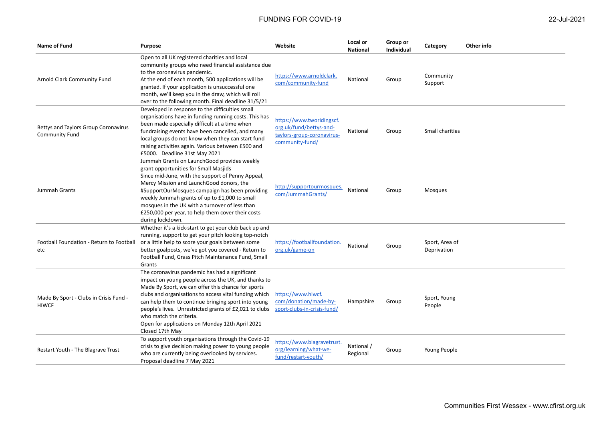| <b>Name of Fund</b>                                           | <b>Purpose</b>                                                                                                                                                                                                                                                                                                                                                                                                                         | Website                                                                                               | Local or<br><b>National</b> | Group or<br><b>Individual</b> | Category                      | Other info |
|---------------------------------------------------------------|----------------------------------------------------------------------------------------------------------------------------------------------------------------------------------------------------------------------------------------------------------------------------------------------------------------------------------------------------------------------------------------------------------------------------------------|-------------------------------------------------------------------------------------------------------|-----------------------------|-------------------------------|-------------------------------|------------|
| Arnold Clark Community Fund                                   | Open to all UK registered charities and local<br>community groups who need financial assistance due<br>to the coronavirus pandemic.<br>At the end of each month, 500 applications will be<br>granted. If your application is unsuccessful one<br>month, we'll keep you in the draw, which will roll<br>over to the following month. Final deadline 31/5/21                                                                             | https://www.arnoldclark.<br>com/community-fund                                                        | National                    | Group                         | Community<br>Support          |            |
| Bettys and Taylors Group Coronavirus<br><b>Community Fund</b> | Developed in response to the difficulties small<br>organisations have in funding running costs. This has<br>been made especially difficult at a time when<br>fundraising events have been cancelled, and many<br>local groups do not know when they can start fund<br>raising activities again. Various between £500 and<br>£5000. Deadline 31st May 2021                                                                              | https://www.tworidingscf.<br>org.uk/fund/bettys-and-<br>taylors-group-coronavirus-<br>community-fund/ | National                    | Group                         | Small charities               |            |
| Jummah Grants                                                 | Jummah Grants on LaunchGood provides weekly<br>grant opportunities for Small Masjids<br>Since mid-June, with the support of Penny Appeal,<br>Mercy Mission and LaunchGood donors, the<br>#SupportOurMosques campaign has been providing<br>weekly Jummah grants of up to £1,000 to small<br>mosques in the UK with a turnover of less than<br>£250,000 per year, to help them cover their costs<br>during lockdown.                    | http://supportourmosques.<br>com/JummahGrants/                                                        | National                    | Group                         | <b>Mosques</b>                |            |
| Football Foundation - Return to Football<br>etc               | Whether it's a kick-start to get your club back up and<br>running, support to get your pitch looking top-notch<br>or a little help to score your goals between some<br>better goalposts, we've got you covered - Return to<br>Football Fund, Grass Pitch Maintenance Fund, Small<br>Grants                                                                                                                                             | https://footballfoundation.<br>org.uk/game-on                                                         | National                    | Group                         | Sport, Area of<br>Deprivation |            |
| Made By Sport - Clubs in Crisis Fund -<br><b>HIWCF</b>        | The coronavirus pandemic has had a significant<br>impact on young people across the UK, and thanks to<br>Made By Sport, we can offer this chance for sports<br>clubs and organisations to access vital funding which<br>can help them to continue bringing sport into young<br>people's lives. Unrestricted grants of £2,021 to clubs<br>who match the criteria.<br>Open for applications on Monday 12th April 2021<br>Closed 17th May | https://www.hiwcf.<br>com/donation/made-by-<br>sport-clubs-in-crisis-fund/                            | Hampshire                   | Group                         | Sport, Young<br>People        |            |
| Restart Youth - The Blagrave Trust                            | To support youth organisations through the Covid-19<br>crisis to give decision making power to young people<br>who are currently being overlooked by services.<br>Proposal deadline 7 May 2021                                                                                                                                                                                                                                         | https://www.blagravetrust.<br>org/learning/what-we-<br>fund/restart-youth/                            | National /<br>Regional      | Group                         | Young People                  |            |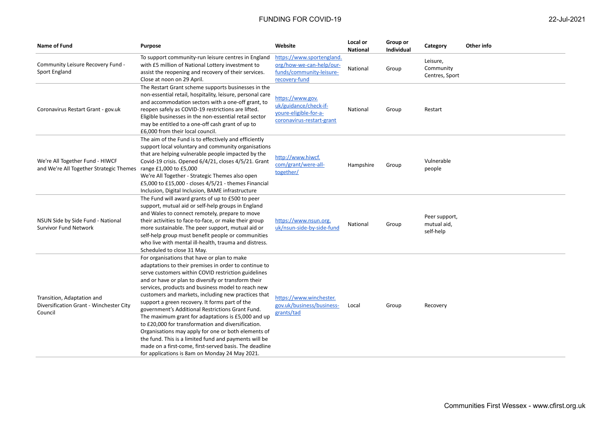| <b>Name of Fund</b>                                                                               | <b>Purpose</b>                                                                                                                                                                                                                                                                                                                                                                                                                                                                                                                                                                                                                                                                                                                                                                | Website                                                                                            | Local or<br><b>National</b> | Group or<br><b>Individual</b> | Category                                  | Other info |
|---------------------------------------------------------------------------------------------------|-------------------------------------------------------------------------------------------------------------------------------------------------------------------------------------------------------------------------------------------------------------------------------------------------------------------------------------------------------------------------------------------------------------------------------------------------------------------------------------------------------------------------------------------------------------------------------------------------------------------------------------------------------------------------------------------------------------------------------------------------------------------------------|----------------------------------------------------------------------------------------------------|-----------------------------|-------------------------------|-------------------------------------------|------------|
| Community Leisure Recovery Fund -<br>Sport England                                                | To support community-run leisure centres in England<br>with £5 million of National Lottery investment to<br>assist the reopening and recovery of their services.<br>Close at noon on 29 April.                                                                                                                                                                                                                                                                                                                                                                                                                                                                                                                                                                                | https://www.sportengland.<br>org/how-we-can-help/our-<br>funds/community-leisure-<br>recovery-fund | National                    | Group                         | Leisure,<br>Community<br>Centres, Sport   |            |
| Coronavirus Restart Grant - gov.uk                                                                | The Restart Grant scheme supports businesses in the<br>non-essential retail, hospitality, leisure, personal care<br>and accommodation sectors with a one-off grant, to<br>reopen safely as COVID-19 restrictions are lifted.<br>Eligible businesses in the non-essential retail sector<br>may be entitled to a one-off cash grant of up to<br>£6,000 from their local council.                                                                                                                                                                                                                                                                                                                                                                                                | https://www.gov.<br>uk/guidance/check-if-<br>youre-eligible-for-a-<br>coronavirus-restart-grant    | National                    | Group                         | Restart                                   |            |
| We're All Together Fund - HIWCF<br>and We're All Together Strategic Themes range £1,000 to £5,000 | The aim of the Fund is to effectively and efficiently<br>support local voluntary and community organisations<br>that are helping vulnerable people impacted by the<br>Covid-19 crisis. Opened 6/4/21, closes 4/5/21. Grant<br>We're All Together - Strategic Themes also open<br>£5,000 to £15,000 - closes 4/5/21 - themes Financial<br>Inclusion, Digital Inclusion, BAME infrastructure                                                                                                                                                                                                                                                                                                                                                                                    | http://www.hiwcf.<br>com/grant/were-all-<br>together/                                              | Hampshire                   | Group                         | Vulnerable<br>people                      |            |
| NSUN Side by Side Fund - National<br><b>Survivor Fund Network</b>                                 | The Fund will award grants of up to £500 to peer<br>support, mutual aid or self-help groups in England<br>and Wales to connect remotely, prepare to move<br>their activities to face-to-face, or make their group<br>more sustainable. The peer support, mutual aid or<br>self-help group must benefit people or communities<br>who live with mental ill-health, trauma and distress.<br>Scheduled to close 31 May.                                                                                                                                                                                                                                                                                                                                                           | https://www.nsun.org.<br>uk/nsun-side-by-side-fund                                                 | National                    | Group                         | Peer support,<br>mutual aid,<br>self-help |            |
| Transition, Adaptation and<br>Diversification Grant - Winchester City<br>Council                  | For organisations that have or plan to make<br>adaptations to their premises in order to continue to<br>serve customers within COVID restriction guidelines<br>and or have or plan to diversify or transform their<br>services, products and business model to reach new<br>customers and markets, including new practices that<br>support a green recovery. It forms part of the<br>government's Additional Restrictions Grant Fund.<br>The maximum grant for adaptations is £5,000 and up<br>to £20,000 for transformation and diversification.<br>Organisations may apply for one or both elements of<br>the fund. This is a limited fund and payments will be<br>made on a first-come, first-served basis. The deadline<br>for applications is 8am on Monday 24 May 2021. | https://www.winchester.<br>gov.uk/business/business-<br>grants/tad                                 | Local                       | Group                         | Recovery                                  |            |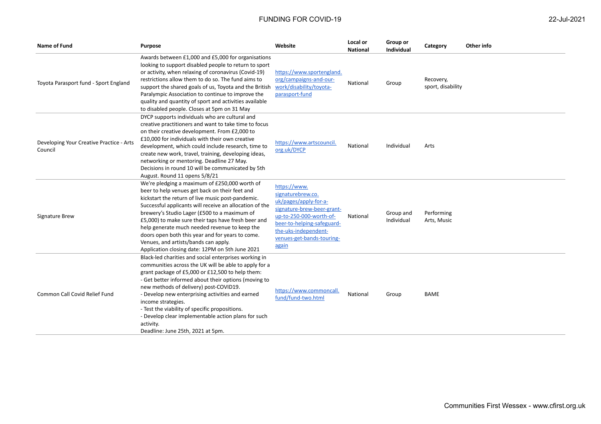| Name of Fund                                        | Purpose                                                                                                                                                                                                                                                                                                                                                                                                                                                                                                                | Website                                                                                                                                                                                                         | Local or<br><b>National</b> | Group or<br><b>Individual</b> | Category                       | Other info |
|-----------------------------------------------------|------------------------------------------------------------------------------------------------------------------------------------------------------------------------------------------------------------------------------------------------------------------------------------------------------------------------------------------------------------------------------------------------------------------------------------------------------------------------------------------------------------------------|-----------------------------------------------------------------------------------------------------------------------------------------------------------------------------------------------------------------|-----------------------------|-------------------------------|--------------------------------|------------|
| Toyota Parasport fund - Sport England               | Awards between £1,000 and £5,000 for organisations<br>looking to support disabled people to return to sport<br>or activity, when relaxing of coronavirus (Covid-19)<br>restrictions allow them to do so. The fund aims to<br>support the shared goals of us, Toyota and the British<br>Paralympic Association to continue to improve the<br>quality and quantity of sport and activities available<br>to disabled people. Closes at 5pm on 31 May                                                                      | https://www.sportengland.<br>org/campaigns-and-our-<br>work/disability/toyota-<br>parasport-fund                                                                                                                | National                    | Group                         | Recovery,<br>sport, disability |            |
| Developing Your Creative Practice - Arts<br>Council | DYCP supports individuals who are cultural and<br>creative practitioners and want to take time to focus<br>on their creative development. From £2,000 to<br>£10,000 for individuals with their own creative<br>development, which could include research, time to<br>create new work, travel, training, developing ideas,<br>networking or mentoring. Deadline 27 May.<br>Decisions in round 10 will be communicated by 5th<br>August. Round 11 opens 5/8/21                                                           | https://www.artscouncil.<br>org.uk/DYCP                                                                                                                                                                         | National                    | Individual                    | Arts                           |            |
| Signature Brew                                      | We're pledging a maximum of £250,000 worth of<br>beer to help venues get back on their feet and<br>kickstart the return of live music post-pandemic.<br>Successful applicants will receive an allocation of the<br>brewery's Studio Lager (£500 to a maximum of<br>£5,000) to make sure their taps have fresh beer and<br>help generate much needed revenue to keep the<br>doors open both this year and for years to come.<br>Venues, and artists/bands can apply.<br>Application closing date: 12PM on 5th June 2021 | https://www.<br>signaturebrew.co.<br>uk/pages/apply-for-a-<br>signature-brew-beer-grant-<br>up-to-250-000-worth-of-<br>beer-to-helping-safeguard-<br>the-uks-independent-<br>venues-get-bands-touring-<br>again | National                    | Group and<br>Individual       | Performing<br>Arts, Music      |            |
| Common Call Covid Relief Fund                       | Black-led charities and social enterprises working in<br>communities across the UK will be able to apply for a<br>grant package of £5,000 or £12,500 to help them:<br>- Get better informed about their options (moving to<br>new methods of delivery) post-COVID19.<br>- Develop new enterprising activities and earned<br>income strategies.<br>- Test the viability of specific propositions.<br>- Develop clear implementable action plans for such<br>activity.<br>Deadline: June 25th, 2021 at 5pm.              | https://www.commoncall.<br>fund/fund-two.html                                                                                                                                                                   | National                    | Group                         | <b>BAME</b>                    |            |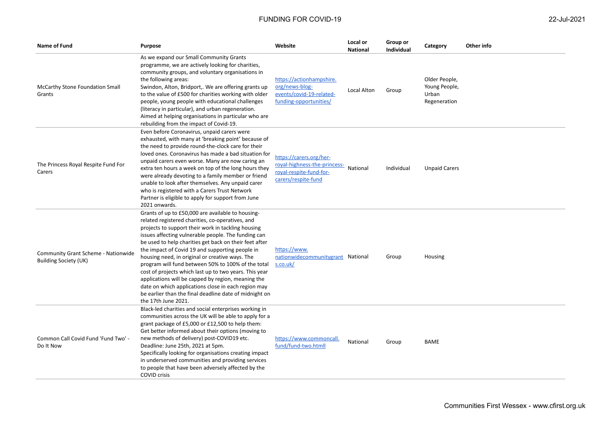| Name of Fund                                                        | <b>Purpose</b>                                                                                                                                                                                                                                                                                                                                                                                                                                                                                                                                                                                                                                                                                   | Website                                                                                                   | Local or<br><b>National</b> | Group or<br><b>Individual</b> | Category                                                | Other info |
|---------------------------------------------------------------------|--------------------------------------------------------------------------------------------------------------------------------------------------------------------------------------------------------------------------------------------------------------------------------------------------------------------------------------------------------------------------------------------------------------------------------------------------------------------------------------------------------------------------------------------------------------------------------------------------------------------------------------------------------------------------------------------------|-----------------------------------------------------------------------------------------------------------|-----------------------------|-------------------------------|---------------------------------------------------------|------------|
| <b>McCarthy Stone Foundation Small</b><br>Grants                    | As we expand our Small Community Grants<br>programme, we are actively looking for charities,<br>community groups, and voluntary organisations in<br>the following areas:<br>Swindon, Alton, Bridport,. We are offering grants up<br>to the value of £500 for charities working with older<br>people, young people with educational challenges<br>(literacy in particular), and urban regeneration.<br>Aimed at helping organisations in particular who are<br>rebuilding from the impact of Covid-19.                                                                                                                                                                                            | https://actionhampshire.<br>org/news-blog-<br>events/covid-19-related-<br>funding-opportunities/          | Local Alton                 | Group                         | Older People,<br>Young People,<br>Urban<br>Regeneration |            |
| The Princess Royal Respite Fund For<br>Carers                       | Even before Coronavirus, unpaid carers were<br>exhausted, with many at 'breaking point' because of<br>the need to provide round-the-clock care for their<br>loved ones. Coronavirus has made a bad situation for<br>unpaid carers even worse. Many are now caring an<br>extra ten hours a week on top of the long hours they<br>were already devoting to a family member or friend<br>unable to look after themselves. Any unpaid carer<br>who is registered with a Carers Trust Network<br>Partner is eligible to apply for support from June<br>2021 onwards.                                                                                                                                  | https://carers.org/her-<br>royal-highness-the-princess-<br>royal-respite-fund-for-<br>carers/respite-fund | National                    | Individual                    | <b>Unpaid Carers</b>                                    |            |
| Community Grant Scheme - Nationwide<br><b>Building Society (UK)</b> | Grants of up to £50,000 are available to housing-<br>related registered charities, co-operatives, and<br>projects to support their work in tackling housing<br>issues affecting vulnerable people. The funding can<br>be used to help charities get back on their feet after<br>the impact of Covid 19 and supporting people in<br>housing need, in original or creative ways. The<br>program will fund between 50% to 100% of the total<br>cost of projects which last up to two years. This year<br>applications will be capped by region, meaning the<br>date on which applications close in each region may<br>be earlier than the final deadline date of midnight on<br>the 17th June 2021. | https://www.<br>nationwidecommunitygrant National<br>s.co.uk/                                             |                             | Group                         | Housing                                                 |            |
| Common Call Covid Fund 'Fund Two' -<br>Do It Now                    | Black-led charities and social enterprises working in<br>communities across the UK will be able to apply for a<br>grant package of £5,000 or £12,500 to help them:<br>Get better informed about their options (moving to<br>new methods of delivery) post-COVID19 etc.<br>Deadline: June 25th, 2021 at 5pm.<br>Specifically looking for organisations creating impact<br>in underserved communities and providing services<br>to people that have been adversely affected by the<br>COVID crisis                                                                                                                                                                                                 | https://www.commoncall.<br>fund/fund-two.htmll                                                            | National                    | Group                         | BAME                                                    |            |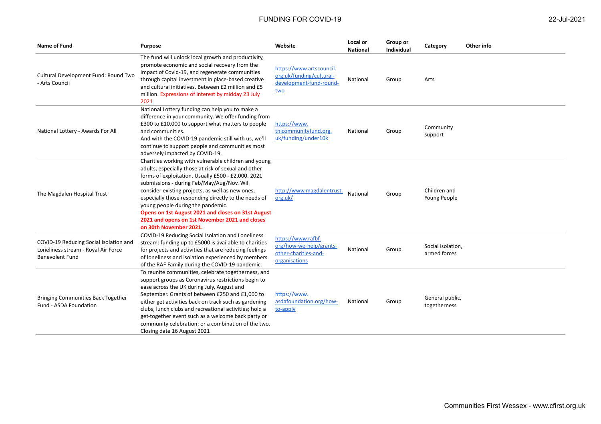| 22-Jul-2021 |
|-------------|
|-------------|

| Name of Fund                                                                                            | Purpose                                                                                                                                                                                                                                                                                                                                                                                                                                                                                             | Website                                                                                | Local or<br><b>National</b> | Group or<br>Individual | Category                          | Other info |
|---------------------------------------------------------------------------------------------------------|-----------------------------------------------------------------------------------------------------------------------------------------------------------------------------------------------------------------------------------------------------------------------------------------------------------------------------------------------------------------------------------------------------------------------------------------------------------------------------------------------------|----------------------------------------------------------------------------------------|-----------------------------|------------------------|-----------------------------------|------------|
| Cultural Development Fund: Round Two<br>- Arts Council                                                  | The fund will unlock local growth and productivity,<br>promote economic and social recovery from the<br>impact of Covid-19, and regenerate communities<br>through capital investment in place-based creative<br>and cultural initiatives. Between £2 million and £5<br>million. Expressions of interest by midday 23 July<br>2021                                                                                                                                                                   | https://www.artscouncil.<br>org.uk/funding/cultural-<br>development-fund-round-<br>two | National                    | Group                  | Arts                              |            |
| National Lottery - Awards For All                                                                       | National Lottery funding can help you to make a<br>difference in your community. We offer funding from<br>£300 to £10,000 to support what matters to people<br>and communities.<br>And with the COVID-19 pandemic still with us, we'll<br>continue to support people and communities most<br>adversely impacted by COVID-19.                                                                                                                                                                        | https://www.<br>tnlcommunityfund.org.<br>uk/funding/under10k                           | National                    | Group                  | Community<br>support              |            |
| The Magdalen Hospital Trust                                                                             | Charities working with vulnerable children and young<br>adults, especially those at risk of sexual and other<br>forms of exploitation. Usually £500 - £2,000. 2021<br>submissions - during Feb/May/Aug/Nov. Will<br>consider existing projects, as well as new ones,<br>especially those responding directly to the needs of<br>young people during the pandemic.<br>Opens on 1st August 2021 and closes on 31st August<br>2021 and opens on 1st November 2021 and closes<br>on 30th November 2021. | http://www.magdalentrust.<br>org.uk/                                                   | National                    | Group                  | Children and<br>Young People      |            |
| COVID-19 Reducing Social Isolation and<br>Loneliness stream - Royal Air Force<br><b>Benevolent Fund</b> | COVID-19 Reducing Social Isolation and Loneliness<br>stream: funding up to £5000 is available to charities<br>for projects and activities that are reducing feelings<br>of loneliness and isolation experienced by members<br>of the RAF Family during the COVID-19 pandemic.                                                                                                                                                                                                                       | https://www.rafbf.<br>org/how-we-help/grants-<br>other-charities-and-<br>organisations | National                    | Group                  | Social isolation,<br>armed forces |            |
| <b>Bringing Communities Back Together</b><br>Fund - ASDA Foundation                                     | To reunite communities, celebrate togetherness, and<br>support groups as Coronavirus restrictions begin to<br>ease across the UK during July, August and<br>September. Grants of between £250 and £1,000 to<br>either get activities back on track such as gardening<br>clubs, lunch clubs and recreational activities; hold a<br>get-together event such as a welcome back party or<br>community celebration; or a combination of the two.<br>Closing date 16 August 2021                          | https://www.<br>asdafoundation.org/how-<br>to-apply                                    | National                    | Group                  | General public,<br>togetherness   |            |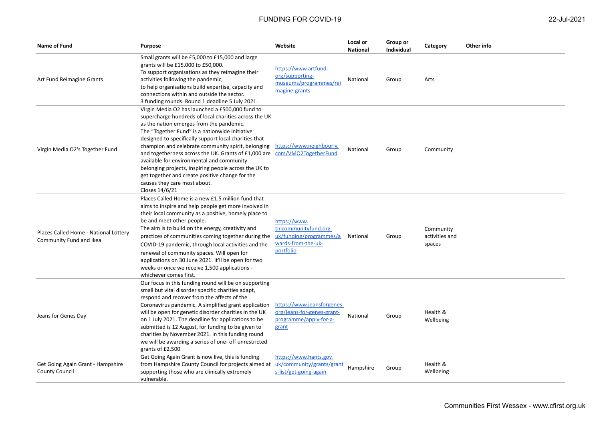| Name of Fund                                                     | Purpose                                                                                                                                                                                                                                                                                                                                                                                                                                                                                                                                                                                                       | Website                                                                                             | Local or<br><b>National</b> | Group or<br><b>Individual</b> | Category                              | Other info |
|------------------------------------------------------------------|---------------------------------------------------------------------------------------------------------------------------------------------------------------------------------------------------------------------------------------------------------------------------------------------------------------------------------------------------------------------------------------------------------------------------------------------------------------------------------------------------------------------------------------------------------------------------------------------------------------|-----------------------------------------------------------------------------------------------------|-----------------------------|-------------------------------|---------------------------------------|------------|
| Art Fund Reimagine Grants                                        | Small grants will be £5,000 to £15,000 and large<br>grants will be £15,000 to £50,000.<br>To support organisations as they reimagine their<br>activities following the pandemic;<br>to help organisations build expertise, capacity and<br>connections within and outside the sector.<br>3 funding rounds. Round 1 deadline 5 July 2021.                                                                                                                                                                                                                                                                      | https://www.artfund.<br>org/supporting-<br>museums/programmes/rei<br>magine-grants                  | National                    | Group                         | Arts                                  |            |
| Virgin Media O2's Together Fund                                  | Virgin Media O2 has launched a £500,000 fund to<br>supercharge hundreds of local charities across the UK<br>as the nation emerges from the pandemic.<br>The "Together Fund" is a nationwide initiative<br>designed to specifically support local charities that<br>champion and celebrate community spirit, belonging<br>and togetherness across the UK. Grants of £1,000 are com/VMO2TogetherFund<br>available for environmental and community<br>belonging projects, inspiring people across the UK to<br>get together and create positive change for the<br>causes they care most about.<br>Closes 14/6/21 | https://www.neighbourly.                                                                            | National                    | Group                         | Community                             |            |
| Places Called Home - National Lottery<br>Community Fund and Ikea | Places Called Home is a new £1.5 million fund that<br>aims to inspire and help people get more involved in<br>their local community as a positive, homely place to<br>be and meet other people.<br>The aim is to build on the energy, creativity and<br>practices of communities coming together during the<br>COVID-19 pandemic, through local activities and the<br>renewal of community spaces. Will open for<br>applications on 30 June 2021. It'll be open for two<br>weeks or once we receive 1,500 applications -<br>whichever comes first.                                                            | https://www.<br>tnlcommunityfund.org.<br>uk/funding/programmes/a<br>wards-from-the-uk-<br>portfolio | National                    | Group                         | Community<br>activities and<br>spaces |            |
| Jeans for Genes Day                                              | Our focus in this funding round will be on supporting<br>small but vital disorder specific charities adapt,<br>respond and recover from the affects of the<br>Coronavirus pandemic. A simplified grant application<br>will be open for genetic disorder charities in the UK<br>on 1 July 2021. The deadline for applications to be<br>submitted is 12 August, for funding to be given to<br>charities by November 2021. In this funding round<br>we will be awarding a series of one- off unrestricted<br>grants of £2,500                                                                                    | https://www.jeansforgenes.<br>org/jeans-for-genes-grant-<br>programme/apply-for-a-<br>grant         | National                    | Group                         | Health &<br>Wellbeing                 |            |
| Get Going Again Grant - Hampshire<br><b>County Council</b>       | Get Going Again Grant is now live, this is funding<br>from Hampshire County Council for projects aimed at<br>supporting those who are clinically extremely<br>vulnerable.                                                                                                                                                                                                                                                                                                                                                                                                                                     | https://www.hants.gov.<br>uk/community/grants/grant<br>s-list/get-going-again                       | Hampshire                   | Group                         | Health &<br>Wellbeing                 |            |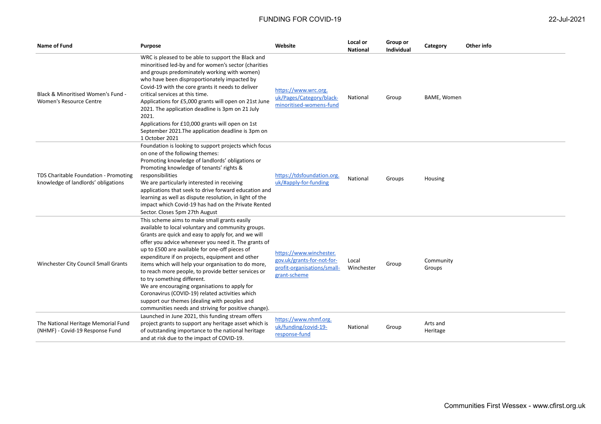| Name of Fund                                                                 | <b>Purpose</b>                                                                                                                                                                                                                                                                                                                                                                                                                                                                                                                                                                                                                                                                  | Website                                                                                              | Local or<br><b>National</b> | Group or<br>Individual | Category             | Other info |
|------------------------------------------------------------------------------|---------------------------------------------------------------------------------------------------------------------------------------------------------------------------------------------------------------------------------------------------------------------------------------------------------------------------------------------------------------------------------------------------------------------------------------------------------------------------------------------------------------------------------------------------------------------------------------------------------------------------------------------------------------------------------|------------------------------------------------------------------------------------------------------|-----------------------------|------------------------|----------------------|------------|
| Black & Minoritised Women's Fund -<br>Women's Resource Centre                | WRC is pleased to be able to support the Black and<br>minoritised led-by and for women's sector (charities<br>and groups predominately working with women)<br>who have been disproportionately impacted by<br>Covid-19 with the core grants it needs to deliver<br>critical services at this time.<br>Applications for £5,000 grants will open on 21st June<br>2021. The application deadline is 3pm on 21 July<br>2021.<br>Applications for £10,000 grants will open on 1st<br>September 2021. The application deadline is 3pm on<br>1 October 2021                                                                                                                            | https://www.wrc.org.<br>uk/Pages/Category/black-<br>minoritised-womens-fund                          | National                    | Group                  | BAME, Women          |            |
| TDS Charitable Foundation - Promoting<br>knowledge of landlords' obligations | Foundation is looking to support projects which focus<br>on one of the following themes:<br>Promoting knowledge of landlords' obligations or<br>Promoting knowledge of tenants' rights &<br>responsibilities<br>We are particularly interested in receiving<br>applications that seek to drive forward education and<br>learning as well as dispute resolution, in light of the<br>impact which Covid-19 has had on the Private Rented<br>Sector. Closes 5pm 27th August                                                                                                                                                                                                        | https://tdsfoundation.org.<br>uk/#apply-for-funding                                                  | National                    | Groups                 | Housing              |            |
| Winchester City Council Small Grants                                         | This scheme aims to make small grants easily<br>available to local voluntary and community groups.<br>Grants are quick and easy to apply for, and we will<br>offer you advice whenever you need it. The grants of<br>up to £500 are available for one-off pieces of<br>expenditure if on projects, equipment and other<br>items which will help your organisation to do more,<br>to reach more people, to provide better services or<br>to try something different.<br>We are encouraging organisations to apply for<br>Coronavirus (COVID-19) related activities which<br>support our themes (dealing with peoples and<br>communities needs and striving for positive change). | https://www.winchester.<br>gov.uk/grants-for-not-for-<br>profit-organisations/small-<br>grant-scheme | Local<br>Winchester         | Group                  | Community<br>Groups  |            |
| The National Heritage Memorial Fund<br>(NHMF) - Covid-19 Response Fund       | Launched in June 2021, this funding stream offers<br>project grants to support any heritage asset which is<br>of outstanding importance to the national heritage<br>and at risk due to the impact of COVID-19.                                                                                                                                                                                                                                                                                                                                                                                                                                                                  | https://www.nhmf.org.<br>uk/funding/covid-19-<br>response-fund                                       | National                    | Group                  | Arts and<br>Heritage |            |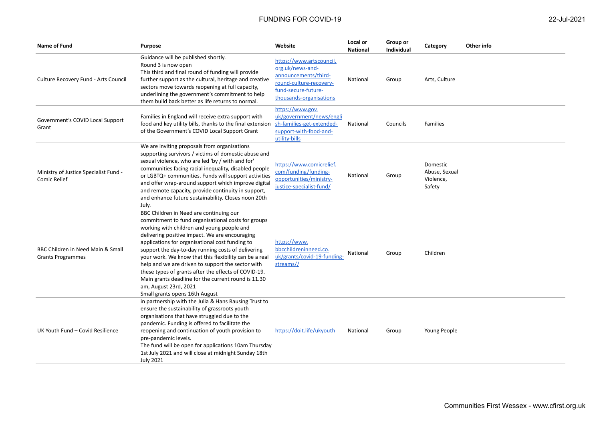| <b>Name of Fund</b>                                           | Purpose                                                                                                                                                                                                                                                                                                                                                                                                                                                                                                                                                                                         | Website                                                                                                                                           | Local or<br><b>National</b> | Group or<br><b>Individual</b> | Category                                         | Other info |
|---------------------------------------------------------------|-------------------------------------------------------------------------------------------------------------------------------------------------------------------------------------------------------------------------------------------------------------------------------------------------------------------------------------------------------------------------------------------------------------------------------------------------------------------------------------------------------------------------------------------------------------------------------------------------|---------------------------------------------------------------------------------------------------------------------------------------------------|-----------------------------|-------------------------------|--------------------------------------------------|------------|
| Culture Recovery Fund - Arts Council                          | Guidance will be published shortly.<br>Round 3 is now open<br>This third and final round of funding will provide<br>further support as the cultural, heritage and creative<br>sectors move towards reopening at full capacity,<br>underlining the government's commitment to help<br>them build back better as life returns to normal.                                                                                                                                                                                                                                                          | https://www.artscouncil.<br>org.uk/news-and-<br>announcements/third-<br>round-culture-recovery-<br>fund-secure-future-<br>thousands-organisations | National                    | Group                         | Arts, Culture                                    |            |
| Government's COVID Local Support<br>Grant                     | Families in England will receive extra support with<br>food and key utility bills, thanks to the final extension<br>of the Government's COVID Local Support Grant                                                                                                                                                                                                                                                                                                                                                                                                                               | https://www.gov.<br>uk/government/news/engli<br>sh-families-get-extended-<br>support-with-food-and-<br>utility-bills                              | National                    | Councils                      | Families                                         |            |
| Ministry of Justice Specialist Fund -<br>Comic Relief         | We are inviting proposals from organisations<br>supporting survivors / victims of domestic abuse and<br>sexual violence, who are led 'by / with and for'<br>communities facing racial inequality, disabled people<br>or LGBTQ+ communities. Funds will support activities<br>and offer wrap-around support which improve digital<br>and remote capacity, provide continuity in support,<br>and enhance future sustainability. Closes noon 20th<br>July.                                                                                                                                         | https://www.comicrelief.<br>com/funding/funding-<br>opportunities/ministry-<br>justice-specialist-fund/                                           | National                    | Group                         | Domestic<br>Abuse, Sexual<br>Violence,<br>Safety |            |
| BBC Children in Need Main & Small<br><b>Grants Programmes</b> | BBC Children in Need are continuing our<br>commitment to fund organisational costs for groups<br>working with children and young people and<br>delivering positive impact. We are encouraging<br>applications for organisational cost funding to<br>support the day-to-day running costs of delivering<br>your work. We know that this flexibility can be a real<br>help and we are driven to support the sector with<br>these types of grants after the effects of COVID-19.<br>Main grants deadline for the current round is 11.30<br>am, August 23rd, 2021<br>Small grants opens 16th August | https://www.<br>bbcchildreninneed.co.<br>uk/grants/covid-19-funding-<br>streams//                                                                 | National                    | Group                         | Children                                         |            |
| UK Youth Fund - Covid Resilience                              | in partnership with the Julia & Hans Rausing Trust to<br>ensure the sustainability of grassroots youth<br>organisations that have struggled due to the<br>pandemic. Funding is offered to facilitate the<br>reopening and continuation of youth provision to<br>pre-pandemic levels.<br>The fund will be open for applications 10am Thursday<br>1st July 2021 and will close at midnight Sunday 18th<br><b>July 2021</b>                                                                                                                                                                        | https://doit.life/ukyouth                                                                                                                         | National                    | Group                         | Young People                                     |            |